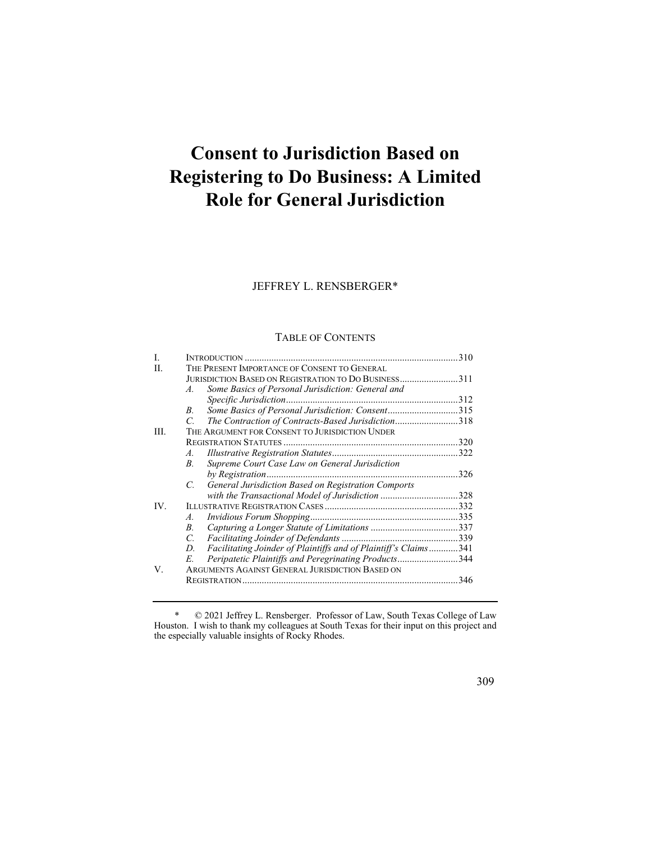# **Consent to Jurisdiction Based on Registering to Do Business: A Limited Role for General Jurisdiction**

## JEFFREY L. RENSBERGER\*

#### TABLE OF CONTENTS

| L    |                                                                       |  |
|------|-----------------------------------------------------------------------|--|
| H.   | THE PRESENT IMPORTANCE OF CONSENT TO GENERAL                          |  |
|      | JURISDICTION BASED ON REGISTRATION TO DO BUSINESS311                  |  |
|      | Some Basics of Personal Jurisdiction: General and<br>$A_{\cdot}$      |  |
|      |                                                                       |  |
|      | Some Basics of Personal Jurisdiction: Consent315<br>B.                |  |
|      | The Contraction of Contracts-Based Jurisdiction318<br>C.              |  |
| III. | THE ARGUMENT FOR CONSENT TO JURISDICTION UNDER                        |  |
|      |                                                                       |  |
|      | $A_{-}$                                                               |  |
|      | Supreme Court Case Law on General Jurisdiction<br>В.                  |  |
|      |                                                                       |  |
|      | General Jurisdiction Based on Registration Comports<br>$C_{\cdot}$    |  |
|      | with the Transactional Model of Jurisdiction 328                      |  |
| IV.  |                                                                       |  |
|      | A.                                                                    |  |
|      | В.                                                                    |  |
|      | C.                                                                    |  |
|      | Facilitating Joinder of Plaintiffs and of Plaintiff's Claims341<br>D. |  |
|      | Peripatetic Plaintiffs and Peregrinating Products344<br>E.            |  |
| V.   | ARGUMENTS AGAINST GENERAL JURISDICTION BASED ON                       |  |
|      |                                                                       |  |
|      |                                                                       |  |

 \* © 2021 Jeffrey L. Rensberger. Professor of Law, South Texas College of Law Houston. I wish to thank my colleagues at South Texas for their input on this project and the especially valuable insights of Rocky Rhodes.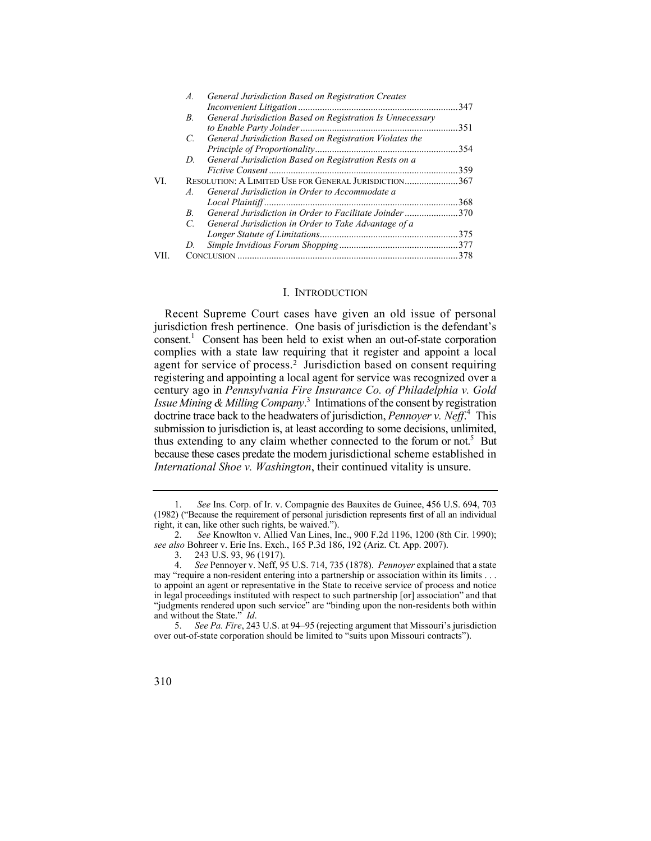|      | А.              | General Jurisdiction Based on Registration Creates        |      |
|------|-----------------|-----------------------------------------------------------|------|
|      |                 |                                                           | .347 |
|      | B.              | General Jurisdiction Based on Registration Is Unnecessary |      |
|      |                 |                                                           |      |
|      | $\mathcal{C}$   | General Jurisdiction Based on Registration Violates the   |      |
|      |                 |                                                           |      |
|      | D.              | General Jurisdiction Based on Registration Rests on a     |      |
|      |                 |                                                           | 359  |
| VI.  |                 | RESOLUTION: A LIMITED USE FOR GENERAL JURISDICTION367     |      |
|      | $\overline{A}$  | General Jurisdiction in Order to Accommodate a            |      |
|      |                 |                                                           | 368  |
|      | B.              | General Jurisdiction in Order to Facilitate Joinder370    |      |
|      | $\mathcal{C}^-$ | General Jurisdiction in Order to Take Advantage of a      |      |
|      |                 |                                                           |      |
|      | D.              |                                                           |      |
| VII. |                 | CONCLUSION                                                | 378  |
|      |                 |                                                           |      |

## I. INTRODUCTION

thus extending to any claim whether connected to the forum or not.<sup>5</sup> But because these cases predate the modern jurisdictional scheme established in Recent Supreme Court cases have given an old issue of personal jurisdiction fresh pertinence. One basis of jurisdiction is the defendant's consent.<sup>1</sup> Consent has been held to exist when an out-of-state corporation complies with a state law requiring that it register and appoint a local agent for service of process.<sup>2</sup> Jurisdiction based on consent requiring registering and appointing a local agent for service was recognized over a century ago in *Pennsylvania Fire Insurance Co. of Philadelphia v. Gold Issue Mining & Milling Company*. 3 Intimations of the consent by registration doctrine trace back to the headwaters of jurisdiction, *Pennoyer v. Neff*. 4 This submission to jurisdiction is, at least according to some decisions, unlimited, *International Shoe v. Washington*, their continued vitality is unsure.

<sup>5.</sup> *See Pa. Fire*, 243 U.S. at 94–95 (rejecting argument that Missouri's jurisdiction over out-of-state corporation should be limited to "suits upon Missouri contracts").



 (1982) ("Because the requirement of personal jurisdiction represents first of all an individual 1. *See* Ins. Corp. of Ir. v. Compagnie des Bauxites de Guinee, 456 U.S. 694, 703 right, it can, like other such rights, be waived.").

<sup>2.</sup> *See* Knowlton v. Allied Van Lines, Inc., 900 F.2d 1196, 1200 (8th Cir. 1990); *see also* Bohreer v. Erie Ins. Exch., 165 P.3d 186, 192 (Ariz. Ct. App. 2007).

<sup>3. 243</sup> U.S. 93, 96 (1917).

 4. *See* Pennoyer v. Neff, 95 U.S. 714, 735 (1878). *Pennoyer* explained that a state in legal proceedings instituted with respect to such partnership [or] association" and that may "require a non-resident entering into a partnership or association within its limits . . . to appoint an agent or representative in the State to receive service of process and notice "judgments rendered upon such service" are "binding upon the non-residents both within and without the State." *Id*.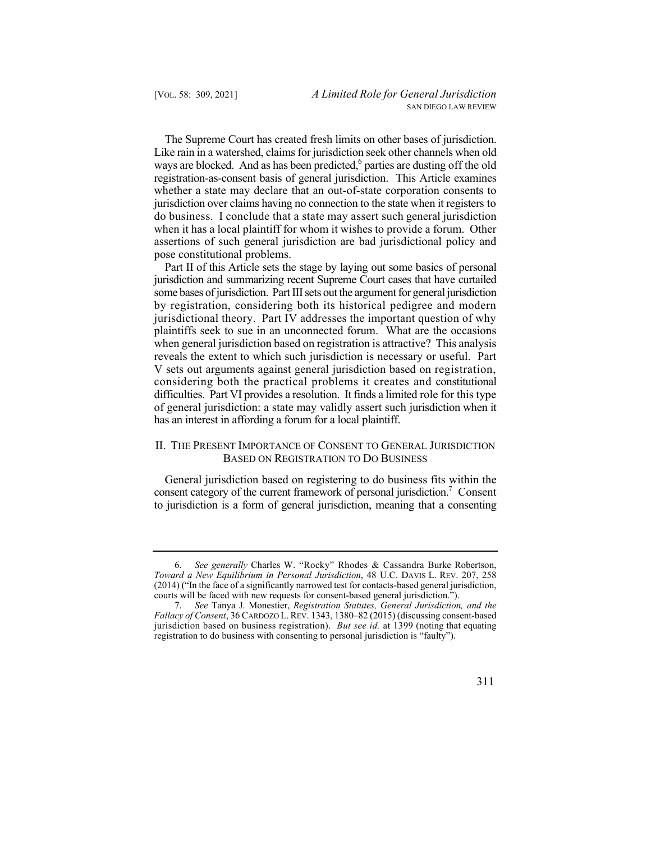The Supreme Court has created fresh limits on other bases of jurisdiction. ways are blocked. And as has been predicted,<sup>6</sup> parties are dusting off the old do business. I conclude that a state may assert such general jurisdiction Like rain in a watershed, claims for jurisdiction seek other channels when old registration-as-consent basis of general jurisdiction. This Article examines whether a state may declare that an out-of-state corporation consents to jurisdiction over claims having no connection to the state when it registers to when it has a local plaintiff for whom it wishes to provide a forum. Other assertions of such general jurisdiction are bad jurisdictional policy and pose constitutional problems.

 difficulties. Part VI provides a resolution. It finds a limited role for this type of general jurisdiction: a state may validly assert such jurisdiction when it Part II of this Article sets the stage by laying out some basics of personal jurisdiction and summarizing recent Supreme Court cases that have curtailed some bases of jurisdiction. Part III sets out the argument for general jurisdiction by registration, considering both its historical pedigree and modern jurisdictional theory. Part IV addresses the important question of why plaintiffs seek to sue in an unconnected forum. What are the occasions when general jurisdiction based on registration is attractive? This analysis reveals the extent to which such jurisdiction is necessary or useful. Part V sets out arguments against general jurisdiction based on registration, considering both the practical problems it creates and constitutional has an interest in affording a forum for a local plaintiff.

## II. THE PRESENT IMPORTANCE OF CONSENT TO GENERAL JURISDICTION BASED ON REGISTRATION TO DO BUSINESS

General jurisdiction based on registering to do business fits within the consent category of the current framework of personal jurisdiction.<sup>7</sup> Consent to jurisdiction is a form of general jurisdiction, meaning that a consenting

<sup>6.</sup> *See generally* Charles W. "Rocky" Rhodes & Cassandra Burke Robertson, *Toward a New Equilibrium in Personal Jurisdiction*, 48 U.C. DAVIS L. REV. 207, 258 (2014) ("In the face of a significantly narrowed test for contacts-based general jurisdiction, courts will be faced with new requests for consent-based general jurisdiction.").

<sup>7.</sup> *See* Tanya J. Monestier, *Registration Statutes, General Jurisdiction, and the Fallacy of Consent*, 36 CARDOZO L. REV. 1343, 1380–82 (2015) (discussing consent-based jurisdiction based on business registration). *But see id.* at 1399 (noting that equating registration to do business with consenting to personal jurisdiction is "faulty").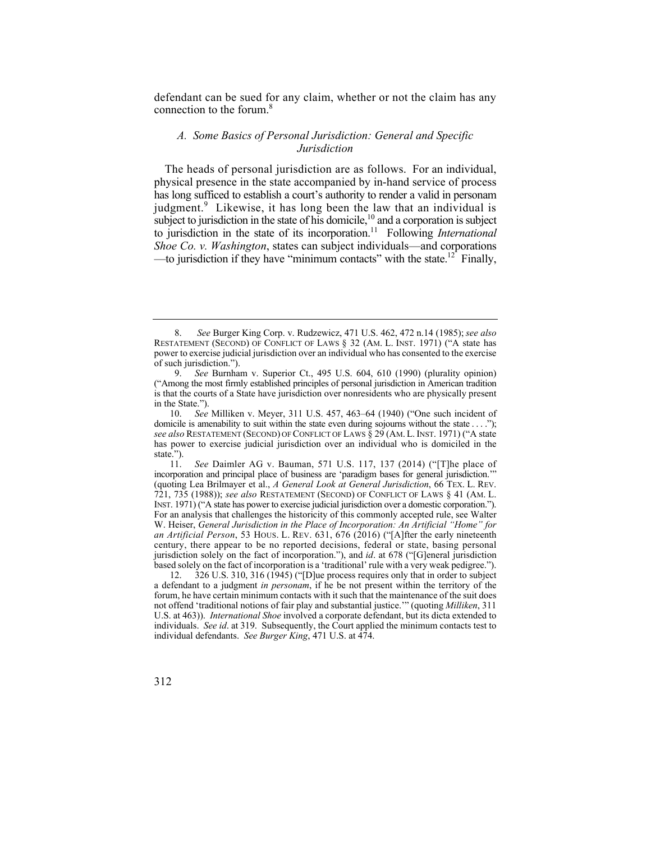defendant can be sued for any claim, whether or not the claim has any connection to the forum.8

## *A. Some Basics of Personal Jurisdiction: General and Specific Jurisdiction*

 The heads of personal jurisdiction are as follows. For an individual, —to jurisdiction if they have "minimum contacts" with the state.<sup>12</sup> Finally, physical presence in the state accompanied by in-hand service of process has long sufficed to establish a court's authority to render a valid in personam judgment.<sup>9</sup> Likewise, it has long been the law that an individual is subject to jurisdiction in the state of his domicile,<sup>10</sup> and a corporation is subject to jurisdiction in the state of its [incorporation.11](https://incorporation.11) Following *International Shoe Co. v. Washington*, states can subject individuals—and corporations

 RESTATEMENT (SECOND) OF CONFLICT OF LAWS § 32 (AM. L. INST. 1971) ("A state has 8. *See* Burger King Corp. v. Rudzewicz, 471 U.S. 462, 472 n.14 (1985); *see also*  power to exercise judicial jurisdiction over an individual who has consented to the exercise of such jurisdiction.").

 ("Among the most firmly established principles of personal jurisdiction in American tradition 9. *See* Burnham v. Superior Ct., 495 U.S. 604, 610 (1990) (plurality opinion) is that the courts of a State have jurisdiction over nonresidents who are physically present in the State.").

domicile is amenability to suit within the state even during sojourns without the state . . . ."); *see also* RESTATEMENT (SECOND) OF CONFLICT OF LAWS § 29 (AM. L. INST. 1971) ("A state 10. *See* Milliken v. Meyer, 311 U.S. 457, 463–64 (1940) ("One such incident of has power to exercise judicial jurisdiction over an individual who is domiciled in the state.").<br> $11$ .

 (quoting Lea Brilmayer et al., *A General Look at General Jurisdiction*, 66 TEX. L. REV. 721, 735 (1988)); *see also* RESTATEMENT (SECOND) OF CONFLICT OF LAWS § 41 (AM. L. INST. 1971) ("A state has power to exercise judicial jurisdiction over a domestic corporation."). *an Artificial Person*, 53 HOUS. L. REV. 631, 676 (2016) ("[A]fter the early nineteenth jurisdiction solely on the fact of incorporation."), and *id*. at 678 ("[G]eneral jurisdiction See Daimler AG v. Bauman, 571 U.S. 117, 137 (2014) ("[T]he place of incorporation and principal place of business are 'paradigm bases for general jurisdiction.'" For an analysis that challenges the historicity of this commonly accepted rule, see Walter W. Heiser, *General Jurisdiction in the Place of Incorporation: An Artificial "Home" for*  century, there appear to be no reported decisions, federal or state, basing personal based solely on the fact of incorporation is a 'traditional' rule with a very weak pedigree.").

 U.S. at 463)). *International Shoe* involved a corporate defendant, but its dicta extended to 12. 326 U.S. 310, 316 (1945) ("[D]ue process requires only that in order to subject a defendant to a judgment *in personam*, if he be not present within the territory of the forum, he have certain minimum contacts with it such that the maintenance of the suit does not offend 'traditional notions of fair play and substantial justice.'" (quoting *Milliken*, 311 individuals. *See id*. at 319. Subsequently, the Court applied the minimum contacts test to individual defendants. *See Burger King*, 471 U.S. at 474.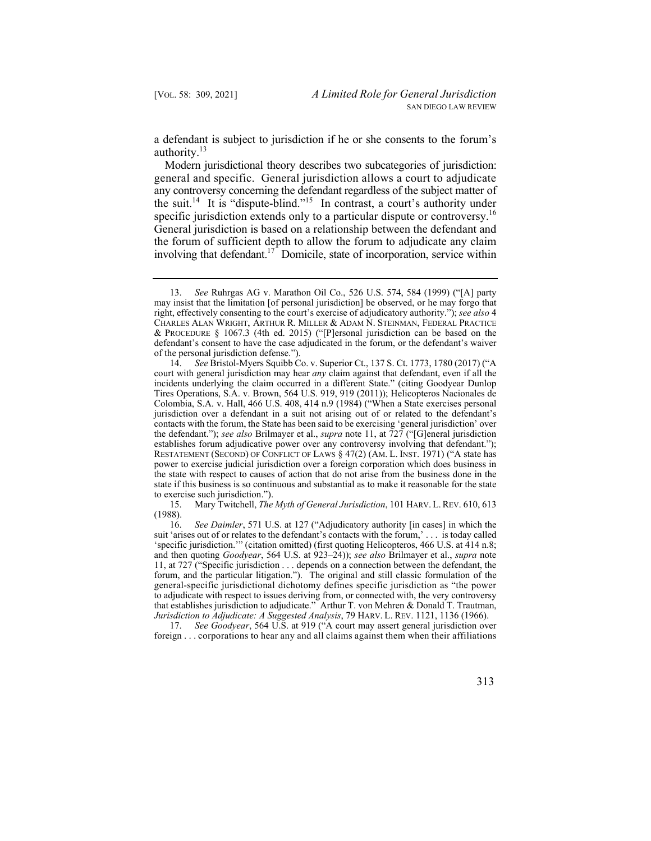a defendant is subject to jurisdiction if he or she consents to the forum's authority.<sup>13</sup>

Modern jurisdictional theory describes two subcategories of jurisdiction: general and specific. General jurisdiction allows a court to adjudicate any controversy concerning the defendant regardless of the subject matter of the suit.<sup>14</sup> It is "dispute-blind."<sup>15</sup> In contrast, a court's authority under specific jurisdiction extends only to a particular dispute or controversy.<sup>16</sup> General jurisdiction is based on a relationship between the defendant and the forum of sufficient depth to allow the forum to adjudicate any claim involving that defendant.<sup>17</sup> Domicile, state of incorporation, service within

15. 15. Mary Twitchell, *The Myth of General Jurisdiction*, 101 HARV. L. REV. 610, 613 (1988).

 'specific jurisdiction.'" (citation omitted) (first quoting Helicopteros, 466 U.S. at 414 n.8; forum, and the particular litigation."). The original and still classic formulation of the that establishes jurisdiction to adjudicate." Arthur T. von Mehren & Donald T. Trautman, *Jurisdiction to Adjudicate: A Suggested Analysis*, 79 HARV. L. REV. 1121, 1136 (1966). 16. *See Daimler*, 571 U.S. at 127 ("Adjudicatory authority [in cases] in which the suit 'arises out of or relates to the defendant's contacts with the forum,' . . . is today called and then quoting *Goodyear*, 564 U.S. at 923–24)); *see also* Brilmayer et al., *supra* note 11, at 727 ("Specific jurisdiction . . . depends on a connection between the defendant, the general-specific jurisdictional dichotomy defines specific jurisdiction as "the power to adjudicate with respect to issues deriving from, or connected with, the very controversy

17. *See Goodyear*, 564 U.S. at 919 ("A court may assert general jurisdiction over foreign . . . corporations to hear any and all claims against them when their affiliations

 CHARLES ALAN WRIGHT, ARTHUR R. MILLER & ADAM N. STEINMAN, FEDERAL PRACTICE 13. *See* Ruhrgas AG v. Marathon Oil Co., 526 U.S. 574, 584 (1999) ("[A] party may insist that the limitation [of personal jurisdiction] be observed, or he may forgo that right, effectively consenting to the court's exercise of adjudicatory authority."); *see also* 4 & PROCEDURE § 1067.3 (4th ed. 2015) ("[P]ersonal jurisdiction can be based on the defendant's consent to have the case adjudicated in the forum, or the defendant's waiver of the personal jurisdiction defense.").

 RESTATEMENT (SECOND) OF CONFLICT OF LAWS § 47(2) (AM. L. INST. 1971) ("A state has 14. *See* Bristol-Myers Squibb Co. v. Superior Ct., 137 S. Ct. 1773, 1780 (2017) ("A court with general jurisdiction may hear *any* claim against that defendant, even if all the incidents underlying the claim occurred in a different State." (citing Goodyear Dunlop Tires Operations, S.A. v. Brown, 564 U.S. 919, 919 (2011)); Helicopteros Nacionales de Colombia, S.A. v. Hall, 466 U.S. 408, 414 n.9 (1984) ("When a State exercises personal jurisdiction over a defendant in a suit not arising out of or related to the defendant's contacts with the forum, the State has been said to be exercising 'general jurisdiction' over the defendant."); *see also* Brilmayer et al., *supra* note 11, at 727 ("[G]eneral jurisdiction establishes forum adjudicative power over any controversy involving that defendant."); power to exercise judicial jurisdiction over a foreign corporation which does business in the state with respect to causes of action that do not arise from the business done in the state if this business is so continuous and substantial as to make it reasonable for the state to exercise such jurisdiction.").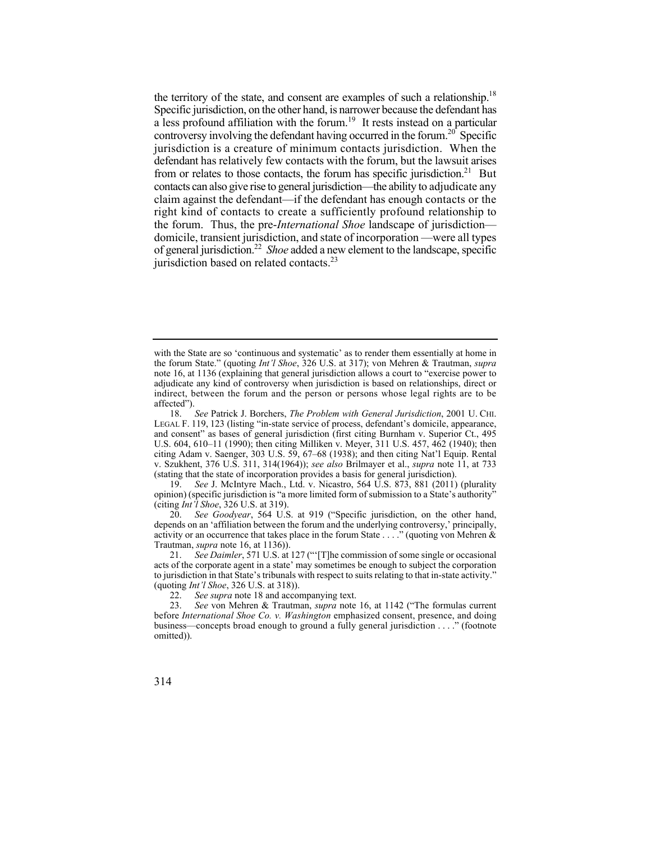the territory of the state, and consent are examples of such a relationship.<sup>18</sup> Specific jurisdiction, on the other hand, is narrower because the defendant has a less profound affiliation with the forum.<sup>19</sup> It rests instead on a particular controversy involving the defendant having occurred in the forum.<sup>20</sup> Specific contacts can also give rise to general jurisdiction—the ability to adjudicate any claim against the defendant—if the defendant has enough contacts or the right kind of contacts to create a sufficiently profound relationship to domicile, transient jurisdiction, and state of incorporation —were all types of general [jurisdiction.22](https://jurisdiction.22) *Shoe* added a new element to the landscape, specific jurisdiction is a creature of minimum contacts jurisdiction. When the defendant has relatively few contacts with the forum, but the lawsuit arises from or relates to those contacts, the forum has specific jurisdiction.<sup>21</sup> But the forum. Thus, the pre-*International Shoe* landscape of jurisdiction jurisdiction based on related contacts.<sup>23</sup>

20. *See Goodyear*, 564 U.S. at 919 ("Specific jurisdiction, on the other hand, depends on an 'affiliation between the forum and the underlying controversy,' principally, activity or an occurrence that takes place in the forum State . . . ." (quoting von Mehren & Trautman, *supra* note 16, at 1136)).

21. *See Daimler*, 571 U.S. at 127 ("'[T]he commission of some single or occasional acts of the corporate agent in a state' may sometimes be enough to subject the corporation to jurisdiction in that State's tribunals with respect to suits relating to that in-state activity." (quoting *Int'l Shoe*, 326 U.S. at 318)).

with the State are so 'continuous and systematic' as to render them essentially at home in the forum State." (quoting *Int'l Shoe*, 326 U.S. at 317); von Mehren & Trautman, *supra* note 16, at 1136 (explaining that general jurisdiction allows a court to "exercise power to adjudicate any kind of controversy when jurisdiction is based on relationships, direct or indirect, between the forum and the person or persons whose legal rights are to be affected").

 18. *See* Patrick J. Borchers, *The Problem with General Jurisdiction*, 2001 U. CHI. LEGAL F. 119, 123 (listing "in-state service of process, defendant's domicile, appearance, and consent" as bases of general jurisdiction (first citing Burnham v. Superior Ct., 495 U.S. 604, 610–11 (1990); then citing Milliken v. Meyer, 311 U.S. 457, 462 (1940); then citing Adam v. Saenger, 303 U.S. 59, 67–68 (1938); and then citing Nat'l Equip. Rental v. Szukhent, 376 U.S. 311, 314(1964)); *see also* Brilmayer et al., *supra* note 11, at 733 (stating that the state of incorporation provides a basis for general jurisdiction).

<sup>19.</sup> *See* J. McIntyre Mach., Ltd. v. Nicastro, 564 U.S. 873, 881 (2011) (plurality opinion) (specific jurisdiction is "a more limited form of submission to a State's authority" (citing *Int'l Shoe*, 326 U.S. at 319).

<sup>22.</sup> *See supra* note 18 and accompanying text.<br>23. *See von Mehren & Trautman, supra note* 

 business—concepts broad enough to ground a fully general jurisdiction . . . ." (footnote 23. *See* von Mehren & Trautman, *supra* note 16, at 1142 ("The formulas current before *International Shoe Co. v. Washington* emphasized consent, presence, and doing omitted)).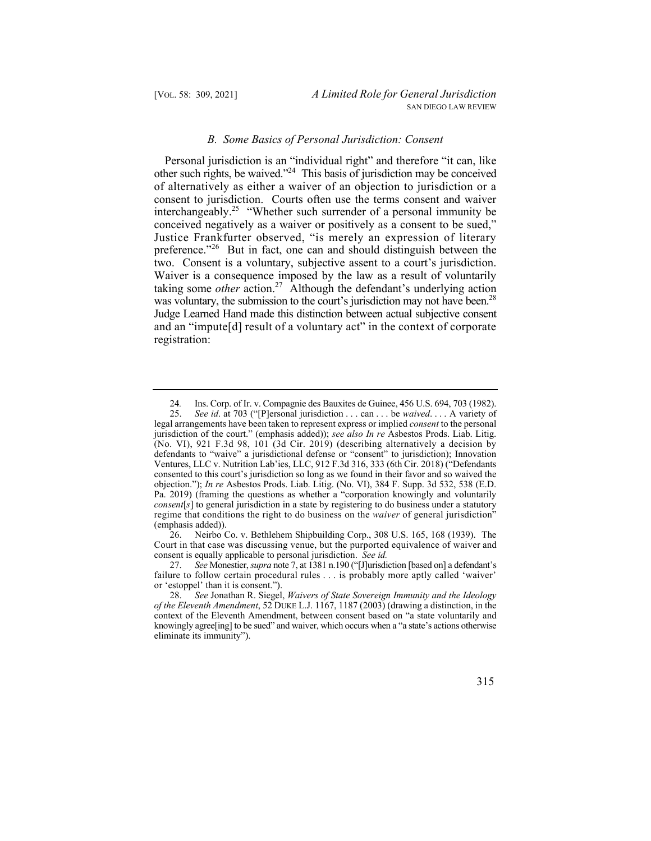#### *B. Some Basics of Personal Jurisdiction: Consent*

other such rights, be waived."<sup>24</sup> This basis of jurisdiction may be conceived of alternatively as either a waiver of an objection to jurisdiction or a Justice Frankfurter observed, "is merely an expression of literary was voluntary, the submission to the court's jurisdiction may not have been.<sup>28</sup> and an "impute[d] result of a voluntary act" in the context of corporate Personal jurisdiction is an "individual right" and therefore "it can, like consent to jurisdiction. Courts often use the terms consent and waiver interchangeably.<sup>25</sup> "Whether such surrender of a personal immunity be conceived negatively as a waiver or positively as a consent to be sued," preference."<sup>26</sup> But in fact, one can and should distinguish between the two. Consent is a voluntary, subjective assent to a court's jurisdiction. Waiver is a consequence imposed by the law as a result of voluntarily taking some *other* action.<sup>27</sup> Although the defendant's underlying action Judge Learned Hand made this distinction between actual subjective consent registration:

 Court in that case was discussing venue, but the purported equivalence of waiver and 26. Neirbo Co. v. Bethlehem Shipbuilding Corp., 308 U.S. 165, 168 (1939). The consent is equally applicable to personal jurisdiction. *See id.* 

27. *See* Monestier, *supra* note 7, at 1381 n.190 ("[J]urisdiction [based on] a defendant's failure to follow certain procedural rules . . . is probably more aptly called 'waiver' or 'estoppel' than it is consent.").

 28. *See* Jonathan R. Siegel, *Waivers of State Sovereign Immunity and the Ideology of the Eleventh Amendment*, 52 DUKE L.J. 1167, 1187 (2003) (drawing a distinction, in the context of the Eleventh Amendment, between consent based on "a state voluntarily and knowingly agree [ing] to be sued" and waiver, which occurs when a "a state's actions otherwise eliminate its immunity").



<sup>24</sup>*.* Ins. Corp. of Ir. v. Compagnie des Bauxites de Guinee, 456 U.S. 694, 703 (1982).

 jurisdiction of the court." (emphasis added)); *see also In re* Asbestos Prods. Liab. Litig. 25. *See id*. at 703 ("[P]ersonal jurisdiction . . . can . . . be *waived*. . . . A variety of legal arrangements have been taken to represent express or implied *consent* to the personal (No. VI), 921 F.3d 98, 101 (3d Cir. 2019) (describing alternatively a decision by defendants to "waive" a jurisdictional defense or "consent" to jurisdiction); Innovation Ventures, LLC v. Nutrition Lab'ies, LLC, 912 F.3d 316, 333 (6th Cir. 2018) ("Defendants consented to this court's jurisdiction so long as we found in their favor and so waived the objection."); *In re* Asbestos Prods. Liab. Litig. (No. VI), 384 F. Supp. 3d 532, 538 (E.D. Pa. 2019) (framing the questions as whether a "corporation knowingly and voluntarily *consent*[*s*] to general jurisdiction in a state by registering to do business under a statutory regime that conditions the right to do business on the *waiver* of general jurisdiction" (emphasis added)).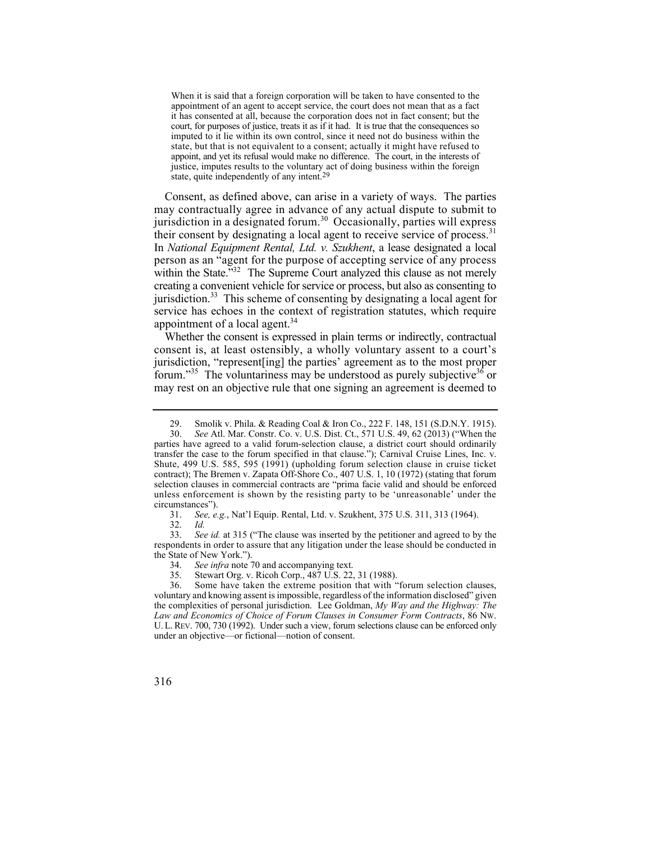court, for purposes of justice, treats it as if it had. It is true that the consequences so When it is said that a foreign corporation will be taken to have consented to the appointment of an agent to accept service, the court does not mean that as a fact it has consented at all, because the corporation does not in fact consent; but the imputed to it lie within its own control, since it need not do business within the state, but that is not equivalent to a consent; actually it might have refused to appoint, and yet its refusal would make no difference. The court, in the interests of justice, imputes results to the voluntary act of doing business within the foreign state, quite independently of any [intent.29](https://intent.29)

 may contractually agree in advance of any actual dispute to submit to In *National Equipment Rental, Ltd. v. Szukhent*, a lease designated a local within the State."<sup>32</sup> The Supreme Court analyzed this clause as not merely jurisdiction.<sup>33</sup> This scheme of consenting by designating a local agent for Consent, as defined above, can arise in a variety of ways. The parties jurisdiction in a designated [forum.](https://forum.30)<sup>30</sup> Occasionally, parties will express their consent by designating a local agent to receive service of [process.](https://process.31)<sup>31</sup> person as an "agent for the purpose of accepting service of any process creating a convenient vehicle for service or process, but also as consenting to service has echoes in the context of registration statutes, which require appointment of a local agent. $34$ 

 Whether the consent is expressed in plain terms or indirectly, contractual consent is, at least ostensibly, a wholly voluntary assent to a court's jurisdiction, "represent[ing] the parties' agreement as to the most proper forum."<sup>35</sup> The voluntariness may be understood as purely subjective<sup>36</sup> or may rest on an objective rule that one signing an agreement is deemed to

<sup>29.</sup> Smolik v. Phila. & Reading Coal & Iron Co., 222 F. 148, 151 (S.D.N.Y. 1915).<br>30. See Atl. Mar. Constr. Co. v. U.S. Dist. Ct., 571 U.S. 49, 62 (2013) ("When the

<sup>30.</sup> *See* Atl. Mar. Constr. Co. v. U.S. Dist. Ct., 571 U.S. 49, 62 (2013) ("When the parties have agreed to a valid forum-selection clause, a district court should ordinarily transfer the case to the forum specified in that clause."); Carnival Cruise Lines, Inc. v. Shute, 499 U.S. 585, 595 (1991) (upholding forum selection clause in cruise ticket contract); The Bremen v. Zapata Off-Shore Co., 407 U.S. 1, 10 (1972) (stating that forum selection clauses in commercial contracts are "prima facie valid and should be enforced unless enforcement is shown by the resisting party to be 'unreasonable' under the circumstances").

<sup>31.</sup> *See, e.g.*, Nat'l Equip. Rental, Ltd. v. Szukhent, 375 U.S. 311, 313 (1964).

<sup>32.</sup> *Id.* 

 respondents in order to assure that any litigation under the lease should be conducted in 33. *See id.* at 315 ("The clause was inserted by the petitioner and agreed to by the the State of New York.").

<sup>34.</sup> *See infra* note 70 and accompanying text.

<sup>35.</sup> Stewart Org. v. Ricoh Corp., 487 U.S. 22, 31 (1988).

 the complexities of personal jurisdiction. Lee Goldman, *My Way and the Highway: The* U. L. REV. 700, 730 (1992). Under such a view, forum selections clause can be enforced only Some have taken the extreme position that with "forum selection clauses, voluntary and knowing assent is impossible, regardless of the information disclosed" given *Law and Economics of Choice of Forum Clauses in Consumer Form Contracts*, 86 NW. under an objective—or fictional—notion of consent.

<sup>316</sup>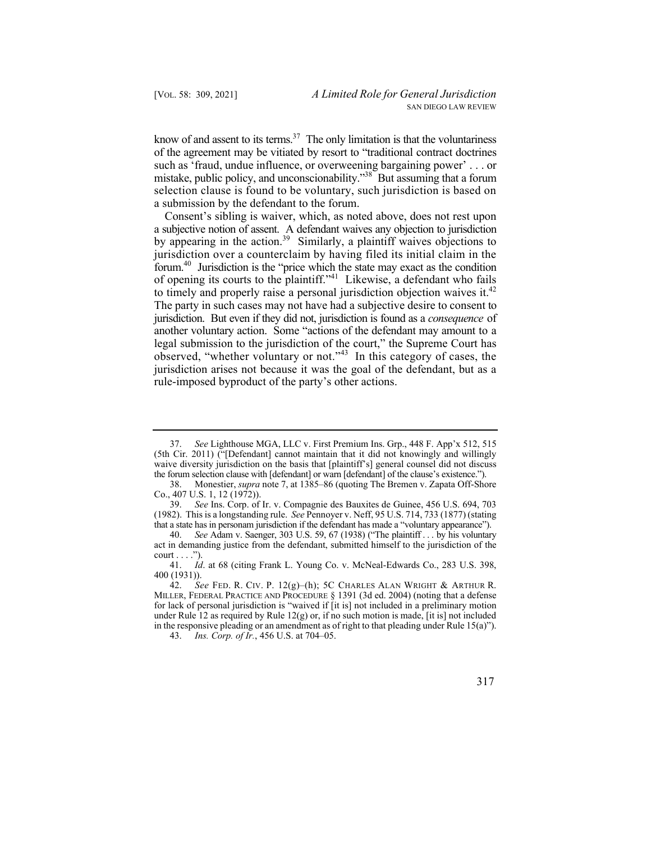know of and assent to its terms. $37$  The only limitation is that the voluntariness of the agreement may be vitiated by resort to "traditional contract doctrines such as 'fraud, undue influence, or overweening bargaining power' . . . or mistake, public policy, and unconscionability."<sup>38</sup> But assuming that a forum selection clause is found to be voluntary, such jurisdiction is based on a submission by the defendant to the forum.

to timely and properly raise a personal jurisdiction objection waives it. $42$  another voluntary action. Some "actions of the defendant may amount to a Consent's sibling is waiver, which, as noted above, does not rest upon a subjective notion of assent. A defendant waives any objection to jurisdiction by appearing in the [action.](https://action.39)<sup>39</sup> Similarly, a plaintiff waives objections to jurisdiction over a counterclaim by having filed its initial claim in the [forum.40](https://forum.40) Jurisdiction is the "price which the state may exact as the condition of opening its courts to the plaintiff."41 Likewise, a defendant who fails The party in such cases may not have had a subjective desire to consent to jurisdiction. But even if they did not, jurisdiction is found as a *consequence* of legal submission to the jurisdiction of the court," the Supreme Court has observed, "whether voluntary or not."43 In this category of cases, the jurisdiction arises not because it was the goal of the defendant, but as a rule-imposed byproduct of the party's other actions.

<sup>37.</sup> *See* Lighthouse MGA, LLC v. First Premium Ins. Grp., 448 F. App'x 512, 515 (5th Cir. 2011) ("[Defendant] cannot maintain that it did not knowingly and willingly waive diversity jurisdiction on the basis that [plaintiff's] general counsel did not discuss the forum selection clause with [defendant] or warn [defendant] of the clause's existence.").

 38. Monestier, *supra* note 7, at 1385–86 (quoting The Bremen v. Zapata Off-Shore Co., 407 U.S. 1, 12 (1972)).

 (1982). This is a longstanding rule. *See* Pennoyer v. Neff, 95 U.S. 714, 733 (1877) (stating that a state has in personam jurisdiction if the defendant has made a "voluntary appearance"). 39. *See* Ins. Corp. of Ir. v. Compagnie des Bauxites de Guinee, 456 U.S. 694, 703

<sup>40.</sup> *See* Adam v. Saenger, 303 U.S. 59, 67 (1938) ("The plaintiff . . . by his voluntary act in demanding justice from the defendant, submitted himself to the jurisdiction of the  $court \ldots$ ").

<sup>41.</sup> *Id*. at 68 (citing Frank L. Young Co. v. McNeal-Edwards Co., 283 U.S. 398,  $400(1931)$ .<br>42. Se

 42. *See* FED. R. CIV. P. 12(g)–(h); 5C CHARLES ALAN WRIGHT & ARTHUR R. MILLER, FEDERAL PRACTICE AND PROCEDURE § 1391 (3d ed. 2004) (noting that a defense for lack of personal jurisdiction is "waived if [it is] not included in a preliminary motion under Rule 12 as required by Rule  $12(g)$  or, if no such motion is made, [it is] not included in the responsive pleading or an amendment as of right to that pleading under Rule  $15(a)$ ").

<sup>43.</sup> *Ins. Corp. of Ir.*, 456 U.S. at 704–05.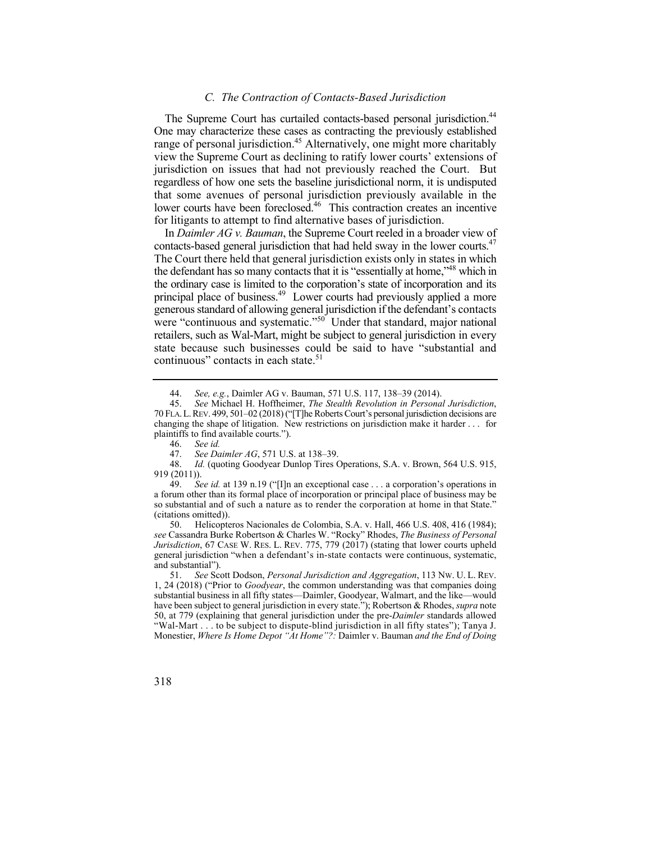## *C. The Contraction of Contacts-Based Jurisdiction*

The Supreme Court has curtailed contacts-based personal jurisdiction.<sup>44</sup> One may characterize these cases as contracting the previously established range of personal jurisdiction.<sup>45</sup> Alternatively, one might more charitably view the Supreme Court as declining to ratify lower courts' extensions of jurisdiction on issues that had not previously reached the Court. But regardless of how one sets the baseline jurisdictional norm, it is undisputed that some avenues of personal jurisdiction previously available in the lower courts have been foreclosed.<sup>46</sup> This contraction creates an incentive for litigants to attempt to find alternative bases of jurisdiction.

contacts-based general jurisdiction that had held sway in the lower courts.<sup>47</sup> the ordinary case is limited to the corporation's state of incorporation and its principal place of business.<sup>49</sup> Lower courts had previously applied a more retailers, such as Wal-Mart, might be subject to general jurisdiction in every In *Daimler AG v. Bauman*, the Supreme Court reeled in a broader view of The Court there held that general jurisdiction exists only in states in which the defendant has so many contacts that it is "essentially at home,"48 which in generous standard of allowing general jurisdiction if the defendant's contacts were "continuous and systematic."<sup>50</sup> Under that standard, major national state because such businesses could be said to have "substantial and continuous" contacts in each [state.](https://state.51)<sup>51</sup>

Id. (quoting Goodyear Dunlop Tires Operations, S.A. v. Brown, 564 U.S. 915, 919 (2011)).

 so substantial and of such a nature as to render the corporation at home in that State." 49. *See id.* at 139 n.19 ("[I]n an exceptional case . . . a corporation's operations in a forum other than its formal place of incorporation or principal place of business may be (citations omitted)).

 *Jurisdiction*, 67 CASE W. RES. L. REV. 775, 779 (2017) (stating that lower courts upheld 50. Helicopteros Nacionales de Colombia, S.A. v. Hall, 466 U.S. 408, 416 (1984); *see* Cassandra Burke Robertson & Charles W. "Rocky" Rhodes, *The Business of Personal*  general jurisdiction "when a defendant's in-state contacts were continuous, systematic, and substantial").

 51. *See* Scott Dodson, *Personal Jurisdiction and Aggregation*, 113 NW. U. L. REV. 1, 24 (2018) ("Prior to *Goodyear*, the common understanding was that companies doing substantial business in all fifty states—Daimler, Goodyear, Walmart, and the like—would have been subject to general jurisdiction in every state."); Robertson & Rhodes, *supra* note 50, at 779 (explaining that general jurisdiction under the pre-*Daimler* standards allowed "Wal-Mart . . . to be subject to dispute-blind jurisdiction in all fifty states"); Tanya J. Monestier, *Where Is Home Depot "At Home"?:* Daimler v. Bauman *and the End of Doing* 

<sup>44.</sup> *See, e.g.*, Daimler AG v. Bauman, 571 U.S. 117, 138–39 (2014).

 70 FLA.L.REV. 499, 501–02 (2018) ("[T]he Roberts Court's personal jurisdiction decisions are changing the shape of litigation. New restrictions on jurisdiction make it harder . . . for 45. *See* Michael H. Hoffheimer, *The Stealth Revolution in Personal Jurisdiction*, plaintiffs to find available courts.").

<sup>46.</sup> *See id.*

<sup>47.</sup> *See Daimler AG*, 571 U.S. at 138–39.<br>48. *Id.* (quoting Goodyear Dunlop Tires C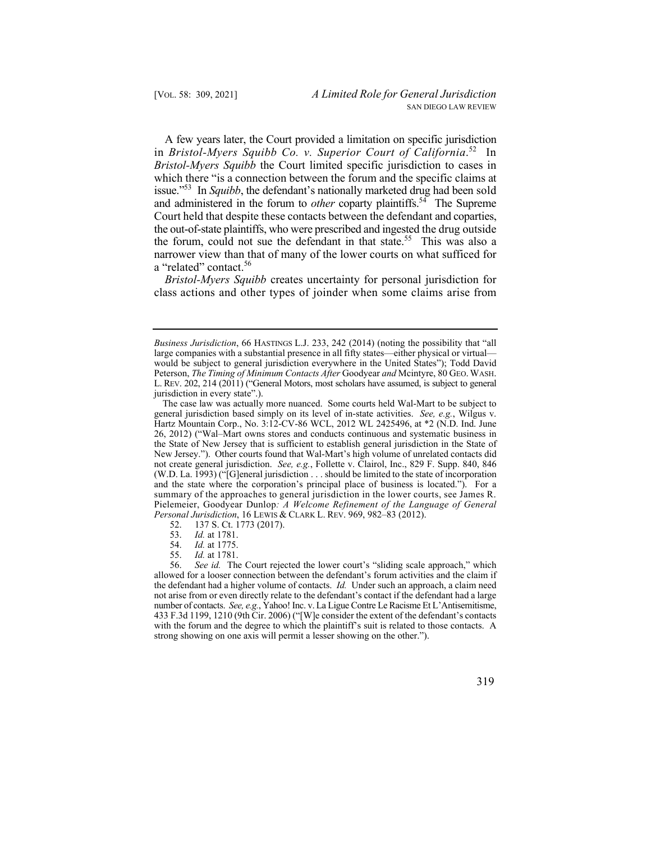in *Bristol-Myers Squibb Co. v. Superior Court of [California](https://California.52)*. 52 In issue."53 In *Squibb*, the defendant's nationally marketed drug had been sold Court held that despite these contacts between the defendant and coparties, the out-of-state plaintiffs, who were prescribed and ingested the drug outside the forum, could not sue the defendant in that [state.](https://state.55)<sup>55</sup> This was also a A few years later, the Court provided a limitation on specific jurisdiction *Bristol-Myers Squibb* the Court limited specific jurisdiction to cases in which there "is a connection between the forum and the specific claims at and administered in the forum to *other* coparty plaintiffs.<sup>54</sup> The Supreme narrower view than that of many of the lower courts on what sufficed for a "related" [contact.](https://contact.56)<sup>56</sup>

 class actions and other types of joinder when some claims arise from *Bristol-Myers Squibb* creates uncertainty for personal jurisdiction for

 allowed for a looser connection between the defendant's forum activities and the claim if the defendant had a higher volume of contacts. *Id.* Under such an approach, a claim need number of contacts. *See, e.g.*, Yahoo! Inc. v. La Ligue Contre Le Racisme Et L'Antisemitisme, 56. *See id.* The Court rejected the lower court's "sliding scale approach," which not arise from or even directly relate to the defendant's contact if the defendant had a large 433 F.3d 1199, 1210 (9th Cir. 2006) ("[W]e consider the extent of the defendant's contacts with the forum and the degree to which the plaintiff's suit is related to those contacts. A strong showing on one axis will permit a lesser showing on the other.").



 Peterson, *The Timing of Minimum Contacts After* Goodyear *and* Mcintyre, 80 GEO. WASH. *Business Jurisdiction*, 66 HASTINGS L.J. 233, 242 (2014) (noting the possibility that "all large companies with a substantial presence in all fifty states—either physical or virtual would be subject to general jurisdiction everywhere in the United States"); Todd David L. REV. 202, 214 (2011) ("General Motors, most scholars have assumed, is subject to general jurisdiction in every state".).

 New Jersey."). Other courts found that Wal-Mart's high volume of unrelated contacts did The case law was actually more nuanced. Some courts held Wal-Mart to be subject to general jurisdiction based simply on its level of in-state activities. *See, e.g.*, Wilgus v. Hartz Mountain Corp., No. 3:12-CV-86 WCL, 2012 WL 2425496, at \*2 (N.D. Ind. June 26, 2012) ("Wal–Mart owns stores and conducts continuous and systematic business in the State of New Jersey that is sufficient to establish general jurisdiction in the State of not create general jurisdiction. *See, e.g.*, Follette v. Clairol, Inc., 829 F. Supp. 840, 846 (W.D. La. 1993) ("[G]eneral jurisdiction . . . should be limited to the state of incorporation and the state where the corporation's principal place of business is located."). For a summary of the approaches to general jurisdiction in the lower courts, see James R. Pielemeier, Goodyear Dunlop*: A Welcome Refinement of the Language of General Personal Jurisdiction*, 16 LEWIS & CLARK L. REV. 969, 982–83 (2012).

<sup>137</sup> S. Ct. 1773 (2017).

<sup>53.</sup> *Id.* at 1781.

<sup>54.</sup> *Id.* at 1775.

<sup>55.</sup> *Id.* at 1781.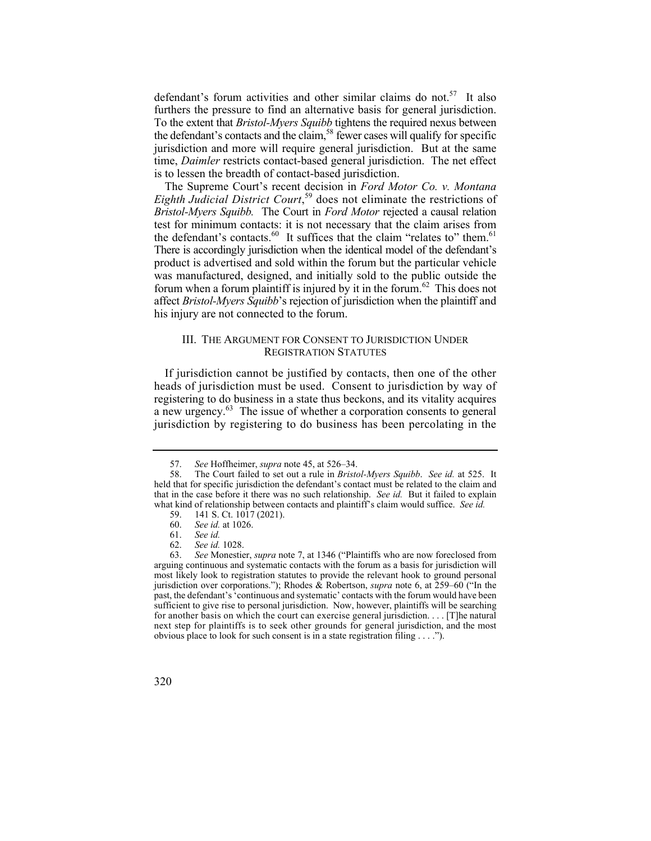defendant's forum activities and other similar claims do not.<sup>57</sup> It also the defendant's contacts and the claim,<sup>58</sup> fewer cases will qualify for specific furthers the pressure to find an alternative basis for general jurisdiction. To the extent that *Bristol-Myers Squibb* tightens the required nexus between jurisdiction and more will require general jurisdiction. But at the same time, *Daimler* restricts contact-based general jurisdiction. The net effect is to lessen the breadth of contact-based jurisdiction.

the defendant's [contacts.](https://contacts.60)<sup>60</sup> It suffices that the claim "relates to" them.<sup>61</sup> The Supreme Court's recent decision in *Ford Motor Co. v. Montana Eighth Judicial District Court*, 59 does not eliminate the restrictions of *Bristol-Myers Squibb.* The Court in *Ford Motor* rejected a causal relation test for minimum contacts: it is not necessary that the claim arises from There is accordingly jurisdiction when the identical model of the defendant's product is advertised and sold within the forum but the particular vehicle was manufactured, designed, and initially sold to the public outside the forum when a forum plaintiff is injured by it in the [forum.](https://forum.62)<sup>62</sup> This does not affect *Bristol-Myers Squibb*'s rejection of jurisdiction when the plaintiff and his injury are not connected to the forum.

## III. THE ARGUMENT FOR CONSENT TO JURISDICTION UNDER REGISTRATION STATUTES

If jurisdiction cannot be justified by contacts, then one of the other heads of jurisdiction must be used. Consent to jurisdiction by way of registering to do business in a state thus beckons, and its vitality acquires a new urgency. $^{63}$  The issue of whether a corporation consents to general jurisdiction by registering to do business has been percolating in the

 for another basis on which the court can exercise general jurisdiction. . . . [T]he natural next step for plaintiffs is to seek other grounds for general jurisdiction, and the most 63. *See* Monestier, *supra* note 7, at 1346 ("Plaintiffs who are now foreclosed from arguing continuous and systematic contacts with the forum as a basis for jurisdiction will most likely look to registration statutes to provide the relevant hook to ground personal jurisdiction over corporations."); Rhodes & Robertson, *supra* note 6, at 259–60 ("In the past, the defendant's 'continuous and systematic' contacts with the forum would have been sufficient to give rise to personal jurisdiction. Now, however, plaintiffs will be searching obvious place to look for such consent is in a state registration filing . . . .").



<sup>57.</sup> *See* Hoffheimer, *supra* note 45, at 526–34.

 that in the case before it there was no such relationship. *See id.* But it failed to explain what kind of relationship between contacts and plaintiff's claim would suffice. *See id.*  58. The Court failed to set out a rule in *Bristol-Myers Squibb*. *See id.* at 525. It held that for specific jurisdiction the defendant's contact must be related to the claim and

<sup>59. 141</sup> S. Ct. 1017 (2021).<br>60. *See id.* at 1026.

<sup>60.</sup> *See id.* at 1026.

<sup>61.</sup> *See id.*

 <sup>62.</sup> *See id.* 1028.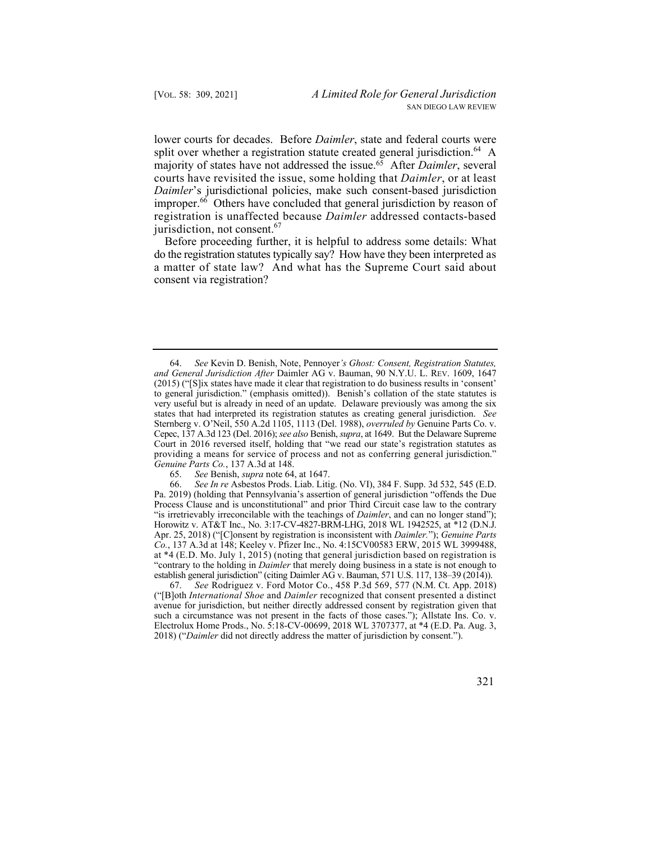lower courts for decades. Before *Daimler*, state and federal courts were split over whether a registration statute created general [jurisdiction.](https://jurisdiction.64)<sup>64</sup> A majority of states have not addressed the [issue.65](https://issue.65) After *Daimler*, several courts have revisited the issue, some holding that *Daimler*, or at least *Daimler*'s jurisdictional policies, make such consent-based jurisdiction [improper.](https://improper.66)<sup>66</sup> Others have concluded that general jurisdiction by reason of registration is unaffected because *Daimler* addressed contacts-based jurisdiction, not consent.<sup>67</sup>

 do the registration statutes typically say? How have they been interpreted as Before proceeding further, it is helpful to address some details: What a matter of state law? And what has the Supreme Court said about consent via registration?

65. *See* Benish, *supra* note 64, at 1647.

 67. *See* Rodriguez v. Ford Motor Co., 458 P.3d 569, 577 (N.M. Ct. App. 2018) such a circumstance was not present in the facts of those cases."); Allstate Ins. Co. v. ("[B]oth *International Shoe* and *Daimler* recognized that consent presented a distinct avenue for jurisdiction, but neither directly addressed consent by registration given that Electrolux Home Prods., No. 5:18-CV-00699, 2018 WL 3707377, at \*4 (E.D. Pa. Aug. 3, 2018) ("*Daimler* did not directly address the matter of jurisdiction by consent.").

 very useful but is already in need of an update. Delaware previously was among the six 64. *See* Kevin D. Benish, Note, Pennoyer*'s Ghost: Consent, Registration Statutes, and General Jurisdiction After* Daimler AG v. Bauman, 90 N.Y.U. L. REV. 1609, 1647 (2015) ("[S]ix states have made it clear that registration to do business results in 'consent' to general jurisdiction." (emphasis omitted)). Benish's collation of the state statutes is states that had interpreted its registration statutes as creating general jurisdiction. *See*  Sternberg v. O'Neil, 550 A.2d 1105, 1113 (Del. 1988), *overruled by* Genuine Parts Co. v. Cepec, 137 A.3d 123 (Del. 2016); *see also* Benish, *supra*, at 1649. But the Delaware Supreme Court in 2016 reversed itself, holding that "we read our state's registration statutes as providing a means for service of process and not as conferring general jurisdiction." *Genuine Parts Co.*, 137 A.3d at 148.

 establish general jurisdiction" (citing Daimler AG v. Bauman, 571 U.S. 117, 138–39 (2014)). 66. *See In re* Asbestos Prods. Liab. Litig. (No. VI), 384 F. Supp. 3d 532, 545 (E.D. Pa. 2019) (holding that Pennsylvania's assertion of general jurisdiction "offends the Due Process Clause and is unconstitutional" and prior Third Circuit case law to the contrary "is irretrievably irreconcilable with the teachings of *Daimler*, and can no longer stand"); Horowitz v. AT&T Inc., No. 3:17-CV-4827-BRM-LHG, 2018 WL 1942525, at \*12 (D.N.J. Apr. 25, 2018) ("[C]onsent by registration is inconsistent with *Daimler.*"); *Genuine Parts Co.*, 137 A.3d at 148; Keeley v. Pfizer Inc., No. 4:15CV00583 ERW, 2015 WL 3999488, at \*4 (E.D. Mo. July 1, 2015) (noting that general jurisdiction based on registration is "contrary to the holding in *Daimler* that merely doing business in a state is not enough to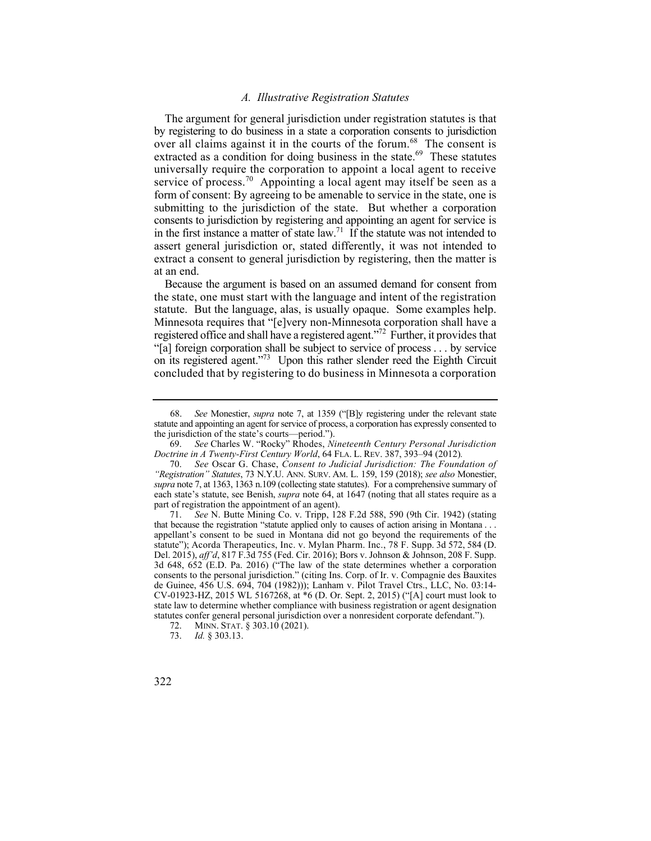#### *A. Illustrative Registration Statutes*

The argument for general jurisdiction under registration statutes is that by registering to do business in a state a corporation consents to jurisdiction over all claims against it in the courts of the [forum.](https://forum.68)<sup>68</sup> The consent is extracted as a condition for doing business in the [state.](https://state.69)<sup>69</sup> These statutes universally require the corporation to appoint a local agent to receive service of [process.](https://process.70)<sup>70</sup> Appointing a local agent may itself be seen as a form of consent: By agreeing to be amenable to service in the state, one is submitting to the jurisdiction of the state. But whether a corporation consents to jurisdiction by registering and appointing an agent for service is in the first instance a matter of state law.<sup>71</sup> If the statute was not intended to assert general jurisdiction or, stated differently, it was not intended to extract a consent to general jurisdiction by registering, then the matter is at an end.

on its registered agent."<sup>73</sup> Upon this rather slender reed the Eighth Circuit Because the argument is based on an assumed demand for consent from the state, one must start with the language and intent of the registration statute. But the language, alas, is usually opaque. Some examples help. Minnesota requires that "[e]very non-Minnesota corporation shall have a registered office and shall have a registered agent."<sup>72</sup> Further, it provides that "[a] foreign corporation shall be subject to service of process . . . by service concluded that by registering to do business in Minnesota a corporation

<sup>68.</sup>  statute and appointing an agent for service of process, a corporation has expressly consented to 68. *See* Monestier, *supra* note 7, at 1359 ("[B]y registering under the relevant state the jurisdiction of the state's courts—period.").

 *Doctrine in A Twenty-First Century World*, 64 FLA. L. REV. 387, 393–94 (2012)*.* 69. *See* Charles W. "Rocky" Rhodes, *Nineteenth Century Personal Jurisdiction* 

 <sup>70.</sup> *See* Oscar G. Chase, *Consent to Judicial Jurisdiction: The Foundation of "Registration" Statutes*, 73 N.Y.U. ANN. SURV. AM. L. 159, 159 (2018); *see also* Monestier, *supra* note 7, at 1363, 1363 n.109 (collecting state statutes). For a comprehensive summary of each state's statute, see Benish, *supra* note 64, at 1647 (noting that all states require as a part of registration the appointment of an agent).

 that because the registration "statute applied only to causes of action arising in Montana . . . 71. *See* N. Butte Mining Co. v. Tripp, 128 F.2d 588, 590 (9th Cir. 1942) (stating appellant's consent to be sued in Montana did not go beyond the requirements of the statute"); Acorda Therapeutics, Inc. v. Mylan Pharm. Inc., 78 F. Supp. 3d 572, 584 (D. Del. 2015), *aff'd*, 817 F.3d 755 (Fed. Cir. 2016); Bors v. Johnson & Johnson, 208 F. Supp. 3d 648, 652 (E.D. Pa. 2016) ("The law of the state determines whether a corporation consents to the personal jurisdiction." (citing Ins. Corp. of Ir. v. Compagnie des Bauxites de Guinee, 456 U.S. 694, 704 (1982))); Lanham v. Pilot Travel Ctrs., LLC, No. 03:14- CV-01923-HZ, 2015 WL 5167268, at \*6 (D. Or. Sept. 2, 2015) ("[A] court must look to state law to determine whether compliance with business registration or agent designation statutes confer general personal jurisdiction over a nonresident corporate defendant.").

<sup>72.</sup> MINN. STAT. § 303.10 (2021).

<sup>73.</sup> *Id.* § 303.13.

<sup>322</sup>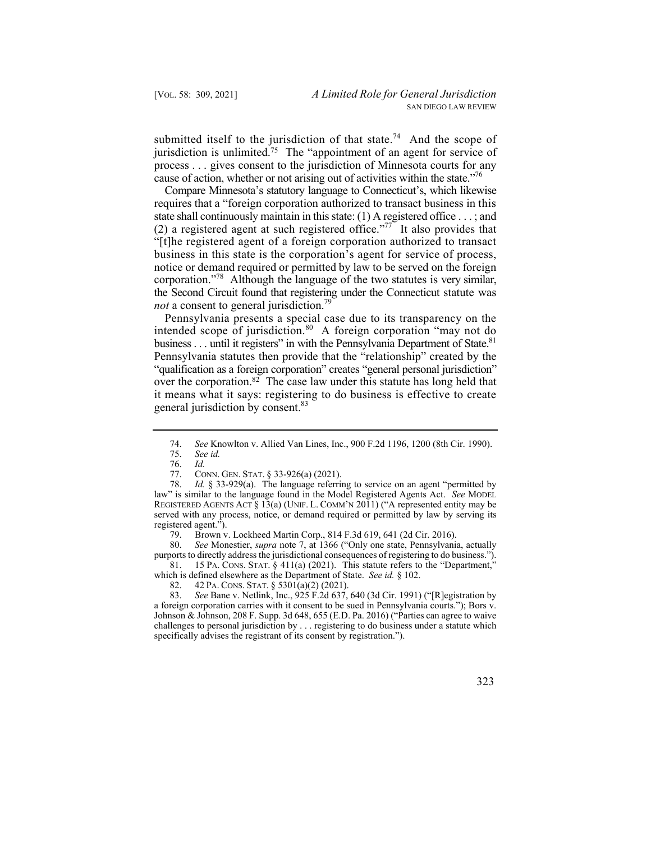jurisdiction is unlimited.<sup>75</sup> The "appointment of an agent for service of cause of action, whether or not arising out of activities within the state."<sup>76</sup> submitted itself to the jurisdiction of that [state.](https://state.74)<sup>74</sup> And the scope of process . . . gives consent to the jurisdiction of Minnesota courts for any

corporation."<sup>78</sup> Although the language of the two statutes is very similar, the Second Circuit found that registering under the Connecticut statute was Compare Minnesota's statutory language to Connecticut's, which likewise requires that a "foreign corporation authorized to transact business in this state shall continuously maintain in this state: (1) A registered office . . . ; and (2) a registered agent at such registered office."<sup>77</sup> It also provides that "[t]he registered agent of a foreign corporation authorized to transact business in this state is the corporation's agent for service of process, notice or demand required or permitted by law to be served on the foreign not a consent to general jurisdiction.<sup>79</sup>

business . . . until it registers" in with the Pennsylvania Department of State.<sup>81</sup> Pennsylvania presents a special case due to its transparency on the intended scope of [jurisdiction.](https://jurisdiction.80)<sup>80</sup> A foreign corporation "may not do Pennsylvania statutes then provide that the "relationship" created by the "qualification as a foreign corporation" creates "general personal jurisdiction" over the corporation. $82$  The case law under this statute has long held that it means what it says: registering to do business is effective to create general jurisdiction by consent.<sup>83</sup>

 81. 15 PA. CONS. STAT. § 411(a) (2021). This statute refers to the "Department," 80. *See* Monestier, *supra* note 7, at 1366 ("Only one state, Pennsylvania, actually purports to directly address the jurisdictional consequences of registering to do business.").

83. *See* Bane v. Netlink, Inc., 925 F.2d 637, 640 (3d Cir. 1991) ("[R]egistration by a foreign corporation carries with it consent to be sued in Pennsylvania courts."); Bors v. Johnson & Johnson, 208 F. Supp. 3d 648, 655 (E.D. Pa. 2016) ("Parties can agree to waive challenges to personal jurisdiction by . . . registering to do business under a statute which specifically advises the registrant of its consent by registration.").



<sup>74.</sup> *See* Knowlton v. Allied Van Lines, Inc., 900 F.2d 1196, 1200 (8th Cir. 1990).

<sup>75.</sup> *See id.*

 <sup>76.</sup> *Id.*

 77. CONN. GEN. STAT. § 33-926(a) (2021).

 REGISTERED AGENTS ACT § 13(a) (UNIF. L. COMM'N 2011) ("A represented entity may be 78. *Id.* § 33-929(a). The language referring to service on an agent "permitted by law" is similar to the language found in the Model Registered Agents Act. *See* MODEL served with any process, notice, or demand required or permitted by law by serving its registered agent.").

<sup>79.</sup> Brown v. Lockheed Martin Corp., 814 F.3d 619, 641 (2d Cir. 2016).

 which is defined elsewhere as the Department of State. *See id.* § 102.

 82. 42 PA. CONS. STAT. § 5301(a)(2) (2021).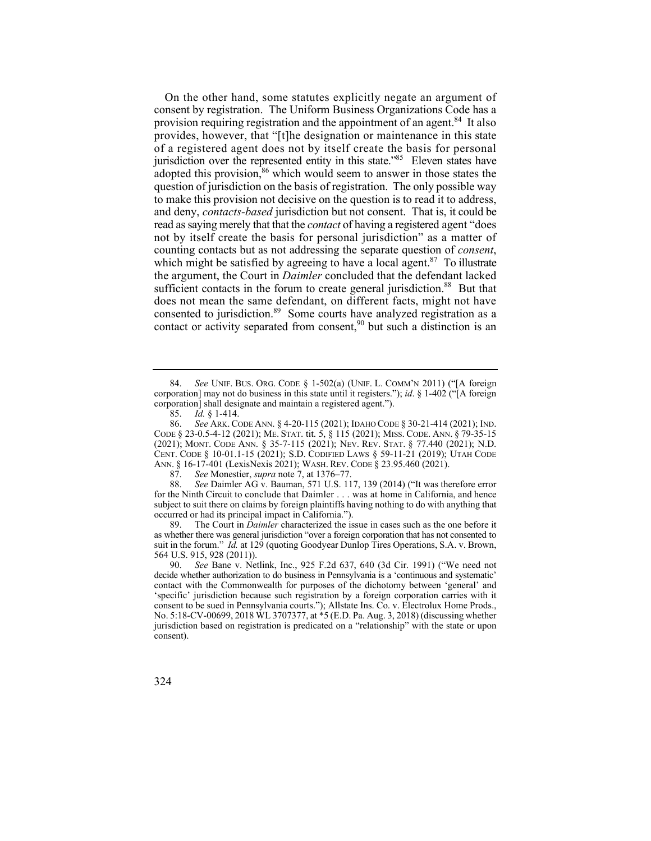provides, however, that "[t]he designation or maintenance in this state jurisdiction over the represented entity in this state."<sup>85</sup> Eleven states have and deny, *contacts-based* jurisdiction but not consent. That is, it could be read as saying merely that that the *contact* of having a registered agent "does not by itself create the basis for personal jurisdiction" as a matter of On the other hand, some statutes explicitly negate an argument of consent by registration. The Uniform Business Organizations Code has a provision requiring registration and the appointment of an agent.<sup>84</sup> It also of a registered agent does not by itself create the basis for personal adopted this provision,<sup>86</sup> which would seem to answer in those states the question of jurisdiction on the basis of registration. The only possible way to make this provision not decisive on the question is to read it to address, counting contacts but as not addressing the separate question of *consent*, which might be satisfied by agreeing to have a local agent. $87$  To illustrate the argument, the Court in *Daimler* concluded that the defendant lacked sufficient contacts in the forum to create general iurisdiction.<sup>88</sup> But that does not mean the same defendant, on different facts, might not have consented to [jurisdiction.89](https://jurisdiction.89) Some courts have analyzed registration as a contact or activity separated from consent.<sup>90</sup> but such a distinction is an

87. *See* Monestier, *supra* note 7, at 1376–77.

 for the Ninth Circuit to conclude that Daimler . . . was at home in California, and hence 88. *See* Daimler AG v. Bauman, 571 U.S. 117, 139 (2014) ("It was therefore error subject to suit there on claims by foreign plaintiffs having nothing to do with anything that occurred or had its principal impact in California.").

89. The Court in *Daimler* characterized the issue in cases such as the one before it as whether there was general jurisdiction "over a foreign corporation that has not consented to suit in the forum." *Id.* at 129 (quoting Goodyear Dunlop Tires Operations, S.A. v. Brown, 564 U.S. 915, 928 (2011)).

 'specific' jurisdiction because such registration by a foreign corporation carries with it 90. *See* Bane v. Netlink, Inc., 925 F.2d 637, 640 (3d Cir. 1991) ("We need not decide whether authorization to do business in Pennsylvania is a 'continuous and systematic' contact with the Commonwealth for purposes of the dichotomy between 'general' and consent to be sued in Pennsylvania courts."); Allstate Ins. Co. v. Electrolux Home Prods., No. 5:18-CV-00699, 2018 WL 3707377, at \*5 (E.D. Pa. Aug. 3, 2018) (discussing whether jurisdiction based on registration is predicated on a "relationship" with the state or upon consent).

 84. *See* UNIF. BUS. ORG. CODE § 1-502(a) (UNIF. L. COMM'N 2011) ("[A foreign corporation] may not do business in this state until it registers."); *id*. § 1-402 ("[A foreign corporation] shall designate and maintain a registered agent.").

<sup>85.</sup> *Id.* § 1-414.

 86. *See* ARK. CODE ANN. § 4-20-115 (2021); IDAHO CODE § 30-21-414 (2021); IND. CODE § 23-0.5-4-12 (2021); ME. STAT. tit. 5, § 115 (2021); MISS. CODE. ANN. § 79-35-15 (2021); MONT. CODE ANN. § 35-7-115 (2021); NEV. REV. STAT. § 77.440 (2021); N.D. ANN. § 16-17-401 (LexisNexis 2021); WASH. REV. CODE § 23.95.460 (2021). CENT. CODE § 10-01.1-15 (2021); S.D. CODIFIED LAWS § 59-11-21 (2019); UTAH CODE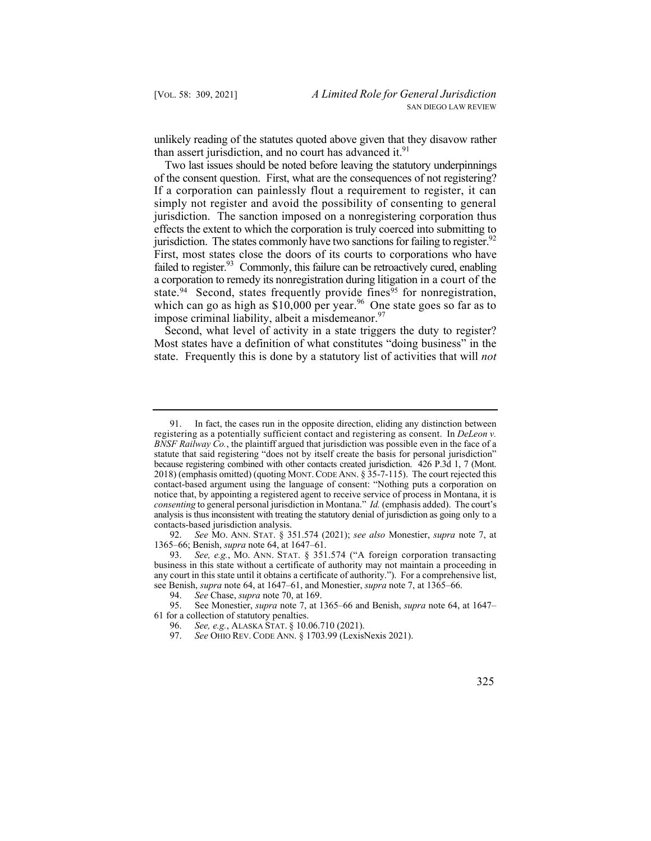unlikely reading of the statutes quoted above given that they disavow rather than assert jurisdiction, and no court has advanced it. $91$ 

 of the consent question. First, what are the consequences of not registering? jurisdiction. The states commonly have two sanctions for failing to register.<sup>92</sup> First, most states close the doors of its courts to corporations who have failed to register.<sup>93</sup> Commonly, this failure can be retroactively cured, enabling a corporation to remedy its nonregistration during litigation in a court of the Two last issues should be noted before leaving the statutory underpinnings If a corporation can painlessly flout a requirement to register, it can simply not register and avoid the possibility of consenting to general jurisdiction. The sanction imposed on a nonregistering corporation thus effects the extent to which the corporation is truly coerced into submitting to state.<sup>94</sup> Second, states frequently provide fines<sup>95</sup> for nonregistration, which can go as high as  $$10,000$  per year.<sup>96</sup> One state goes so far as to impose criminal liability, albeit a [misdemeanor.](https://misdemeanor.97) $97$ 

Second, what level of activity in a state triggers the duty to register? Most states have a definition of what constitutes "doing business" in the state. Frequently this is done by a statutory list of activities that will *not* 

 registering as a potentially sufficient contact and registering as consent. In *DeLeon v. consenting* to general personal jurisdiction in Montana." *Id.* (emphasis added). The court's analysis is thus inconsistent with treating the statutory denial of jurisdiction as going only to a In fact, the cases run in the opposite direction, eliding any distinction between *BNSF Railway Co.*, the plaintiff argued that jurisdiction was possible even in the face of a statute that said registering "does not by itself create the basis for personal jurisdiction" because registering combined with other contacts created jurisdiction. 426 P.3d 1, 7 (Mont. 2018) (emphasis omitted) (quoting MONT. CODE ANN. § 35-7-115). The court rejected this contact-based argument using the language of consent: "Nothing puts a corporation on notice that, by appointing a registered agent to receive service of process in Montana, it is contacts-based jurisdiction analysis.

 92. *See* MO. ANN. STAT. § 351.574 (2021); *see also* Monestier, *supra* note 7, at 1365–66; Benish, *supra* note 64, at 1647–61.

 93. *See, e.g.*, MO. ANN. STAT. § 351.574 ("A foreign corporation transacting any court in this state until it obtains a certificate of authority."). For a comprehensive list, business in this state without a certificate of authority may not maintain a proceeding in see Benish, *supra* note 64, at 1647–61, and Monestier, *supra* note 7, at 1365–66.

<sup>94.</sup> *See* Chase, *supra* note 70, at 169.

 95. See Monestier, *supra* note 7, at 1365–66 and Benish, *supra* note 64, at 1647– 61 for a collection of statutory penalties.

<sup>96.</sup> *See, e.g.*, ALASKA STAT. § 10.06.710 (2021).

<sup>97.</sup> *See* OHIO REV. CODE ANN. § 1703.99 (LexisNexis 2021).

 <sup>325</sup>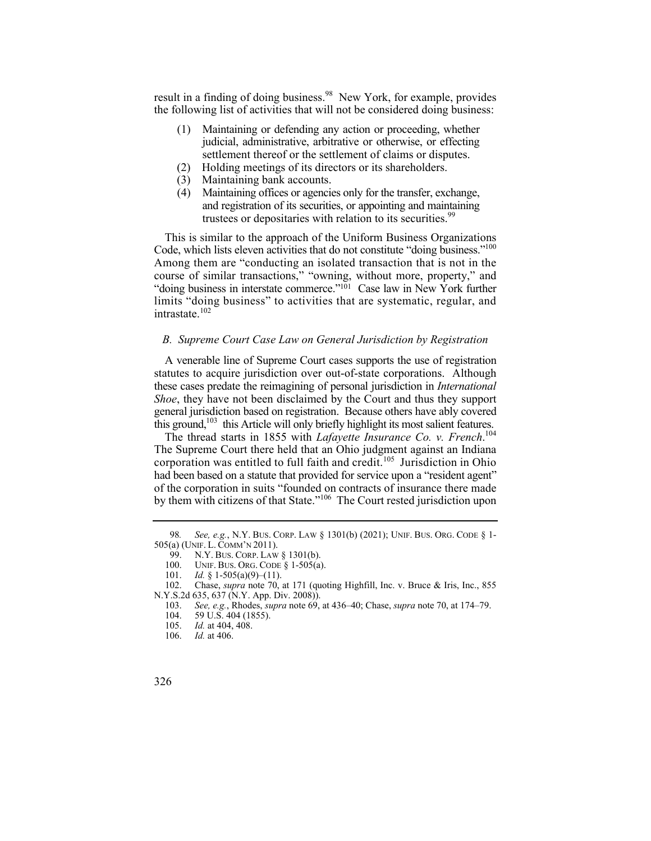result in a finding of doing [business.](https://business.98)<sup>98</sup> New York, for example, provides the following list of activities that will not be considered doing business:

- (1) Maintaining or defending any action or proceeding, whether judicial, administrative, arbitrative or otherwise, or effecting settlement thereof or the settlement of claims or disputes.
- (2) Holding meetings of its directors or its shareholders.
- (3) Maintaining bank accounts.
- (4) Maintaining offices or agencies only for the transfer, exchange, and registration of its securities, or appointing and maintaining trustees or depositaries with relation to its [securities.](https://securities.99)<sup>99</sup>

Code, which lists eleven activities that do not constitute "doing business."<sup>100</sup> This is similar to the approach of the Uniform Business Organizations Among them are "conducting an isolated transaction that is not in the course of similar transactions," "owning, without more, property," and "doing business in interstate commerce."101 Case law in New York further limits "doing business" to activities that are systematic, regular, and intrastate.<sup>102</sup>

## *B. Supreme Court Case Law on General Jurisdiction by Registration*

A venerable line of Supreme Court cases supports the use of registration statutes to acquire jurisdiction over out-of-state corporations. Although these cases predate the reimagining of personal jurisdiction in *International Shoe*, they have not been disclaimed by the Court and thus they support general jurisdiction based on registration. Because others have ably covered this ground, $103$  this Article will only briefly highlight its most salient features.

 The thread starts in 1855 with *Lafayette Insurance Co. v. French*. 104 The Supreme Court there held that an Ohio judgment against an Indiana corporation was entitled to full faith and credit.<sup>105</sup> Jurisdiction in Ohio had been based on a statute that provided for service upon a "resident agent" of the corporation in suits "founded on contracts of insurance there made by them with citizens of that State."<sup>106</sup> The Court rested jurisdiction upon

 98*. See, e.g.*, N.Y. BUS. CORP. LAW § 1301(b) (2021); UNIF. BUS. ORG. CODE § 1- 505(a) (UNIF. L. COMM'N 2011).

 99. N.Y. BUS. CORP. LAW § 1301(b).

 100. UNIF. BUS. ORG. CODE § 1-505(a).

<sup>101.</sup> *Id.* § 1-505(a)(9)–(11).

<sup>102.</sup> Chase, *supra* note 70, at 171 (quoting Highfill, Inc. v. Bruce & Iris, Inc., 855 [N.Y.S.2d](https://N.Y.S.2d) 635, 637 (N.Y. App. Div. 2008)).

<sup>103.</sup> *See, e.g.*, Rhodes, *supra* note 69, at 436–40; Chase, *supra* note 70, at 174–79.

<sup>59</sup> U.S. 404 (1855).

<sup>105.</sup> *Id.* at 404, 408.

<sup>106.</sup> *Id.* at 406.

<sup>326</sup>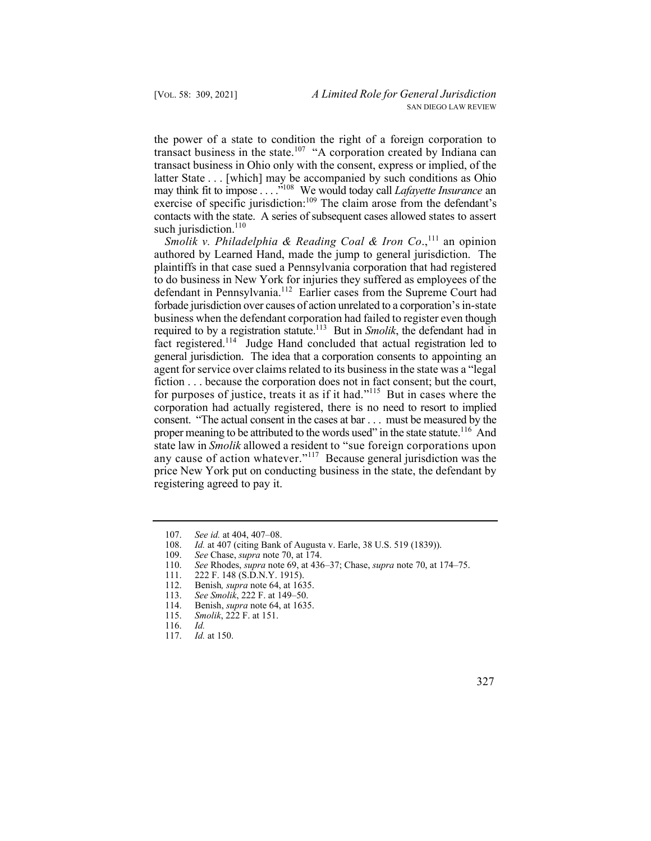contacts with the state. A series of subsequent cases allowed states to assert the power of a state to condition the right of a foreign corporation to transact business in the state.<sup>107</sup> "A corporation created by Indiana can transact business in Ohio only with the consent, express or implied, of the latter State . . . [which] may be accompanied by such conditions as Ohio may think fit to impose . . . ."108 We would today call *Lafayette Insurance* an exercise of specific jurisdiction:<sup>109</sup> The claim arose from the defendant's such jurisdiction.<sup>110</sup>

required to by a registration statute.<sup>113</sup> But in *Smolik*, the defendant had in fact registered.<sup>114</sup> Judge Hand concluded that actual registration led to general jurisdiction. The idea that a corporation consents to appointing an corporation had actually registered, there is no need to resort to implied any cause of action whatever."<sup>117</sup> Because general jurisdiction was the *Smolik v. Philadelphia & Reading Coal & Iron Co.*,<sup>111</sup> an opinion authored by Learned Hand, made the jump to general jurisdiction. The plaintiffs in that case sued a Pennsylvania corporation that had registered to do business in New York for injuries they suffered as employees of the defendant in Pennsylvania.<sup>112</sup> Earlier cases from the Supreme Court had forbade jurisdiction over causes of action unrelated to a corporation's in-state business when the defendant corporation had failed to register even though agent for service over claims related to its business in the state was a "legal fiction . . . because the corporation does not in fact consent; but the court, for purposes of justice, treats it as if it had."115 But in cases where the consent. "The actual consent in the cases at bar . . . must be measured by the proper meaning to be attributed to the words used" in the state statute.<sup>116</sup> And state law in *Smolik* allowed a resident to "sue foreign corporations upon price New York put on conducting business in the state, the defendant by registering agreed to pay it.



<sup>107.</sup> *See id.* at 404, 407–08.

<sup>108.</sup>  *Id.* at 407 (citing Bank of Augusta v. Earle, 38 U.S. 519 (1839)).

<sup>109.</sup>  *See* Chase, *supra* note 70, at 174.

<sup>110.</sup>  *See* Rhodes, *supra* note 69, at 436–37; Chase, *supra* note 70, at 174–75.

<sup>111.</sup>  222 F. 148 (S.D.N.Y. 1915).

<sup>112.</sup>  Benish*, supra* note 64, at 1635.

<sup>113.</sup>  *See Smolik*, 222 F. at 149–50.

<sup>114.</sup>  Benish, *supra* note 64, at 1635.

<sup>115.</sup>  *Smolik*, 222 F. at 151.

<sup>116.</sup> *Id.*

 <sup>117.</sup> *Id.* at 150.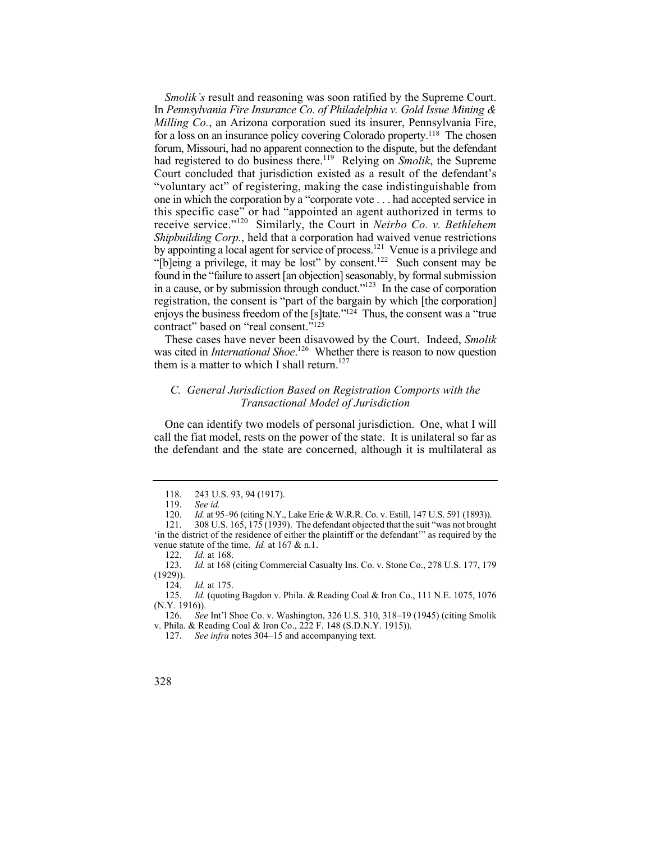In *Pennsylvania Fire Insurance Co. of Philadelphia v. Gold Issue Mining &*  in a cause, or by submission through conduct."<sup>123</sup> In the case of corporation registration, the consent is "part of the bargain by which [the corporation] enjoys the business freedom of the [s]tate."<sup>124</sup> Thus, the consent was a "true *Smolik's* result and reasoning was soon ratified by the Supreme Court. *Milling Co.*, an Arizona corporation sued its insurer, Pennsylvania Fire, for a loss on an insurance policy covering Colorado property.118 The chosen forum, Missouri, had no apparent connection to the dispute, but the defendant had registered to do business there.<sup>119</sup> Relying on *Smolik*, the Supreme Court concluded that jurisdiction existed as a result of the defendant's "voluntary act" of registering, making the case indistinguishable from one in which the corporation by a "corporate vote . . . had accepted service in this specific case" or had "appointed an agent authorized in terms to receive service."120 Similarly, the Court in *Neirbo Co. v. Bethlehem Shipbuilding Corp.*, held that a corporation had waived venue restrictions by appointing a local agent for service of process.<sup>121</sup> Venue is a privilege and "[b]eing a privilege, it may be lost" by consent.<sup>122</sup> Such consent may be found in the "failure to assert [an objection] seasonably, by formal submission contract" based on "real consent."125

These cases have never been disavowed by the Court. Indeed, *Smolik*  was cited in *International Shoe*.<sup>126</sup> Whether there is reason to now question them is a matter to which I shall return.<sup>127</sup>

# *C. General Jurisdiction Based on Registration Comports with the Transactional Model of Jurisdiction*

One can identify two models of personal jurisdiction. One, what I will call the fiat model, rests on the power of the state. It is unilateral so far as the defendant and the state are concerned, although it is multilateral as

<sup>118. 243</sup> U.S. 93, 94 (1917).

<sup>119.</sup> *See id.*

 <sup>120.</sup> *Id.* at 95–96 (citing N.Y., Lake Erie & W.R.R. Co. v. Estill, 147 U.S. 591 (1893)).

<sup>121. 308</sup> U.S. 165, 175 (1939). The defendant objected that the suit "was not brought 'in the district of the residence of either the plaintiff or the defendant'" as required by the venue statute of the time. *Id.* at 167 & n.1.

<sup>122.</sup> *Id.* at 168.

<sup>123.</sup> *Id.* at 168 (citing Commercial Casualty Ins. Co. v. Stone Co., 278 U.S. 177, 179  $(1929)$ ).<br>124.

*Id.* at 175.

<sup>125.</sup> *Id.* (quoting Bagdon v. Phila. & Reading Coal & Iron Co., 111 N.E. 1075, 1076  $(N.Y. 1916)$ ).<br>126. See

<sup>126.</sup> *See* Int'l Shoe Co. v. Washington, 326 U.S. 310, 318–19 (1945) (citing Smolik v. Phila. & Reading Coal & Iron Co., 222 F. 148 (S.D.N.Y. 1915)).

<sup>127.</sup> *See infra* notes 304–15 and accompanying text.

<sup>328</sup>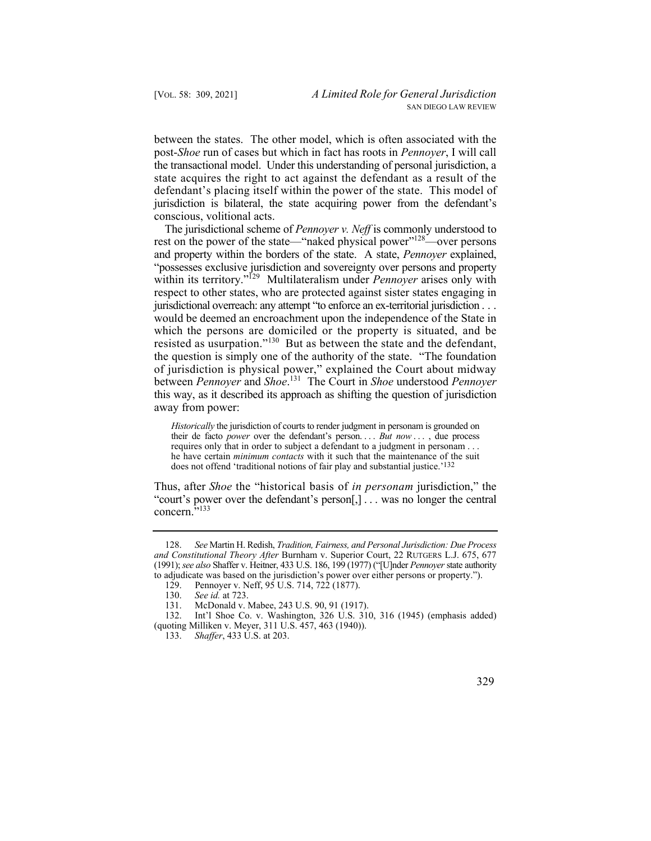between the states. The other model, which is often associated with the post-*Shoe* run of cases but which in fact has roots in *Pennoyer*, I will call the transactional model. Under this understanding of personal jurisdiction, a state acquires the right to act against the defendant as a result of the defendant's placing itself within the power of the state. This model of jurisdiction is bilateral, the state acquiring power from the defendant's conscious, volitional acts.

 The jurisdictional scheme of *Pennoyer v. Neff* is commonly understood to jurisdictional overreach: any attempt "to enforce an ex-territorial jurisdiction . . . resisted as usurpation."<sup>130</sup> But as between the state and the defendant, rest on the power of the state—"naked physical power"<sup>128</sup>—over persons and property within the borders of the state. A state, *Pennoyer* explained, "possesses exclusive jurisdiction and sovereignty over persons and property within its territory."<sup>129</sup> Multilateralism under *Pennover* arises only with respect to other states, who are protected against sister states engaging in would be deemed an encroachment upon the independence of the State in which the persons are domiciled or the property is situated, and be the question is simply one of the authority of the state. "The foundation of jurisdiction is physical power," explained the Court about midway between *Pennoyer* and *Shoe*. 131 The Court in *Shoe* understood *Pennoyer* this way, as it described its approach as shifting the question of jurisdiction away from power:

 their de facto *power* over the defendant's person. . . . *But now* . . . , due process *Historically* the jurisdiction of courts to render judgment in personam is grounded on requires only that in order to subject a defendant to a judgment in personam . . . he have certain *minimum contacts* with it such that the maintenance of the suit does not offend 'traditional notions of fair play and substantial justice.'132

 "court's power over the defendant's person[,] . . . was no longer the central Thus, after *Shoe* the "historical basis of *in personam* jurisdiction," the concern."<sup>133</sup>

<sup>133.</sup> *Shaffer*, 433 U.S. at 203.



 128. *See* Martin H. Redish, *Tradition, Fairness, and Personal Jurisdiction: Due Process and Constitutional Theory After* Burnham v. Superior Court, 22 RUTGERS L.J. 675, 677 (1991); *see also* Shaffer v. Heitner, 433 U.S. 186, 199 (1977) ("[U]nder *Pennoyer* state authority to adjudicate was based on the jurisdiction's power over either persons or property.").<br>129. Pennover v. Neff, 95 U.S. 714, 722 (1877).

Pennoyer v. Neff, 95 U.S. 714, 722 (1877).

<sup>130.</sup> *See id.* at 723.

<sup>131.</sup> McDonald v. Mabee, 243 U.S. 90, 91 (1917).<br>132. Int'l Shoe Co. v. Washington. 326 U.S. 31

Int'l Shoe Co. v. Washington,  $326$  U.S.  $310$ ,  $316$  (1945) (emphasis added) (quoting Milliken v. Meyer, 311 U.S. 457, 463 (1940)).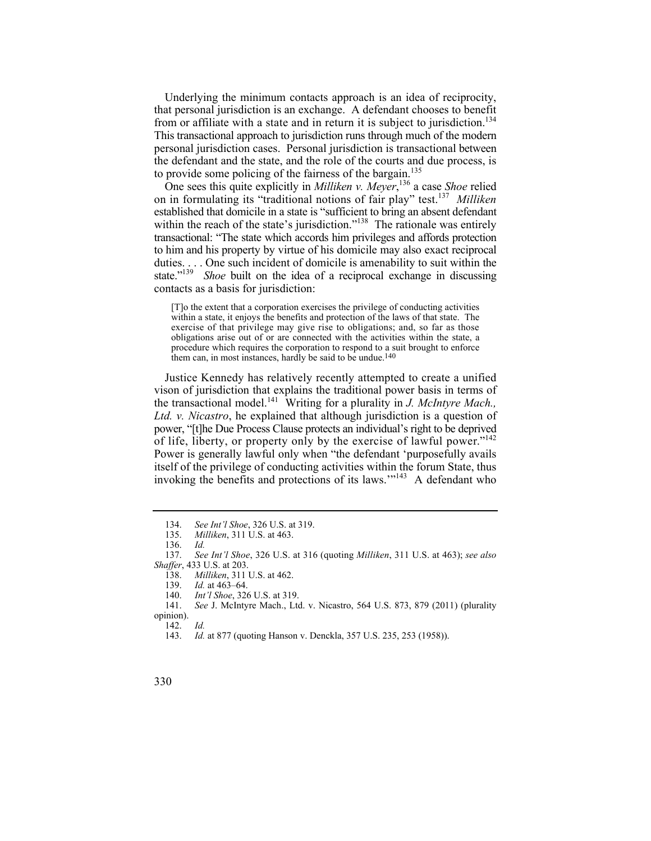from or affiliate with a state and in return it is subject to jurisdiction.<sup>134</sup> Underlying the minimum contacts approach is an idea of reciprocity, that personal jurisdiction is an exchange. A defendant chooses to benefit This transactional approach to jurisdiction runs through much of the modern personal jurisdiction cases. Personal jurisdiction is transactional between the defendant and the state, and the role of the courts and due process, is to provide some policing of the fairness of the bargain.<sup>135</sup>

 on in formulating its "traditional notions of fair play" test.<sup>137</sup>*Milliken*  to him and his property by virtue of his domicile may also exact reciprocal state."<sup>139</sup> *Shoe* built on the idea of a reciprocal exchange in discussing One sees this quite explicitly in *Milliken v. Meyer*, 136 a case *Shoe* relied established that domicile in a state is "sufficient to bring an absent defendant within the reach of the state's jurisdiction."<sup>138</sup> The rationale was entirely transactional: "The state which accords him privileges and affords protection duties. . . . One such incident of domicile is amenability to suit within the contacts as a basis for jurisdiction:

 within a state, it enjoys the benefits and protection of the laws of that state. The obligations arise out of or are connected with the activities within the state, a [T]o the extent that a corporation exercises the privilege of conducting activities exercise of that privilege may give rise to obligations; and, so far as those procedure which requires the corporation to respond to a suit brought to enforce them can, in most instances, hardly be said to be undue.<sup>140</sup>

 the transactional model.141 Writing for a plurality in *J. McIntyre Mach.,*  of life, liberty, or property only by the exercise of lawful power."<sup>142</sup> invoking the benefits and protections of its laws."<sup>143</sup> A defendant who Justice Kennedy has relatively recently attempted to create a unified vison of jurisdiction that explains the traditional power basis in terms of *Ltd. v. Nicastro*, he explained that although jurisdiction is a question of power, "[t]he Due Process Clause protects an individual's right to be deprived Power is generally lawful only when "the defendant 'purposefully avails itself of the privilege of conducting activities within the forum State, thus

142. *Id.* 

 134. *See Int'l Shoe*, 326 U.S. at 319.

<sup>135.</sup> *Milliken*, 311 U.S. at 463.

 <sup>136.</sup> *Id.* 

 137. *See Int'l Shoe*, 326 U.S. at 316 (quoting *Milliken*, 311 U.S. at 463); *see also Shaffer*, 433 U.S. at 203.

<sup>138.</sup> *Milliken*, 311 U.S. at 462.

*Id.* at 463-64.

<sup>140.</sup> *Int'l Shoe*, 326 U.S. at 319.

<sup>141.</sup> *See* J. McIntyre Mach., Ltd. v. Nicastro, 564 U.S. 873, 879 (2011) (plurality opinion).

<sup>143.</sup> *Id.* at 877 (quoting Hanson v. Denckla, 357 U.S. 235, 253 (1958)).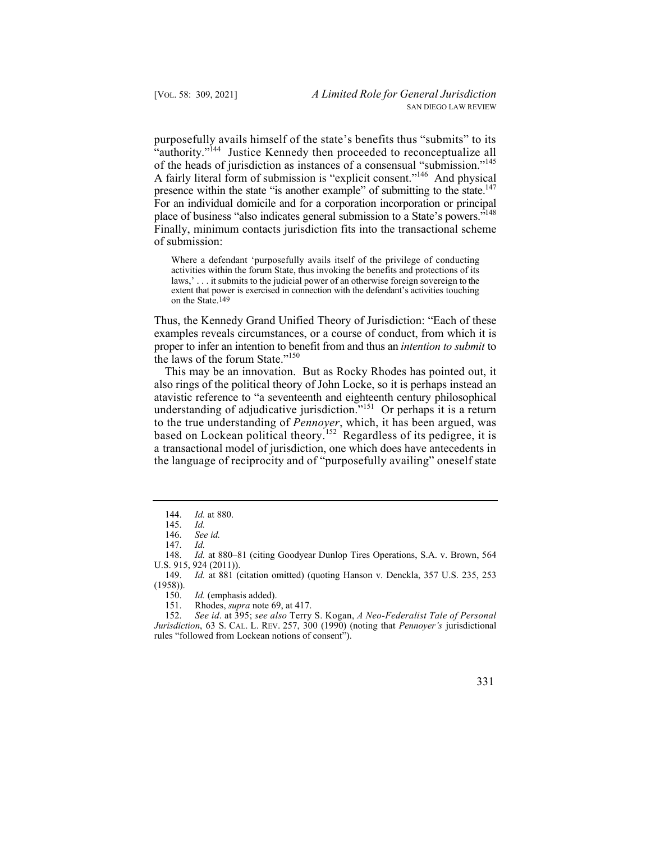purposefully avails himself of the state's benefits thus "submits" to its of the heads of jurisdiction as instances of a consensual "submission."<sup>145</sup> presence within the state "is another example" of submitting to the state.<sup>147</sup> place of business "also indicates general submission to a State's powers."<sup>148</sup> "authority."<sup>144</sup> Justice Kennedy then proceeded to reconceptualize all A fairly literal form of submission is "explicit consent."146 And physical For an individual domicile and for a corporation incorporation or principal Finally, minimum contacts jurisdiction fits into the transactional scheme of submission:

 Where a defendant 'purposefully avails itself of the privilege of conducting laws,' . . . it submits to the judicial power of an otherwise foreign sovereign to the activities within the forum State, thus invoking the benefits and protections of its extent that power is exercised in connection with the defendant's activities touching on the State.149

Thus, the Kennedy Grand Unified Theory of Jurisdiction: "Each of these examples reveals circumstances, or a course of conduct, from which it is proper to infer an intention to benefit from and thus an *intention to submit* to the laws of the forum State." $150$ 

 This may be an innovation. But as Rocky Rhodes has pointed out, it also rings of the political theory of John Locke, so it is perhaps instead an atavistic reference to "a seventeenth and eighteenth century philosophical understanding of adjudicative jurisdiction.<sup>"151</sup> Or perhaps it is a return to the true understanding of *Pennoyer*, which, it has been argued, was based on Lockean political theory.152 Regardless of its pedigree, it is a transactional model of jurisdiction, one which does have antecedents in the language of reciprocity and of "purposefully availing" oneself state

 148. *Id.* at 880–81 (citing Goodyear Dunlop Tires Operations, S.A. v. Brown, 564 U.S. 915, 924 (2011)).

149. *Id.* at 881 (citation omitted) (quoting Hanson v. Denckla, 357 U.S. 235, 253 (1958)).

150. *Id.* (emphasis added).

151. Rhodes, *supra* note 69, at 417.<br>152. *See id.* at 395: *see also* Terry

 *Jurisdiction*, 63 S. CAL. L. REV. 257, 300 (1990) (noting that *Pennoyer's* jurisdictional 152. *See id*. at 395; *see also* Terry S. Kogan, *A Neo-Federalist Tale of Personal*  rules "followed from Lockean notions of consent").

<sup>144.</sup> *Id.* at 880.

<sup>145.</sup> *Id.*

 <sup>146.</sup> *See id.*

 <sup>147.</sup> *Id.*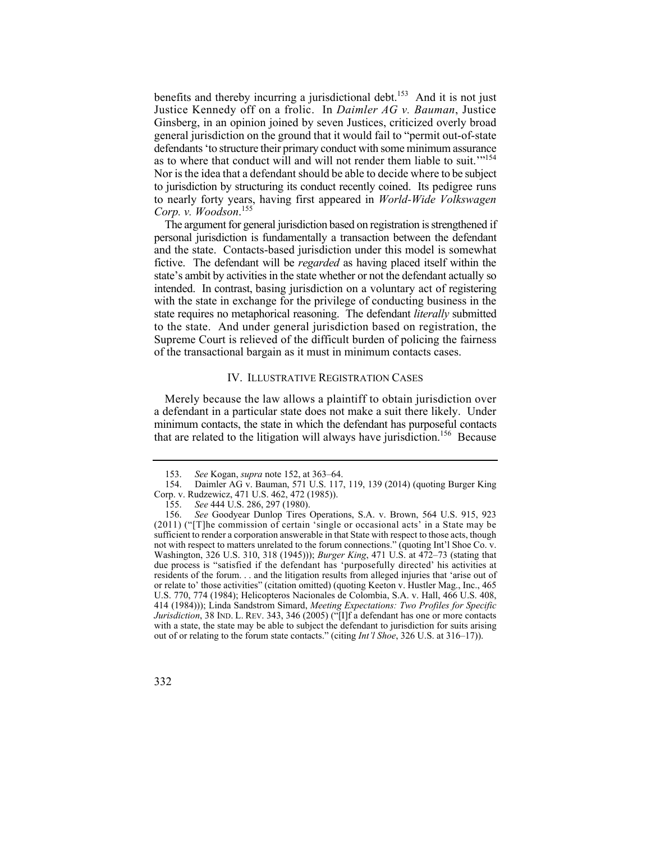benefits and thereby incurring a jurisdictional debt.<sup>153</sup> And it is not just as to where that conduct will and will not render them liable to suit."<sup>154</sup> Nor is the idea that a defendant should be able to decide where to be subject to jurisdiction by structuring its conduct recently coined. Its pedigree runs Justice Kennedy off on a frolic. In *Daimler AG v. Bauman*, Justice Ginsberg, in an opinion joined by seven Justices, criticized overly broad general jurisdiction on the ground that it would fail to "permit out-of-state defendants 'to structure their primary conduct with some minimum assurance to nearly forty years, having first appeared in *World-Wide Volkswagen Corp. v. Woodson*. 155

 intended. In contrast, basing jurisdiction on a voluntary act of registering The argument for general jurisdiction based on registration is strengthened if personal jurisdiction is fundamentally a transaction between the defendant and the state. Contacts-based jurisdiction under this model is somewhat fictive. The defendant will be *regarded* as having placed itself within the state's ambit by activities in the state whether or not the defendant actually so with the state in exchange for the privilege of conducting business in the state requires no metaphorical reasoning. The defendant *literally* submitted to the state. And under general jurisdiction based on registration, the Supreme Court is relieved of the difficult burden of policing the fairness of the transactional bargain as it must in minimum contacts cases.

## IV. ILLUSTRATIVE REGISTRATION CASES

 Merely because the law allows a plaintiff to obtain jurisdiction over minimum contacts, the state in which the defendant has purposeful contacts a defendant in a particular state does not make a suit there likely. Under that are related to the litigation will always have jurisdiction.<sup>156</sup> Because

 residents of the forum. . . and the litigation results from alleged injuries that 'arise out of 156. *See* Goodyear Dunlop Tires Operations, S.A. v. Brown, 564 U.S. 915, 923 (2011) ("[T]he commission of certain 'single or occasional acts' in a State may be sufficient to render a corporation answerable in that State with respect to those acts, though not with respect to matters unrelated to the forum connections." (quoting Int'l Shoe Co. v. Washington, 326 U.S. 310, 318 (1945))); *Burger King*, 471 U.S. at 472–73 (stating that due process is "satisfied if the defendant has 'purposefully directed' his activities at or relate to' those activities" (citation omitted) (quoting Keeton v. Hustler Mag., Inc., 465 U.S. 770, 774 (1984); Helicopteros Nacionales de Colombia, S.A. v. Hall, 466 U.S. 408, 414 (1984))); Linda Sandstrom Simard, *Meeting Expectations: Two Profiles for Specific Jurisdiction*, 38 IND. L. REV. 343, 346 (2005) ("[I]f a defendant has one or more contacts with a state, the state may be able to subject the defendant to jurisdiction for suits arising out of or relating to the forum state contacts." (citing *Int'l Shoe*, 326 U.S. at 316–17)).



<sup>153.</sup> *See* Kogan, *supra* note 152, at 363–64.

<sup>154.</sup> Daimler AG v. Bauman, 571 U.S. 117, 119, 139 (2014) (quoting Burger King Corp. v. Rudzewicz, 471 U.S. 462, 472 (1985)).

<sup>155.</sup> *See* 444 U.S. 286, 297 (1980).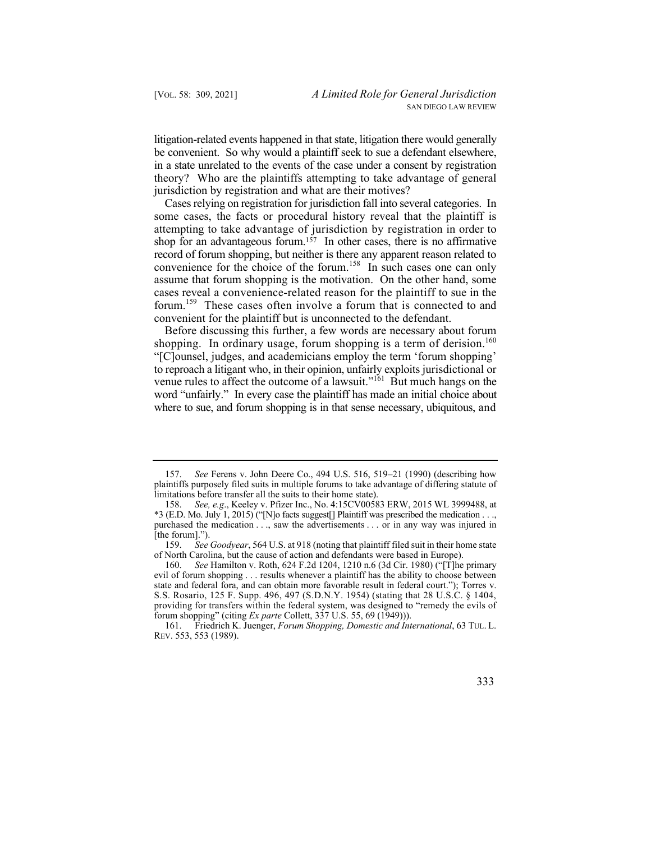litigation-related events happened in that state, litigation there would generally be convenient. So why would a plaintiff seek to sue a defendant elsewhere, in a state unrelated to the events of the case under a consent by registration theory? Who are the plaintiffs attempting to take advantage of general jurisdiction by registration and what are their motives?

 Cases relying on registration for jurisdiction fall into several categories. In forum.159 These cases often involve a forum that is connected to and some cases, the facts or procedural history reveal that the plaintiff is attempting to take advantage of jurisdiction by registration in order to shop for an advantageous forum.<sup>157</sup> In other cases, there is no affirmative record of forum shopping, but neither is there any apparent reason related to convenience for the choice of the forum.<sup>158</sup> In such cases one can only assume that forum shopping is the motivation. On the other hand, some cases reveal a convenience-related reason for the plaintiff to sue in the convenient for the plaintiff but is unconnected to the defendant.

shopping. In ordinary usage, forum shopping is a term of derision.<sup>160</sup> to reproach a litigant who, in their opinion, unfairly exploits jurisdictional or Before discussing this further, a few words are necessary about forum "[C]ounsel, judges, and academicians employ the term 'forum shopping' venue rules to affect the outcome of a lawsuit."<sup>161</sup> But much hangs on the word "unfairly." In every case the plaintiff has made an initial choice about where to sue, and forum shopping is in that sense necessary, ubiquitous, and

<sup>161.</sup> Friedrich K. Juenger, *Forum Shopping, Domestic and International*, 63 TUL. L. REV. 553, 553 (1989).



<sup>157.</sup> *See* Ferens v. John Deere Co., 494 U.S. 516, 519–21 (1990) (describing how plaintiffs purposely filed suits in multiple forums to take advantage of differing statute of limitations before transfer all the suits to their home state).

 \*3 (E.D. Mo. July 1, 2015) ("[N]o facts suggest[] Plaintiff was prescribed the medication . . ., purchased the medication . . ., saw the advertisements . . . or in any way was injured in 158. *See, e.g*., Keeley v. Pfizer Inc., No. 4:15CV00583 ERW, 2015 WL 3999488, at [the forum].").

<sup>159.</sup> *See Goodyear*, 564 U.S. at 918 (noting that plaintiff filed suit in their home state of North Carolina, but the cause of action and defendants were based in Europe).

<sup>160.</sup> *See* Hamilton v. Roth, 624 F.2d 1204, 1210 n.6 (3d Cir. 1980) ("[T]he primary evil of forum shopping . . . results whenever a plaintiff has the ability to choose between state and federal fora, and can obtain more favorable result in federal court."); Torres v. S.S. Rosario, 125 F. Supp. 496, 497 (S.D.N.Y. 1954) (stating that 28 U.S.C. § 1404, providing for transfers within the federal system, was designed to "remedy the evils of forum shopping" (citing *Ex parte* Collett, 337 U.S. 55, 69 (1949))).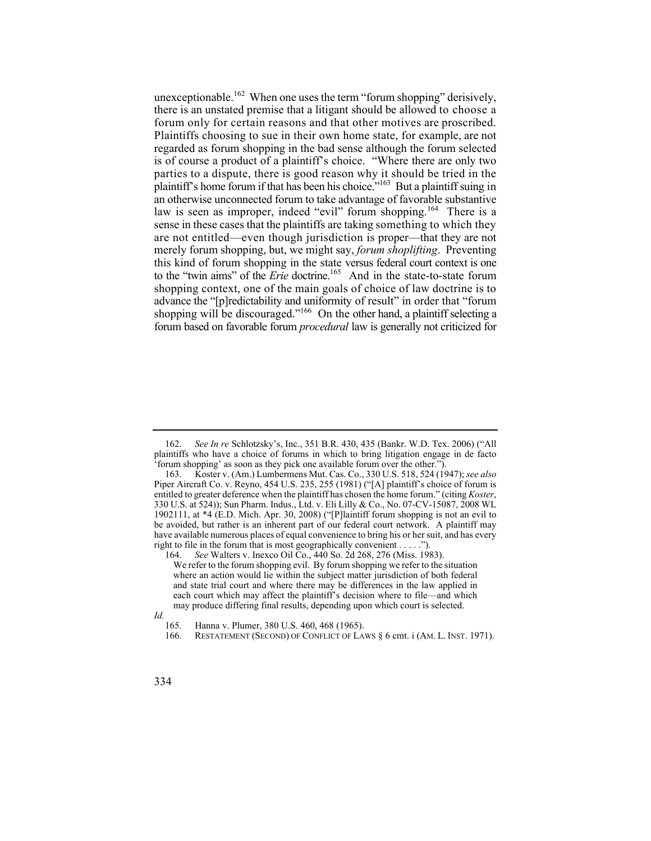there is an unstated premise that a litigant should be allowed to choose a forum only for certain reasons and that other motives are proscribed. Plaintiffs choosing to sue in their own home state, for example, are not is of course a product of a plaintiff's choice. "Where there are only two plaintiff's home forum if that has been his choice."<sup>163</sup> But a plaintiff suing in law is seen as improper, indeed "evil" forum shopping.<sup>164</sup> There is a sense in these cases that the plaintiffs are taking something to which they are not entitled—even though jurisdiction is proper—that they are not this kind of forum shopping in the state versus federal court context is one shopping context, one of the main goals of choice of law doctrine is to unexceptionable.<sup>162</sup> When one uses the term "forum shopping" derisively, regarded as forum shopping in the bad sense although the forum selected parties to a dispute, there is good reason why it should be tried in the an otherwise unconnected forum to take advantage of favorable substantive merely forum shopping, but, we might say, *forum shoplifting*. Preventing to the "twin aims" of the *Erie* doctrine.165 And in the state-to-state forum advance the "[p]redictability and uniformity of result" in order that "forum shopping will be discouraged."<sup>166</sup> On the other hand, a plaintiff selecting a forum based on favorable forum *procedural* law is generally not criticized for

<sup>162.</sup> *See In re* Schlotzsky's, Inc., 351 B.R. 430, 435 (Bankr. W.D. Tex. 2006) ("All plaintiffs who have a choice of forums in which to bring litigation engage in de facto forum shopping' as soon as they pick one available forum over the other.").

 entitled to greater deference when the plaintiff has chosen the home forum." (citing *Koster*, 163. Koster v. (Am.) Lumbermens Mut. Cas. Co., 330 U.S. 518, 524 (1947); *see also*  Piper Aircraft Co. v. Reyno, 454 U.S. 235, 255 (1981) ("[A] plaintiff's choice of forum is 330 U.S. at 524)); Sun Pharm. Indus., Ltd. v. Eli Lilly & Co., No. 07-CV-15087, 2008 WL 1902111, at \*4 (E.D. Mich. Apr. 30, 2008) ("[P]laintiff forum shopping is not an evil to be avoided, but rather is an inherent part of our federal court network. A plaintiff may have available numerous places of equal convenience to bring his or her suit, and has every right to file in the forum that is most geographically convenient . . . . .").

 and state trial court and where there may be differences in the law applied in 164. *See* Walters v. Inexco Oil Co., 440 So. 2d 268, 276 (Miss. 1983). We refer to the forum shopping evil. By forum shopping we refer to the situation where an action would lie within the subject matter jurisdiction of both federal each court which may affect the plaintiff's decision where to file—and which may produce differing final results, depending upon which court is selected.

*Id.* 

<sup>165.</sup> Hanna v. Plumer, 380 U.S. 460, 468 (1965).

<sup>166.</sup> RESTATEMENT (SECOND) OF CONFLICT OF LAWS § 6 cmt. i (AM. L. INST. 1971).

<sup>334</sup>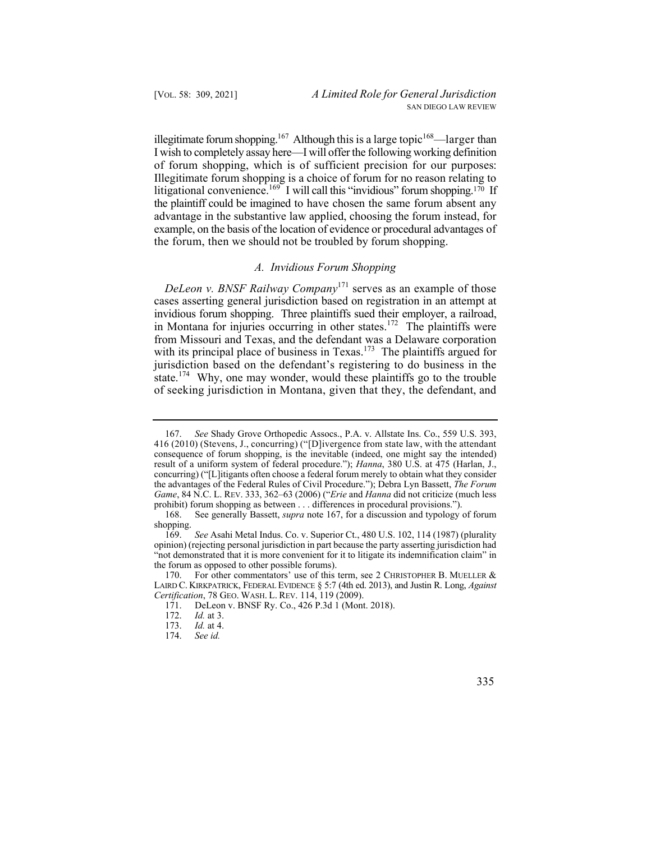illegitimate forum shopping.<sup>167</sup> Although this is a large topic<sup>168</sup>—larger than of forum shopping, which is of sufficient precision for our purposes: litigational convenience.<sup>169</sup> I will call this "invidious" forum shopping.<sup>170</sup> If the forum, then we should not be troubled by forum shopping. I wish to completely assay here—I will offer the following working definition Illegitimate forum shopping is a choice of forum for no reason relating to the plaintiff could be imagined to have chosen the same forum absent any advantage in the substantive law applied, choosing the forum instead, for example, on the basis of the location of evidence or procedural advantages of

## *A. Invidious Forum Shopping*

 of seeking jurisdiction in Montana, given that they, the defendant, and *DeLeon v. BNSF Railway Company*171 serves as an example of those cases asserting general jurisdiction based on registration in an attempt at invidious forum shopping. Three plaintiffs sued their employer, a railroad, in Montana for injuries occurring in other states.<sup>172</sup> The plaintiffs were from Missouri and Texas, and the defendant was a Delaware corporation with its principal place of business in Texas.<sup>173</sup> The plaintiffs argued for jurisdiction based on the defendant's registering to do business in the state.<sup>174</sup> Why, one may wonder, would these plaintiffs go to the trouble

<sup>167.</sup> *See* Shady Grove Orthopedic Assocs., P.A. v. Allstate Ins. Co., 559 U.S. 393, 416 (2010) (Stevens, J., concurring) ("[D]ivergence from state law, with the attendant consequence of forum shopping, is the inevitable (indeed, one might say the intended) result of a uniform system of federal procedure."); *Hanna*, 380 U.S. at 475 (Harlan, J., concurring) ("[L]itigants often choose a federal forum merely to obtain what they consider the advantages of the Federal Rules of Civil Procedure."); Debra Lyn Bassett, *The Forum Game*, 84 N.C. L. REV. 333, 362–63 (2006) ("*Erie* and *Hanna* did not criticize (much less prohibit) forum shopping as between . . . differences in procedural provisions.").

<sup>168.</sup> See generally Bassett, *supra* note 167, for a discussion and typology of forum shopping.

<sup>169.</sup> *See* Asahi Metal Indus. Co. v. Superior Ct., 480 U.S. 102, 114 (1987) (plurality opinion) (rejecting personal jurisdiction in part because the party asserting jurisdiction had "not demonstrated that it is more convenient for it to litigate its indemnification claim" in the forum as opposed to other possible forums).

 *Certification*, 78 GEO. WASH. L. REV. 114, 119 (2009). 170. For other commentators' use of this term, see 2 CHRISTOPHER B. MUELLER & LAIRD C. KIRKPATRICK, FEDERAL EVIDENCE § 5:7 (4th ed. 2013), and Justin R. Long, *Against* 

<sup>171.</sup>  DeLeon v. BNSF Ry. Co., 426 P.3d 1 (Mont. 2018).

<sup>172.</sup>  *Id.* at 3.

<sup>173.</sup> *Id.* at 4.

<sup>174.</sup> *See id.* 

 <sup>335</sup>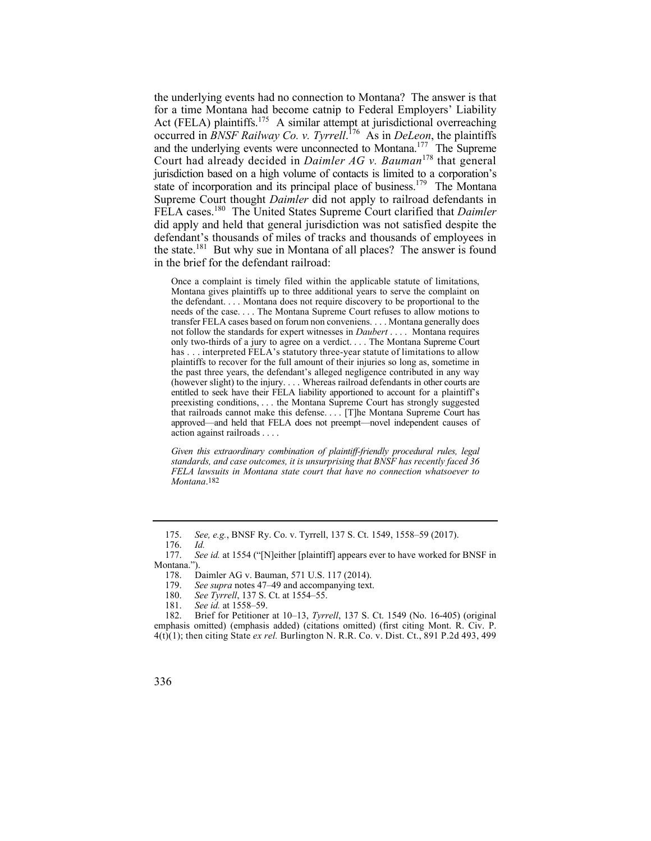and the underlying events were unconnected to Montana.<sup>177</sup> The Supreme state of incorporation and its principal place of business.<sup>179</sup> The Montana the underlying events had no connection to Montana? The answer is that for a time Montana had become catnip to Federal Employers' Liability Act (FELA) plaintiffs.<sup>175</sup> A similar attempt at jurisdictional overreaching occurred in *BNSF Railway Co. v. Tyrrell*. 176 As in *DeLeon*, the plaintiffs Court had already decided in *Daimler AG v. Bauman*178 that general jurisdiction based on a high volume of contacts is limited to a corporation's Supreme Court thought *Daimler* did not apply to railroad defendants in FELA cases.180 The United States Supreme Court clarified that *Daimler*  did apply and held that general jurisdiction was not satisfied despite the defendant's thousands of miles of tracks and thousands of employees in the state.181 But why sue in Montana of all places? The answer is found in the brief for the defendant railroad:

 Once a complaint is timely filed within the applicable statute of limitations, only two-thirds of a jury to agree on a verdict. . . . The Montana Supreme Court (however slight) to the injury. . . . Whereas railroad defendants in other courts are entitled to seek have their FELA liability apportioned to account for a plaintiff's that railroads cannot make this defense. . . . [T]he Montana Supreme Court has approved—and held that FELA does not preempt—novel independent causes of Montana gives plaintiffs up to three additional years to serve the complaint on the defendant. . . . Montana does not require discovery to be proportional to the needs of the case. . . . The Montana Supreme Court refuses to allow motions to transfer FELA cases based on forum non conveniens. . . . Montana generally does not follow the standards for expert witnesses in *Daubert* . . . . Montana requires has . . . interpreted FELA's statutory three-year statute of limitations to allow plaintiffs to recover for the full amount of their injuries so long as, sometime in the past three years, the defendant's alleged negligence contributed in any way preexisting conditions, . . . the Montana Supreme Court has strongly suggested action against railroads . . . .

*Given this extraordinary combination of plaintiff-friendly procedural rules, legal standards, and case outcomes, it is unsurprising that BNSF has recently faced 36 FELA lawsuits in Montana state court that have no connection whatsoever to Montana*.182

 177. *See id.* at 1554 ("[N]either [plaintiff] appears ever to have worked for BNSF in Montana.").

- See supra notes 47–49 and accompanying text.
- 180. *See Tyrrell*, 137 S. Ct. at 1554–55.
- 181. *See id.* at 1558–59.

<sup>175.</sup> *See, e.g.*, BNSF Ry. Co. v. Tyrrell, 137 S. Ct. 1549, 1558–59 (2017).

<sup>176.</sup> *Id.*

<sup>178.</sup> Daimler AG v. Bauman, 571 U.S. 117 (2014).<br>179. See supra notes 47–49 and accompanying text.

 emphasis omitted) (emphasis added) (citations omitted) (first citing Mont. R. Civ. P. 182. Brief for Petitioner at 10–13, *Tyrrell*, 137 S. Ct. 1549 (No. 16-405) (original 4(t)(1); then citing State *ex rel.* Burlington N. R.R. Co. v. Dist. Ct., 891 P.2d 493, 499

<sup>336</sup>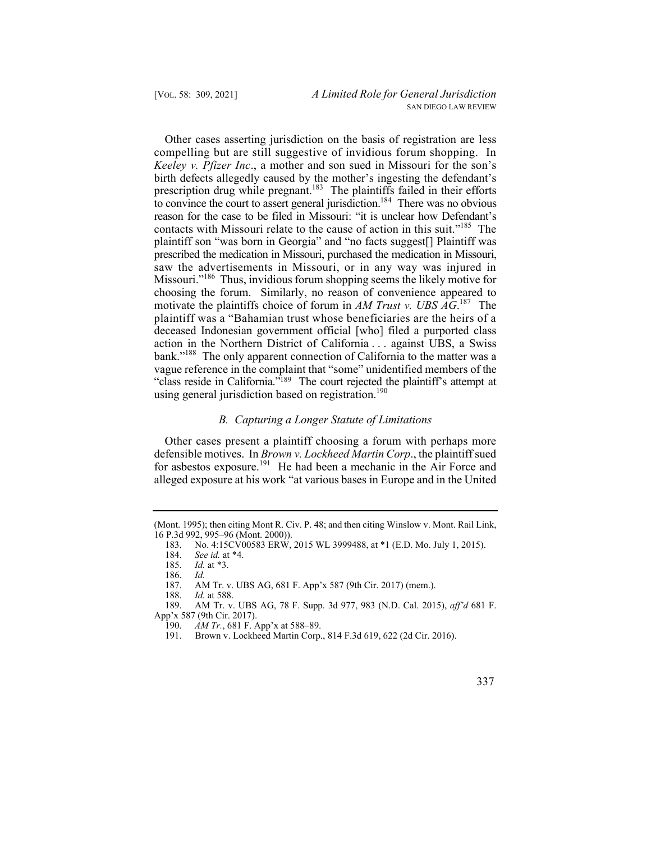Other cases asserting jurisdiction on the basis of registration are less compelling but are still suggestive of invidious forum shopping. In *Keeley v. Pfizer Inc*., a mother and son sued in Missouri for the son's birth defects allegedly caused by the mother's ingesting the defendant's prescription drug while pregnant.<sup>183</sup> The plaintiffs failed in their efforts to convince the court to assert general jurisdiction.<sup>184</sup> There was no obvious reason for the case to be filed in Missouri: "it is unclear how Defendant's contacts with Missouri relate to the cause of action in this suit."185 The plaintiff son "was born in Georgia" and "no facts suggest[] Plaintiff was prescribed the medication in Missouri, purchased the medication in Missouri, saw the advertisements in Missouri, or in any way was injured in Missouri."186 Thus, invidious forum shopping seems the likely motive for choosing the forum. Similarly, no reason of convenience appeared to motivate the plaintiffs choice of forum in *AM Trust v. UBS AG*. 187 The plaintiff was a "Bahamian trust whose beneficiaries are the heirs of a deceased Indonesian government official [who] filed a purported class action in the Northern District of California . . . against UBS, a Swiss bank."<sup>188</sup> The only apparent connection of California to the matter was a vague reference in the complaint that "some" unidentified members of the "class reside in California."<sup>189</sup> The court rejected the plaintiff's attempt at using general jurisdiction based on registration.<sup>190</sup>

## *B. Capturing a Longer Statute of Limitations*

Other cases present a plaintiff choosing a forum with perhaps more defensible motives. In *Brown v. Lockheed Martin Corp*., the plaintiff sued for asbestos exposure.<sup>191</sup> He had been a mechanic in the Air Force and alleged exposure at his work "at various bases in Europe and in the United

<sup>(</sup>Mont. 1995); then citing Mont R. Civ. P. 48; and then citing Winslow v. Mont. Rail Link, 16 P.3d 992, 995–96 (Mont. 2000)).

<sup>183.</sup> No. 4:15CV00583 ERW, 2015 WL 3999488, at \*1 (E.D. Mo. July 1, 2015).

<sup>184.</sup> *See id.* at \*4.

<sup>185.</sup> *Id.* at \*3.

<sup>186.</sup> *Id.* 

<sup>187.</sup> AM Tr. v. UBS AG, 681 F. App'x 587 (9th Cir. 2017) (mem.).

<sup>188.</sup> *Id.* at 588.

<sup>189.</sup> AM Tr. v. UBS AG, 78 F. Supp. 3d 977, 983 (N.D. Cal. 2015), *aff'd* 681 F. App'x 587 (9th Cir. 2017).

<sup>190.</sup> *AM Tr.*, 681 F. App'x at 588–89.<br>191. Brown v. Lockheed Martin Corp.

Brown v. Lockheed Martin Corp., 814 F.3d 619, 622 (2d Cir. 2016).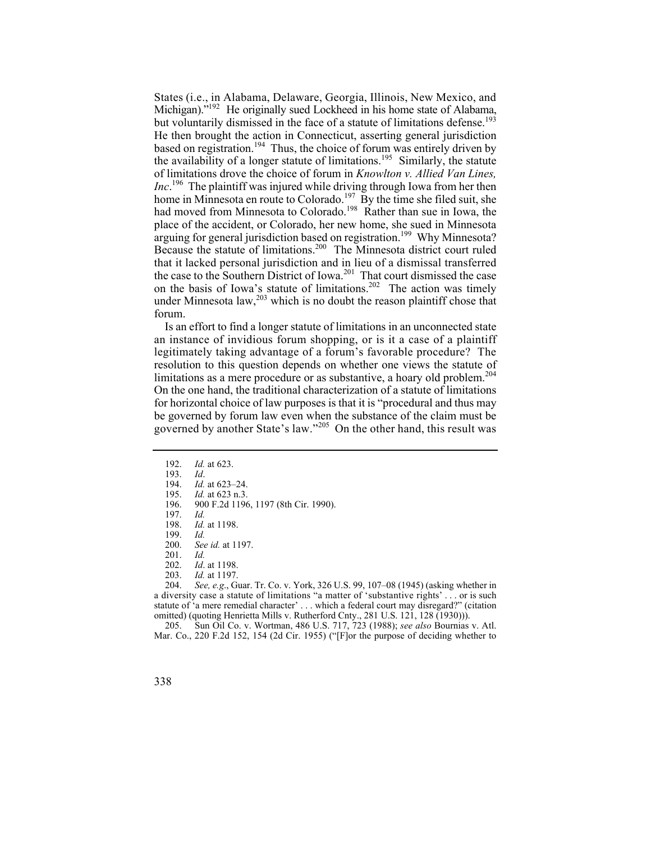States (i.e., in Alabama, Delaware, Georgia, Illinois, New Mexico, and Michigan)."<sup>192</sup> He originally sued Lockheed in his home state of Alabama, but voluntarily dismissed in the face of a statute of limitations defense.<sup>193</sup> He then brought the action in Connecticut, asserting general jurisdiction based on registration.<sup>194</sup> Thus, the choice of forum was entirely driven by the availability of a longer statute of limitations.<sup>195</sup> Similarly, the statute of limitations drove the choice of forum in *Knowlton v. Allied Van Lines, Inc*. 196 The plaintiff was injured while driving through Iowa from her then home in Minnesota en route to Colorado.<sup>197</sup> By the time she filed suit, she had moved from Minnesota to Colorado.<sup>198</sup> Rather than sue in Iowa, the place of the accident, or Colorado, her new home, she sued in Minnesota arguing for general jurisdiction based on registration.<sup>199</sup> Why Minnesota? Because the statute of limitations.200 The Minnesota district court ruled that it lacked personal jurisdiction and in lieu of a dismissal transferred the case to the Southern District of Iowa.<sup>201</sup> That court dismissed the case on the basis of Iowa's statute of limitations.<sup>202</sup> The action was timely under Minnesota law, $^{203}$  which is no doubt the reason plaintiff chose that forum.

limitations as a mere procedure or as substantive, a hoary old problem.<sup>204</sup> governed by another State's law."205 On the other hand, this result was Is an effort to find a longer statute of limitations in an unconnected state an instance of invidious forum shopping, or is it a case of a plaintiff legitimately taking advantage of a forum's favorable procedure? The resolution to this question depends on whether one views the statute of On the one hand, the traditional characterization of a statute of limitations for horizontal choice of law purposes is that it is "procedural and thus may be governed by forum law even when the substance of the claim must be

- 196. 900 F.2d 1196, 1197 (8th Cir. 1990).
- 197.<br>198. *Id. Id.* at 1198.
- 199. *Id.*
- 200. *See id.* at 1197.
- 201. *Id.*
- 202. *Id*. at 1198.
- 

 a diversity case a statute of limitations "a matter of 'substantive rights' . . . or is such statute of 'a mere remedial character' . . . which a federal court may disregard?" (citation 203. *Id.* at 1197. 204. *See, e.g*., Guar. Tr. Co. v. York, 326 U.S. 99, 107–08 (1945) (asking whether in omitted) (quoting Henrietta Mills v. Rutherford Cnty., 281 U.S. 121, 128 (1930))).

205. Sun Oil Co. v. Wortman, 486 U.S. 717, 723 (1988); *see also* Bournias v. Atl. Mar. Co., 220 F.2d 152, 154 (2d Cir. 1955) ("[F]or the purpose of deciding whether to

<sup>192.</sup> *Id.* at 623.

<sup>193.</sup> *Id*.

<sup>194.</sup> *Id.* at 623–24.<br>195. *Id.* at 623 n.3.

*Id.* at 623 n.3.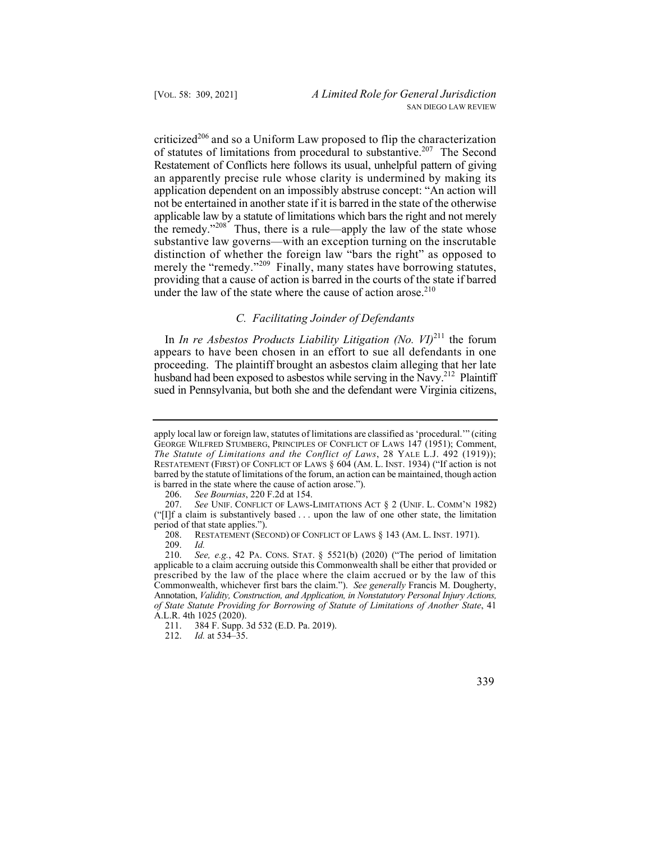providing that a cause of action is barred in the courts of the state if barred criticized<sup>206</sup> and so a Uniform Law proposed to flip the characterization of statutes of limitations from procedural to substantive.<sup>207</sup> The Second Restatement of Conflicts here follows its usual, unhelpful pattern of giving an apparently precise rule whose clarity is undermined by making its application dependent on an impossibly abstruse concept: "An action will not be entertained in another state if it is barred in the state of the otherwise applicable law by a statute of limitations which bars the right and not merely the remedy." $208$  Thus, there is a rule—apply the law of the state whose substantive law governs—with an exception turning on the inscrutable distinction of whether the foreign law "bars the right" as opposed to merely the "remedy."<sup>209</sup> Finally, many states have borrowing statutes, under the law of the state where the cause of action arose. $2^{10}$ 

## *C. Facilitating Joinder of Defendants*

In *In re Asbestos Products Liability Litigation (No. VI)*<sup>211</sup> the forum appears to have been chosen in an effort to sue all defendants in one proceeding. The plaintiff brought an asbestos claim alleging that her late husband had been exposed to asbestos while serving in the  $\overline{\text{Navv}}^{212}$  Plaintiff sued in Pennsylvania, but both she and the defendant were Virginia citizens,

 RESTATEMENT (FIRST) OF CONFLICT OF LAWS § 604 (AM. L. INST. 1934) ("If action is not barred by the statute of limitations of the forum, an action can be maintained, though action apply local law or foreign law, statutes of limitations are classified as 'procedural.'" (citing GEORGE WILFRED STUMBERG, PRINCIPLES OF CONFLICT OF LAWS 147 (1951); Comment, *The Statute of Limitations and the Conflict of Laws*, 28 YALE L.J. 492 (1919)); is barred in the state where the cause of action arose.").

<sup>206.</sup> *See Bournias*, 220 F.2d at 154.

 207. *See* UNIF. CONFLICT OF LAWS-LIMITATIONS ACT § 2 (UNIF. L. COMM'N 1982) ("[I]f a claim is substantively based . . . upon the law of one other state, the limitation period of that state applies.").

 208. RESTATEMENT (SECOND) OF CONFLICT OF LAWS § 143 (AM. L. INST. 1971).

<sup>209.</sup> *Id.*

 210. *See, e.g.*, 42 PA. CONS. STAT. § 5521(b) (2020) ("The period of limitation prescribed by the law of the place where the claim accrued or by the law of this applicable to a claim accruing outside this Commonwealth shall be either that provided or Commonwealth, whichever first bars the claim."). *See generally* Francis M. Dougherty, Annotation, *Validity, Construction, and Application, in Nonstatutory Personal Injury Actions, of State Statute Providing for Borrowing of Statute of Limitations of Another State*, 41 A.L.R. 4th 1025 (2020).

<sup>211. 384</sup> F. Supp. 3d 532 (E.D. Pa. 2019).

<sup>212.</sup> *Id.* at 534–35.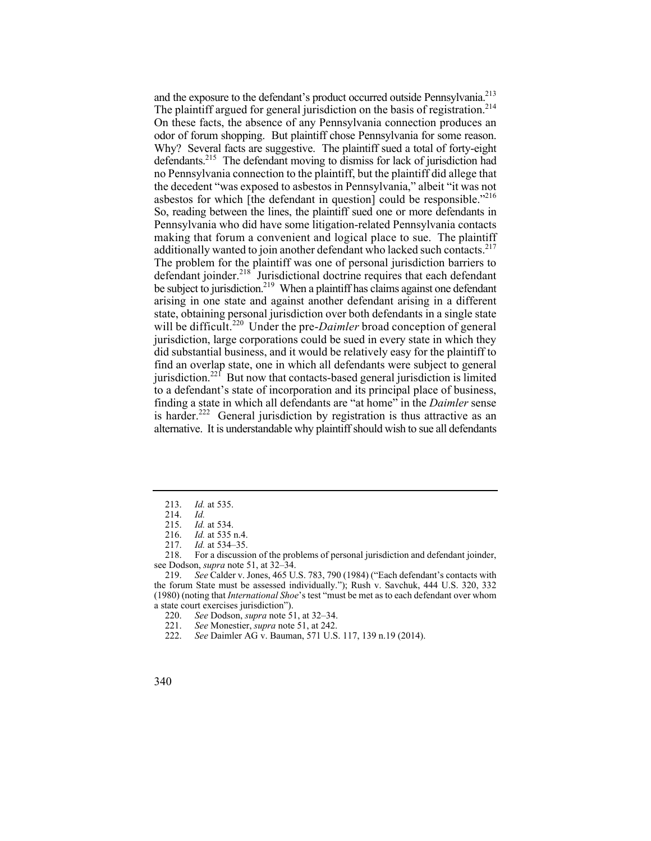The plaintiff argued for general jurisdiction on the basis of registration.<sup>214</sup> Why? Several facts are suggestive. The plaintiff sued a total of forty-eight asbestos for which [the defendant in question] could be responsible."<sup>216</sup> making that forum a convenient and logical place to sue. The plaintiff additionally wanted to join another defendant who lacked such contacts.<sup>217</sup> and the exposure to the defendant's product occurred outside Pennsylvania.<sup>213</sup> On these facts, the absence of any Pennsylvania connection produces an odor of forum shopping. But plaintiff chose Pennsylvania for some reason. defendants.215 The defendant moving to dismiss for lack of jurisdiction had no Pennsylvania connection to the plaintiff, but the plaintiff did allege that the decedent "was exposed to asbestos in Pennsylvania," albeit "it was not So, reading between the lines, the plaintiff sued one or more defendants in Pennsylvania who did have some litigation-related Pennsylvania contacts The problem for the plaintiff was one of personal jurisdiction barriers to defendant joinder.218 Jurisdictional doctrine requires that each defendant be subject to jurisdiction.<sup>219</sup> When a plaintiff has claims against one defendant arising in one state and against another defendant arising in a different state, obtaining personal jurisdiction over both defendants in a single state will be difficult.<sup>220</sup> Under the pre-*Daimler* broad conception of general jurisdiction, large corporations could be sued in every state in which they did substantial business, and it would be relatively easy for the plaintiff to find an overlap state, one in which all defendants were subject to general iurisdiction.<sup>221</sup> But now that contacts-based general jurisdiction is limited to a defendant's state of incorporation and its principal place of business, finding a state in which all defendants are "at home" in the *Daimler* sense is harder.<sup>222</sup> General jurisdiction by registration is thus attractive as an alternative. It is understandable why plaintiff should wish to sue all defendants

218. For a discussion of the problems of personal jurisdiction and defendant joinder, see Dodson, *supra* note 51, at 32–34.

219. *See* Calder v. Jones, 465 U.S. 783, 790 (1984) ("Each defendant's contacts with the forum State must be assessed individually."); Rush v. Savchuk, 444 U.S. 320, 332 (1980) (noting that *International Shoe*'s test "must be met as to each defendant over whom a state court exercises jurisdiction").<br>220. See Dodson, *sunra* note 5

- 221. *See* Monestier, *supra* note 51, at 242.
- 222. *See* Daimler AG v. Bauman, 571 U.S. 117, 139 n.19 (2014).
- 340

<sup>213.</sup> *Id.* at 535.

<sup>214.</sup> *Id.*

*Id.* at 534.

<sup>216.</sup> *Id.* at 535 n.4.

<sup>217.</sup> *Id.* at 534–35.

<sup>220.</sup> *See* Dodson, *supra* note 51, at 32–34.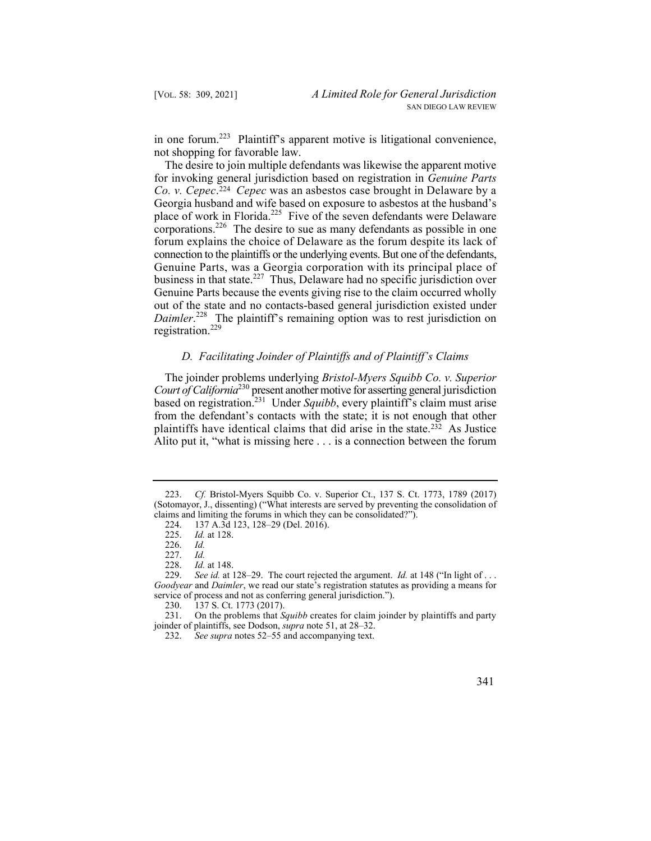in one forum.<sup>223</sup> Plaintiff's apparent motive is litigational convenience, not shopping for favorable law.

 forum explains the choice of Delaware as the forum despite its lack of The desire to join multiple defendants was likewise the apparent motive for invoking general jurisdiction based on registration in *Genuine Parts Co. v. Cepec*. <sup>224</sup>*Cepec* was an asbestos case brought in Delaware by a Georgia husband and wife based on exposure to asbestos at the husband's place of work in Florida.<sup>225</sup> Five of the seven defendants were Delaware corporations.<sup>226</sup> The desire to sue as many defendants as possible in one connection to the plaintiffs or the underlying events. But one of the defendants, Genuine Parts, was a Georgia corporation with its principal place of business in that state.<sup>227</sup> Thus, Delaware had no specific jurisdiction over Genuine Parts because the events giving rise to the claim occurred wholly out of the state and no contacts-based general jurisdiction existed under *Daimler*. 228 The plaintiff's remaining option was to rest jurisdiction on registration.229

## *D. Facilitating Joinder of Plaintiffs and of Plaintiff's Claims*

 plaintiffs have identical claims that did arise in the state.232 As Justice The joinder problems underlying *Bristol-Myers Squibb Co. v. Superior Court of California*230 present another motive for asserting general jurisdiction based on registration.<sup>231</sup> Under *Squibb*, every plaintiff's claim must arise from the defendant's contacts with the state; it is not enough that other Alito put it, "what is missing here . . . is a connection between the forum

<sup>232.</sup> *See supra* notes 52–55 and accompanying text.



<sup>223.</sup> *Cf.* Bristol-Myers Squibb Co. v. Superior Ct., 137 S. Ct. 1773, 1789 (2017) (Sotomayor, J., dissenting) ("What interests are served by preventing the consolidation of claims and limiting the forums in which they can be consolidated?").

<sup>224.</sup>  137 A.3d 123, 128–29 (Del. 2016).

<sup>225.</sup>  *Id.* at 128.

<sup>226.</sup> *Id.*

 <sup>227.</sup> *Id.*

 <sup>228.</sup> *Id.* at 148.

*Goodyear* and *Daimler*, we read our state's registration statutes as providing a means for 229. *See id.* at 128–29. The court rejected the argument. *Id.* at 148 ("In light of . . . service of process and not as conferring general jurisdiction.").

<sup>230. 137</sup> S. Ct. 1773 (2017).<br>231. On the problems that S.

<sup>231.</sup> On the problems that *Squibb* creates for claim joinder by plaintiffs and party joinder of plaintiffs, see Dodson, *supra* note 51, at 28–32.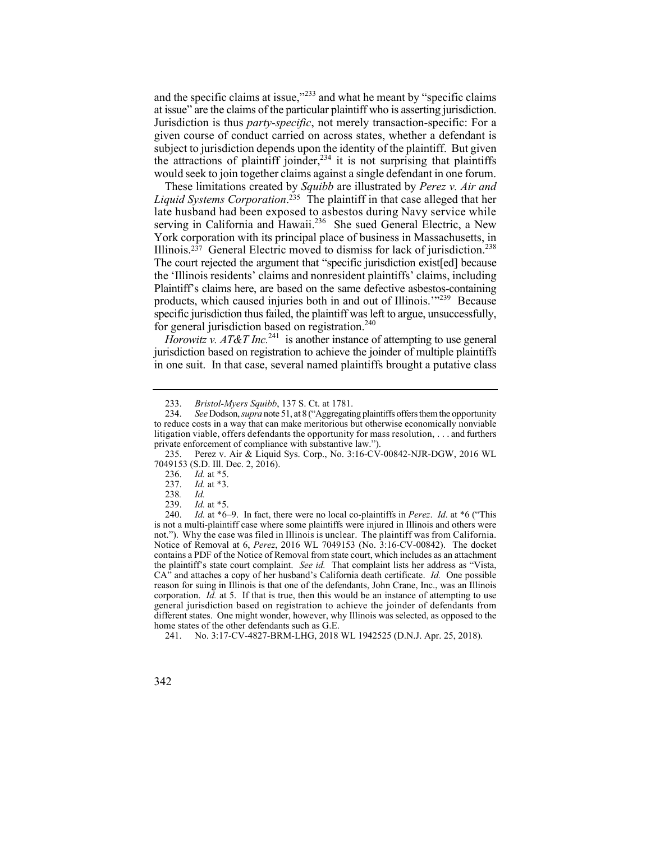at issue" are the claims of the particular plaintiff who is asserting jurisdiction. and the specific claims at issue,"<sup>233</sup> and what he meant by "specific claims" Jurisdiction is thus *party-specific*, not merely transaction-specific: For a given course of conduct carried on across states, whether a defendant is subject to jurisdiction depends upon the identity of the plaintiff. But given the attractions of plaintiff joinder,  $234$  it is not surprising that plaintiffs would seek to join together claims against a single defendant in one forum.

Illinois.<sup>237</sup> General Electric moved to dismiss for lack of jurisdiction.<sup>238</sup> These limitations created by *Squibb* are illustrated by *Perez v. Air and Liquid Systems Corporation*. 235 The plaintiff in that case alleged that her late husband had been exposed to asbestos during Navy service while serving in California and Hawaii.<sup>236</sup> She sued General Electric, a New York corporation with its principal place of business in Massachusetts, in The court rejected the argument that "specific jurisdiction existed because the 'Illinois residents' claims and nonresident plaintiffs' claims, including Plaintiff's claims here, are based on the same defective asbestos-containing products, which caused injuries both in and out of Illinois.'"239 Because specific jurisdiction thus failed, the plaintiff was left to argue, unsuccessfully, for general jurisdiction based on registration.<sup>240</sup>

*Horowitz v. AT&T Inc.*<sup>241</sup> is another instance of attempting to use general jurisdiction based on registration to achieve the joinder of multiple plaintiffs in one suit. In that case, several named plaintiffs brought a putative class

 not."). Why the case was filed in Illinois is unclear. The plaintiff was from California. is not a multi-plaintiff case where some plaintiffs were injured in Illinois and others were 240. *Id.* at \*6–9. In fact, there were no local co-plaintiffs in *Perez*. *Id*. at \*6 ("This Notice of Removal at 6, *Perez*, 2016 WL 7049153 (No. 3:16-CV-00842). The docket contains a PDF of the Notice of Removal from state court, which includes as an attachment the plaintiff's state court complaint. *See id.* That complaint lists her address as "Vista, CA" and attaches a copy of her husband's California death certificate. *Id.* One possible reason for suing in Illinois is that one of the defendants, John Crane, Inc., was an Illinois corporation. *Id.* at 5. If that is true, then this would be an instance of attempting to use general jurisdiction based on registration to achieve the joinder of defendants from different states. One might wonder, however, why Illinois was selected, as opposed to the home states of the other defendants such as G.E.

241. No. 3:17-CV-4827-BRM-LHG, 2018 WL 1942525 (D.N.J. Apr. 25, 2018).

<sup>233.</sup> *Bristol-Myers Squibb*, 137 S. Ct. at 1781.

 234. *See* Dodson, *supra* note 51, at 8 ("Aggregating plaintiffs offers them the opportunity litigation viable, offers defendants the opportunity for mass resolution, . . . and furthers to reduce costs in a way that can make meritorious but otherwise economically nonviable private enforcement of compliance with substantive law.").

<sup>235.</sup> Perez v. Air & Liquid Sys. Corp., No. 3:16-CV-00842-NJR-DGW, 2016 WL 7049153 (S.D. Ill. Dec. 2, 2016).

<sup>236.</sup> *Id.* at \*5.

<sup>237.</sup> *Id.* at \*3.

<sup>238</sup>*. Id.*

*Id.* at \*5.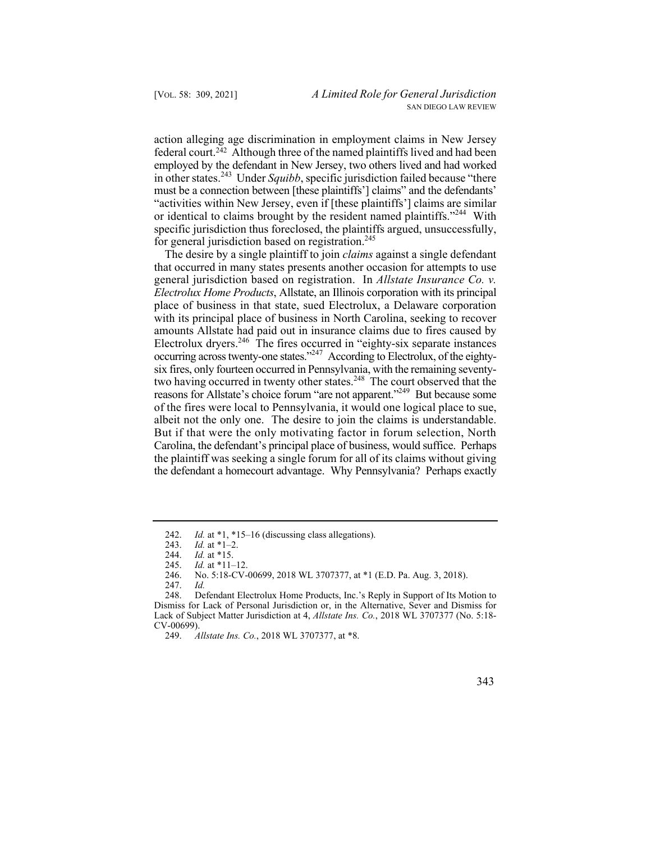action alleging age discrimination in employment claims in New Jersey federal court.242 Although three of the named plaintiffs lived and had been employed by the defendant in New Jersey, two others lived and had worked in other states.243 Under *Squibb*, specific jurisdiction failed because "there must be a connection between [these plaintiffs'] claims" and the defendants' "activities within New Jersey, even if [these plaintiffs'] claims are similar or identical to claims brought by the resident named plaintiffs."<sup>244</sup> With specific jurisdiction thus foreclosed, the plaintiffs argued, unsuccessfully, for general jurisdiction based on registration.<sup>245</sup>

 general jurisdiction based on registration. In *Allstate Insurance Co. v.*  reasons for Allstate's choice forum "are not apparent."<sup>249</sup> But because some of the fires were local to Pennsylvania, it would one logical place to sue, The desire by a single plaintiff to join *claims* against a single defendant that occurred in many states presents another occasion for attempts to use *Electrolux Home Products*, Allstate, an Illinois corporation with its principal place of business in that state, sued Electrolux, a Delaware corporation with its principal place of business in North Carolina, seeking to recover amounts Allstate had paid out in insurance claims due to fires caused by Electrolux dryers.<sup>246</sup> The fires occurred in "eighty-six separate instances" occurring across twenty-one states."<sup>247</sup> According to Electrolux, of the eightysix fires, only fourteen occurred in Pennsylvania, with the remaining seventytwo having occurred in twenty other states.<sup>248</sup> The court observed that the albeit not the only one. The desire to join the claims is understandable. But if that were the only motivating factor in forum selection, North Carolina, the defendant's principal place of business, would suffice. Perhaps the plaintiff was seeking a single forum for all of its claims without giving the defendant a homecourt advantage. Why Pennsylvania? Perhaps exactly

<sup>242.</sup>  *Id.* at \*1, \*15–16 (discussing class allegations).

<sup>243.</sup>  *Id.* at \*1–2.

<sup>244.</sup> *Id.* at \*15.

<sup>245.</sup> *Id.* at \*11–12.

<sup>246.</sup>  No. 5:18-CV-00699, 2018 WL 3707377, at \*1 (E.D. Pa. Aug. 3, 2018).

<sup>247.</sup>  *Id.* 

<sup>248.</sup> Defendant Electrolux Home Products, Inc.'s Reply in Support of Its Motion to Dismiss for Lack of Personal Jurisdiction or, in the Alternative, Sever and Dismiss for Lack of Subject Matter Jurisdiction at 4, *Allstate Ins. Co.*, 2018 WL 3707377 (No. 5:18- CV-00699).

<sup>249.</sup> *Allstate Ins. Co.*, 2018 WL 3707377, at \*8.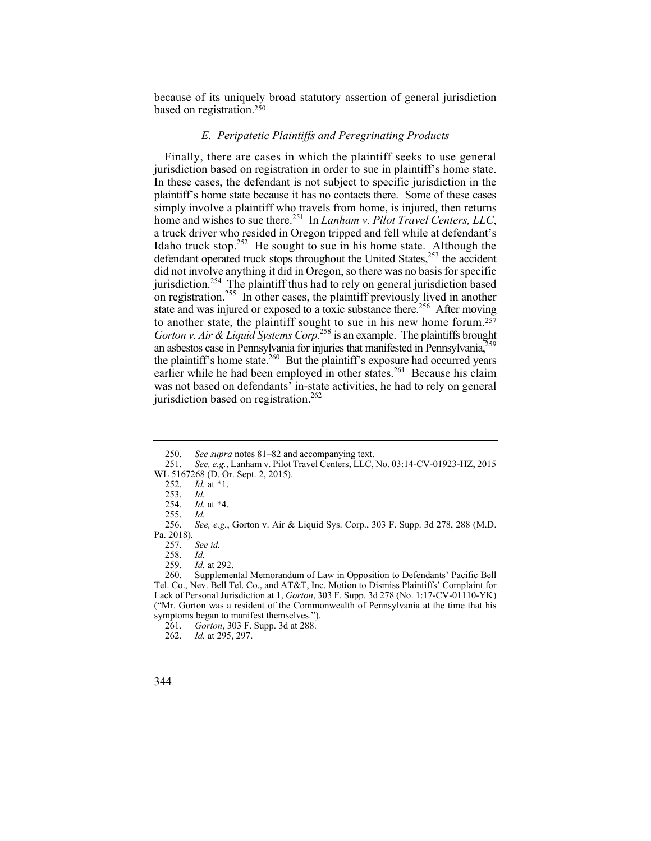because of its uniquely broad statutory assertion of general jurisdiction based on registration.250

## *E. Peripatetic Plaintiffs and Peregrinating Products*

 jurisdiction based on registration in order to sue in plaintiff's home state. to another state, the plaintiff sought to sue in his new home forum.<sup>257</sup> an asbestos case in Pennsylvania for injuries that manifested in Pennsylvania,<sup>259</sup> Finally, there are cases in which the plaintiff seeks to use general In these cases, the defendant is not subject to specific jurisdiction in the plaintiff's home state because it has no contacts there. Some of these cases simply involve a plaintiff who travels from home, is injured, then returns home and wishes to sue there.<sup>251</sup> In *Lanham v. Pilot Travel Centers, LLC*, a truck driver who resided in Oregon tripped and fell while at defendant's Idaho truck stop.<sup>252</sup> He sought to sue in his home state. Although the defendant operated truck stops throughout the United States, $253$  the accident did not involve anything it did in Oregon, so there was no basis for specific jurisdiction.254 The plaintiff thus had to rely on general jurisdiction based on registration.<sup>255</sup> In other cases, the plaintiff previously lived in another state and was injured or exposed to a toxic substance there.<sup>256</sup> After moving *Gorton v. Air & Liquid Systems Corp.*258 is an example. The plaintiffs brought the plaintiff's home state.<sup>260</sup> But the plaintiff's exposure had occurred years earlier while he had been employed in other states.<sup>261</sup> Because his claim was not based on defendants' in-state activities, he had to rely on general jurisdiction based on registration.<sup>262</sup>

See id.

<sup>262.</sup> *Id.* at 295, 297.



<sup>250.</sup> *See supra* notes 81–82 and accompanying text.<br>251. *See, e.g.*, Lanham v. Pilot Travel Centers, LLC.

<sup>251.</sup> *See, e.g.*, Lanham v. Pilot Travel Centers, LLC, No. 03:14-CV-01923-HZ, 2015 WL 5167268 (D. Or. Sept. 2, 2015).

<sup>252.</sup> *Id.* at \*1.

<sup>253.</sup> *Id.*

*Id.* at \*4.

<sup>255.</sup> *Id.*

Pa. 2018).<br>257. 256. *See, e.g.*, Gorton v. Air & Liquid Sys. Corp., 303 F. Supp. 3d 278, 288 (M.D.

 <sup>258.</sup> *Id.* 

<sup>259.</sup> *Id.* at 292.

<sup>260.</sup> Supplemental Memorandum of Law in Opposition to Defendants' Pacific Bell Tel. Co., Nev. Bell Tel. Co., and AT&T, Inc. Motion to Dismiss Plaintiffs' Complaint for Lack of Personal Jurisdiction at 1, *Gorton*, 303 F. Supp. 3d 278 (No. 1:17-CV-01110-YK) ("Mr. Gorton was a resident of the Commonwealth of Pennsylvania at the time that his symptoms began to manifest themselves.").

<sup>261.</sup> *Gorton*, 303 F. Supp. 3d at 288.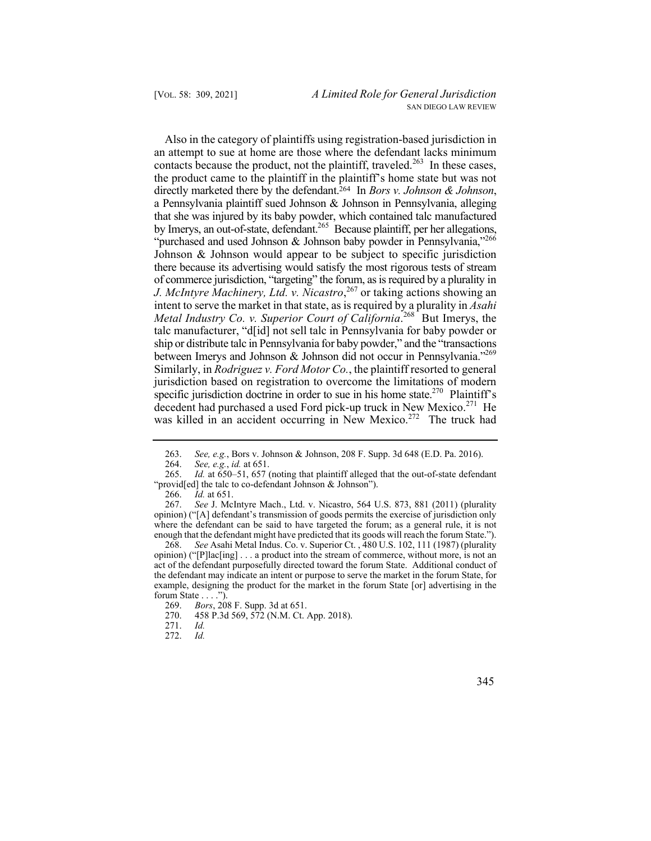*J. McIntyre Machinery, Ltd. v. Nicastro*, 267 or taking actions showing an ship or distribute talc in Pennsylvania for baby powder," and the "transactions between Imerys and Johnson & Johnson did not occur in Pennsylvania."<sup>269</sup> Also in the category of plaintiffs using registration-based jurisdiction in an attempt to sue at home are those where the defendant lacks minimum contacts because the product, not the plaintiff, traveled.<sup>263</sup> In these cases, the product came to the plaintiff in the plaintiff's home state but was not directly marketed there by the defendant.<sup>264</sup> In *Bors v. Johnson & Johnson*, a Pennsylvania plaintiff sued Johnson & Johnson in Pennsylvania, alleging that she was injured by its baby powder, which contained talc manufactured by Imerys, an out-of-state, defendant.<sup>265</sup> Because plaintiff, per her allegations, "purchased and used Johnson & Johnson baby powder in Pennsylvania,"266 Johnson & Johnson would appear to be subject to specific jurisdiction there because its advertising would satisfy the most rigorous tests of stream of commerce jurisdiction, "targeting" the forum, as is required by a plurality in intent to serve the market in that state, as is required by a plurality in *Asahi Metal Industry Co. v. Superior Court of California.*<sup>268</sup> But Imerys, the talc manufacturer, "d[id] not sell talc in Pennsylvania for baby powder or Similarly, in *Rodriguez v. Ford Motor Co.*, the plaintiff resorted to general jurisdiction based on registration to overcome the limitations of modern specific jurisdiction doctrine in order to sue in his home state.<sup>270</sup> Plaintiff's decedent had purchased a used Ford pick-up truck in New Mexico.<sup>271</sup> He was killed in an accident occurring in New Mexico.<sup>272</sup> The truck had

266. *Id.* at 651.

267. *See* J. McIntyre Mach., Ltd. v. Nicastro, 564 U.S. 873, 881 (2011) (plurality opinion) ("[A] defendant's transmission of goods permits the exercise of jurisdiction only where the defendant can be said to have targeted the forum; as a general rule, it is not enough that the defendant might have predicted that its goods will reach the forum State.").

268. *See* Asahi Metal Indus. Co. v. Superior Ct. , 480 U.S. 102, 111 (1987) (plurality opinion) ("[P]lac[ing] . . . a product into the stream of commerce, without more, is not an act of the defendant purposefully directed toward the forum State. Additional conduct of the defendant may indicate an intent or purpose to serve the market in the forum State, for example, designing the product for the market in the forum State [or] advertising in the forum State . . . .").

<sup>263.</sup> *See, e.g.*, Bors v. Johnson & Johnson, 208 F. Supp. 3d 648 (E.D. Pa. 2016).

<sup>264.</sup> *See, e.g.*, *id.* at 651.

<sup>265.</sup> *Id.* at 650–51, 657 (noting that plaintiff alleged that the out-of-state defendant "provid[ed] the talc to co-defendant Johnson & Johnson").

<sup>269.</sup> *Bors*, 208 F. Supp. 3d at 651. 270. 458 P.3d 569, 572 (N.M. Ct. App. 2018).

<sup>271.</sup> *Id.*

 <sup>272.</sup> *Id.*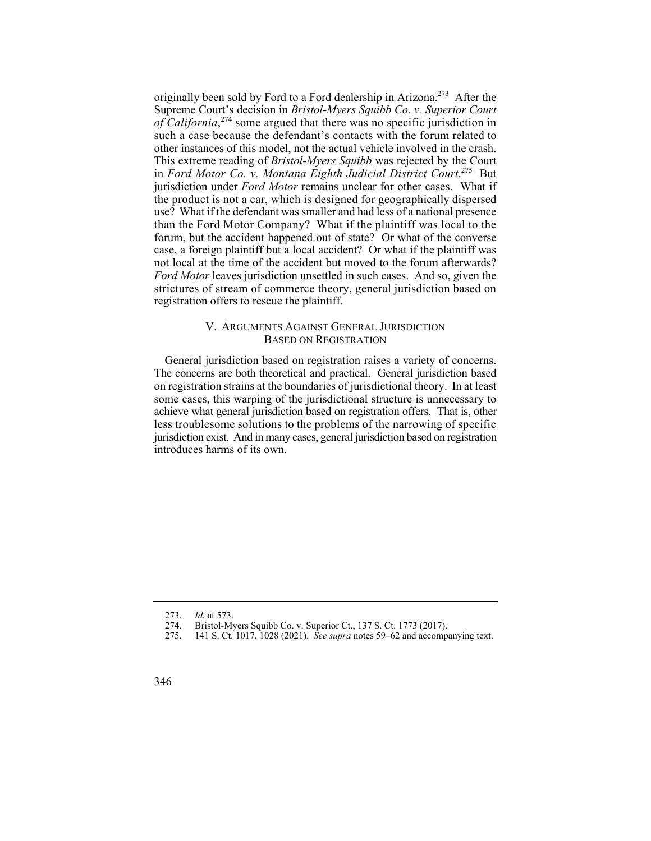such a case because the defendant's contacts with the forum related to in *Ford Motor Co. v. Montana Eighth Judicial District Court*. 275 But the product is not a car, which is designed for geographically dispersed not local at the time of the accident but moved to the forum afterwards? originally been sold by Ford to a Ford dealership in Arizona.<sup>273</sup> After the Supreme Court's decision in *Bristol-Myers Squibb Co. v. Superior Court of California*, 274 some argued that there was no specific jurisdiction in other instances of this model, not the actual vehicle involved in the crash. This extreme reading of *Bristol-Myers Squibb* was rejected by the Court jurisdiction under *Ford Motor* remains unclear for other cases. What if use? What if the defendant was smaller and had less of a national presence than the Ford Motor Company? What if the plaintiff was local to the forum, but the accident happened out of state? Or what of the converse case, a foreign plaintiff but a local accident? Or what if the plaintiff was *Ford Motor* leaves jurisdiction unsettled in such cases. And so, given the strictures of stream of commerce theory, general jurisdiction based on registration offers to rescue the plaintiff.

## V. ARGUMENTS AGAINST GENERAL JURISDICTION BASED ON REGISTRATION

General jurisdiction based on registration raises a variety of concerns. The concerns are both theoretical and practical. General jurisdiction based on registration strains at the boundaries of jurisdictional theory. In at least some cases, this warping of the jurisdictional structure is unnecessary to achieve what general jurisdiction based on registration offers. That is, other less troublesome solutions to the problems of the narrowing of specific jurisdiction exist. And in many cases, general jurisdiction based on registration introduces harms of its own.

<sup>273.</sup> *Id.* at 573.

<sup>274.</sup>  Bristol-Myers Squibb Co. v. Superior Ct., 137 S. Ct. 1773 (2017).

<sup>275.</sup>  141 S. Ct. 1017, 1028 (2021). *See supra* notes 59–62 and accompanying text.

<sup>346</sup>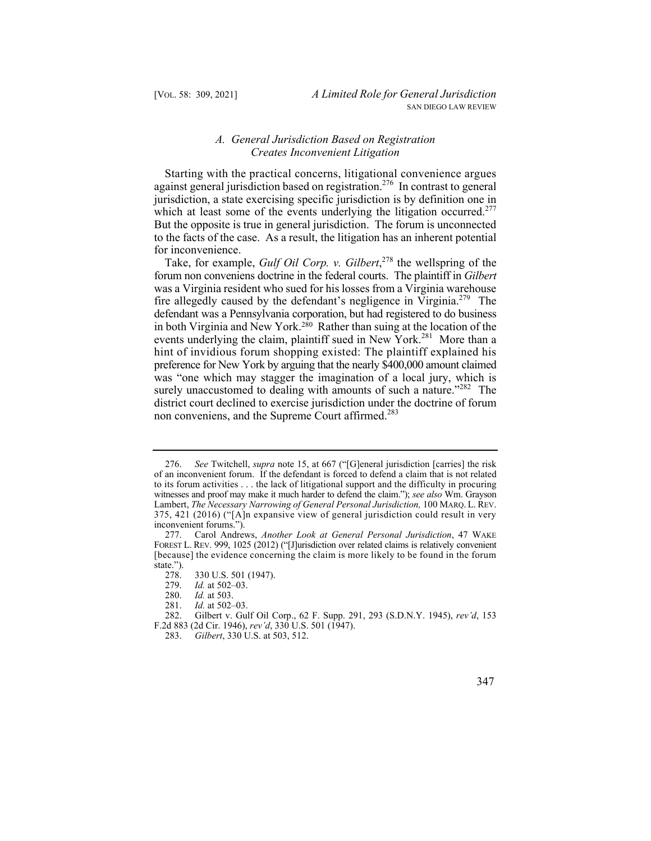## *A. General Jurisdiction Based on Registration Creates Inconvenient Litigation*

which at least some of the events underlying the litigation occurred.<sup>277</sup> Starting with the practical concerns, litigational convenience argues against general jurisdiction based on registration.<sup>276</sup> In contrast to general jurisdiction, a state exercising specific jurisdiction is by definition one in But the opposite is true in general jurisdiction. The forum is unconnected to the facts of the case. As a result, the litigation has an inherent potential for inconvenience.

fire allegedly caused by the defendant's negligence in Virginia.<sup>279</sup> The events underlying the claim, plaintiff sued in New York.<sup>281</sup> More than a Take, for example, *Gulf Oil Corp. v. Gilbert*, 278 the wellspring of the forum non conveniens doctrine in the federal courts. The plaintiff in *Gilbert*  was a Virginia resident who sued for his losses from a Virginia warehouse defendant was a Pennsylvania corporation, but had registered to do business in both Virginia and New York.<sup>280</sup> Rather than suing at the location of the hint of invidious forum shopping existed: The plaintiff explained his preference for New York by arguing that the nearly \$400,000 amount claimed was "one which may stagger the imagination of a local jury, which is surely unaccustomed to dealing with amounts of such a nature."<sup>282</sup> The district court declined to exercise jurisdiction under the doctrine of forum non conveniens, and the Supreme Court affirmed.<sup>283</sup>

 of an inconvenient forum. If the defendant is forced to defend a claim that is not related Lambert, *The Necessary Narrowing of General Personal Jurisdiction,* 100 MARQ. L. REV. 276. *See* Twitchell, *supra* note 15, at 667 ("[G]eneral jurisdiction [carries] the risk to its forum activities . . . the lack of litigational support and the difficulty in procuring witnesses and proof may make it much harder to defend the claim."); *see also* Wm. Grayson 375, 421 (2016) ("[A]n expansive view of general jurisdiction could result in very inconvenient forums.").

 FOREST L. REV. 999, 1025 (2012) ("[J]urisdiction over related claims is relatively convenient 277. Carol Andrews, *Another Look at General Personal Jurisdiction*, 47 WAKE [because] the evidence concerning the claim is more likely to be found in the forum state.").

<sup>278.</sup>  330 U.S. 501 (1947).

<sup>279.</sup>  *Id.* at 502–03.

<sup>280.</sup> *Id.* at 503.

F.2d 883 (2d Cir. 1946), *rev'd*, 330 U.S. 501 (1947). 281. *Id.* at 502–03. 282. Gilbert v. Gulf Oil Corp., 62 F. Supp. 291, 293 (S.D.N.Y. 1945), *rev'd*, 153

<sup>283.</sup> *Gilbert*, 330 U.S. at 503, 512.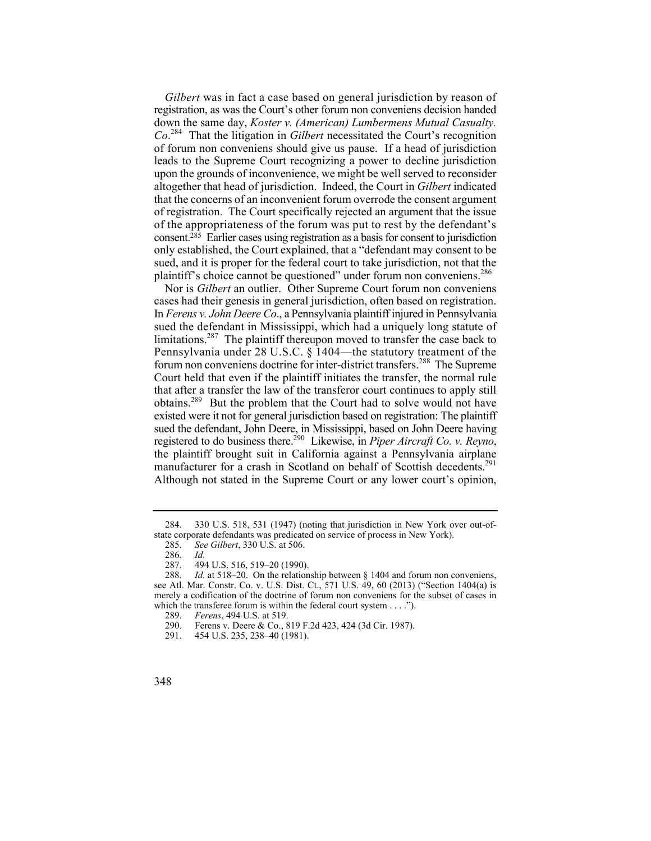*Gilbert* was in fact a case based on general jurisdiction by reason of registration, as was the Court's other forum non conveniens decision handed down the same day, *Koster v. (American) Lumbermens Mutual Casualty. Co*. 284 That the litigation in *Gilbert* necessitated the Court's recognition of forum non conveniens should give us pause. If a head of jurisdiction leads to the Supreme Court recognizing a power to decline jurisdiction upon the grounds of inconvenience, we might be well served to reconsider altogether that head of jurisdiction. Indeed, the Court in *Gilbert* indicated that the concerns of an inconvenient forum overrode the consent argument of registration. The Court specifically rejected an argument that the issue of the appropriateness of the forum was put to rest by the defendant's consent.<sup> $285$ </sup> Earlier cases using registration as a basis for consent to jurisdiction only established, the Court explained, that a "defendant may consent to be sued, and it is proper for the federal court to take jurisdiction, not that the plaintiff's choice cannot be questioned" under forum non conveniens.<sup>286</sup>

 cases had their genesis in general jurisdiction, often based on registration. sued the defendant in Mississippi, which had a uniquely long statute of limitations.<sup>287</sup> The plaintiff thereupon moved to transfer the case back to Nor is *Gilbert* an outlier. Other Supreme Court forum non conveniens In *Ferens v. John Deere Co*., a Pennsylvania plaintiff injured in Pennsylvania Pennsylvania under 28 U.S.C. § 1404—the statutory treatment of the forum non conveniens doctrine for inter-district transfers.<sup>288</sup> The Supreme Court held that even if the plaintiff initiates the transfer, the normal rule that after a transfer the law of the transferor court continues to apply still obtains.289 But the problem that the Court had to solve would not have existed were it not for general jurisdiction based on registration: The plaintiff sued the defendant, John Deere, in Mississippi, based on John Deere having registered to do business there.290 Likewise, in *Piper Aircraft Co. v. Reyno*, the plaintiff brought suit in California against a Pennsylvania airplane manufacturer for a crash in Scotland on behalf of Scottish decedents.<sup>291</sup> Although not stated in the Supreme Court or any lower court's opinion,

<sup>284. 330</sup> U.S. 518, 531 (1947) (noting that jurisdiction in New York over out-ofstate corporate defendants was predicated on service of process in New York).

<sup>285.</sup> *See Gilbert*, 330 U.S. at 506.

<sup>286.</sup> *Id.* 

<sup>287. 494</sup> U.S. 516, 519–20 (1990).

<sup>288.</sup> *Id.* at 518–20. On the relationship between § 1404 and forum non conveniens, see Atl. Mar. Constr. Co. v. U.S. Dist. Ct., 571 U.S. 49, 60 (2013) ("Section 1404(a) is merely a codification of the doctrine of forum non conveniens for the subset of cases in which the transferee forum is within the federal court system  $\dots$ .").<br>289. Ferens. 494 U.S. at 519.

<sup>289.</sup> *Ferens*, 494 U.S. at 519.

<sup>290.</sup> Ferens v. Deere & Co., 819 F.2d 423, 424 (3d Cir. 1987).

<sup>291. 454</sup> U.S. 235, 238–40 (1981).

<sup>348</sup>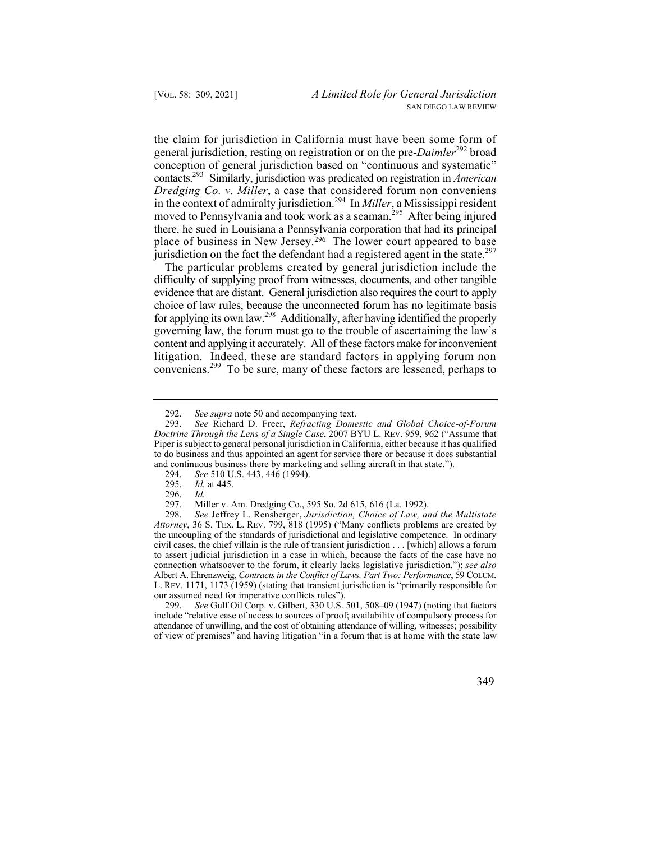there, he sued in Louisiana a Pennsylvania corporation that had its principal the claim for jurisdiction in California must have been some form of general jurisdiction, resting on registration or on the pre-*Daimler*292 broad conception of general jurisdiction based on "continuous and systematic" contacts.293 Similarly, jurisdiction was predicated on registration in *American Dredging Co. v. Miller*, a case that considered forum non conveniens in the context of admiralty jurisdiction.294 In *Miller*, a Mississippi resident moved to Pennsylvania and took work as a seaman.<sup>295</sup> After being injured place of business in New Jersey.<sup>296</sup> The lower court appeared to base jurisdiction on the fact the defendant had a registered agent in the state.<sup>297</sup>

 evidence that are distant. General jurisdiction also requires the court to apply choice of law rules, because the unconnected forum has no legitimate basis The particular problems created by general jurisdiction include the difficulty of supplying proof from witnesses, documents, and other tangible for applying its own law.298 Additionally, after having identified the properly governing law, the forum must go to the trouble of ascertaining the law's content and applying it accurately. All of these factors make for inconvenient litigation. Indeed, these are standard factors in applying forum non conveniens.299 To be sure, many of these factors are lessened, perhaps to

 of view of premises" and having litigation "in a forum that is at home with the state law 299. *See* Gulf Oil Corp. v. Gilbert, 330 U.S. 501, 508–09 (1947) (noting that factors include "relative ease of access to sources of proof; availability of compulsory process for attendance of unwilling, and the cost of obtaining attendance of willing, witnesses; possibility

<sup>292.</sup> *See supra* note 50 and accompanying text.

 Piper is subject to general personal jurisdiction in California, either because it has qualified 293. *See* Richard D. Freer, *Refracting Domestic and Global Choice-of-Forum Doctrine Through the Lens of a Single Case*, 2007 BYU L. REV. 959, 962 ("Assume that to do business and thus appointed an agent for service there or because it does substantial and continuous business there by marketing and selling aircraft in that state.").

<sup>294.</sup>  *See* 510 U.S. 443, 446 (1994).

<sup>295.</sup>  *Id.* at 445.

<sup>296.</sup> *Id.* 

<sup>297.</sup>  Miller v. Am. Dredging Co., 595 So. 2d 615, 616 (La. 1992).

 *Attorney*, 36 S. TEX. L. REV. 799, 818 (1995) ("Many conflicts problems are created by to assert judicial jurisdiction in a case in which, because the facts of the case have no  Albert A. Ehrenzweig, *Contracts in the Conflict of Laws, Part Two: Performance*, 59 COLUM. 298. *See* Jeffrey L. Rensberger, *Jurisdiction, Choice of Law, and the Multistate*  the uncoupling of the standards of jurisdictional and legislative competence. In ordinary civil cases, the chief villain is the rule of transient jurisdiction . . . [which] allows a forum connection whatsoever to the forum, it clearly lacks legislative jurisdiction."); *see also*  L. REV. 1171, 1173 (1959) (stating that transient jurisdiction is "primarily responsible for our assumed need for imperative conflicts rules").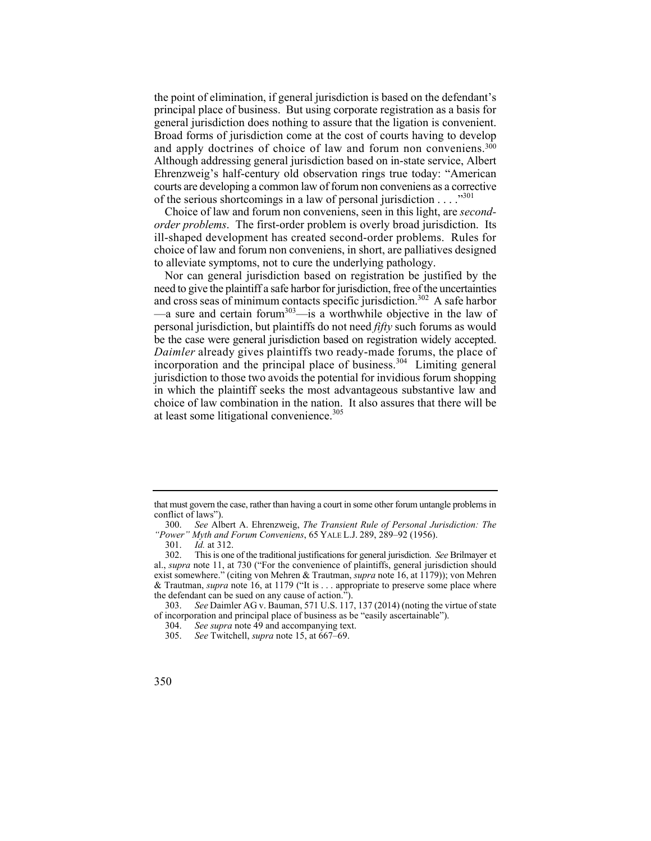and apply doctrines of choice of law and forum non conveniens.300 the point of elimination, if general jurisdiction is based on the defendant's principal place of business. But using corporate registration as a basis for general jurisdiction does nothing to assure that the ligation is convenient. Broad forms of jurisdiction come at the cost of courts having to develop Although addressing general jurisdiction based on in-state service, Albert Ehrenzweig's half-century old observation rings true today: "American courts are developing a common law of forum non conveniens as a corrective of the serious shortcomings in a law of personal jurisdiction  $\dots$ .  $\cdot$ <sup>301</sup>

Choice of law and forum non conveniens, seen in this light, are *secondorder problems*. The first-order problem is overly broad jurisdiction. Its ill-shaped development has created second-order problems. Rules for choice of law and forum non conveniens, in short, are palliatives designed to alleviate symptoms, not to cure the underlying pathology.

Nor can general jurisdiction based on registration be justified by the need to give the plaintiff a safe harbor for jurisdiction, free of the uncertainties and cross seas of minimum contacts specific jurisdiction.<sup>302</sup> A safe harbor  $\frac{2}{x}$  a sure and certain forum<sup>303</sup>—is a worthwhile objective in the law of personal jurisdiction, but plaintiffs do not need *fifty* such forums as would be the case were general jurisdiction based on registration widely accepted. *Daimler* already gives plaintiffs two ready-made forums, the place of incorporation and the principal place of business.<sup>304</sup> Limiting general jurisdiction to those two avoids the potential for invidious forum shopping in which the plaintiff seeks the most advantageous substantive law and choice of law combination in the nation. It also assures that there will be at least some litigational convenience.<sup>305</sup>

 that must govern the case, rather than having a court in some other forum untangle problems in conflict of laws").

<sup>300.</sup> *See* Albert A. Ehrenzweig, *The Transient Rule of Personal Jurisdiction: The "Power" Myth and Forum Conveniens*, 65 YALE L.J. 289, 289–92 (1956).

<sup>301.</sup> *Id.* at 312.

<sup>302.</sup> This is one of the traditional justifications for general jurisdiction. *See* Brilmayer et al., *supra* note 11, at 730 ("For the convenience of plaintiffs, general jurisdiction should exist somewhere." (citing von Mehren & Trautman, *supra* note 16, at 1179)); von Mehren & Trautman, *supra* note 16, at 1179 ("It is . . . appropriate to preserve some place where the defendant can be sued on any cause of action.").

<sup>303.</sup> *See* Daimler AG v. Bauman, 571 U.S. 117, 137 (2014) (noting the virtue of state of incorporation and principal place of business as be "easily ascertainable").

<sup>304.</sup> *See supra* note 49 and accompanying text.

<sup>305.</sup> *See* Twitchell, *supra* note 15, at 667–69.

<sup>350</sup>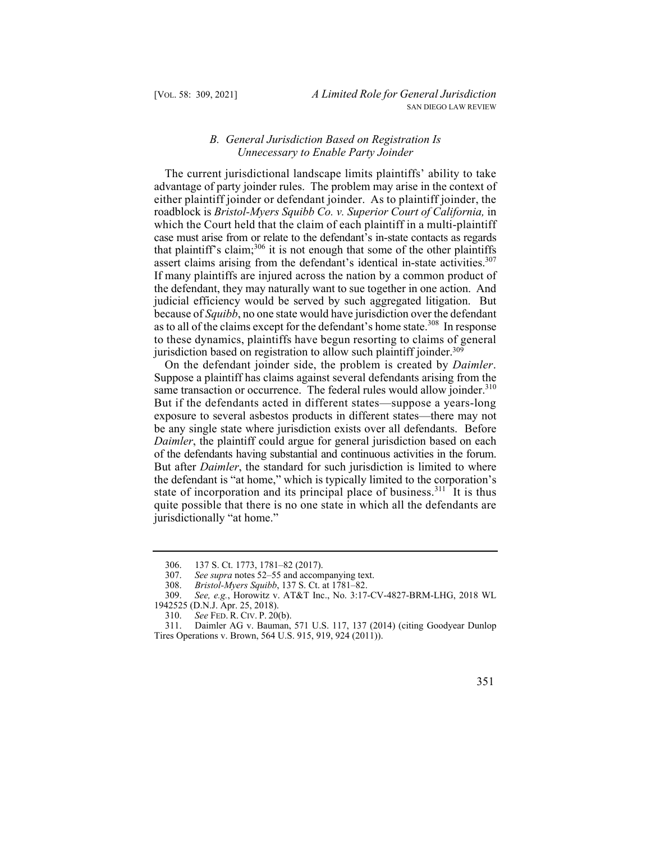## *B. General Jurisdiction Based on Registration Is Unnecessary to Enable Party Joinder*

 either plaintiff joinder or defendant joinder. As to plaintiff joinder, the assert claims arising from the defendant's identical in-state activities.<sup>307</sup> If many plaintiffs are injured across the nation by a common product of the defendant, they may naturally want to sue together in one action. And The current jurisdictional landscape limits plaintiffs' ability to take advantage of party joinder rules. The problem may arise in the context of roadblock is *Bristol-Myers Squibb Co. v. Superior Court of California,* in which the Court held that the claim of each plaintiff in a multi-plaintiff case must arise from or relate to the defendant's in-state contacts as regards that plaintiff's claim;<sup>306</sup> it is not enough that some of the other plaintiffs judicial efficiency would be served by such aggregated litigation. But because of *Squibb*, no one state would have jurisdiction over the defendant as to all of the claims except for the defendant's home state.<sup>308</sup> In response to these dynamics, plaintiffs have begun resorting to claims of general jurisdiction based on registration to allow such plaintiff joinder.<sup>309</sup>

same transaction or occurrence. The federal rules would allow joinder.<sup>310</sup> of the defendants having substantial and continuous activities in the forum. On the defendant joinder side, the problem is created by *Daimler*. Suppose a plaintiff has claims against several defendants arising from the But if the defendants acted in different states—suppose a years-long exposure to several asbestos products in different states—there may not be any single state where jurisdiction exists over all defendants. Before *Daimler*, the plaintiff could argue for general jurisdiction based on each But after *Daimler*, the standard for such jurisdiction is limited to where the defendant is "at home," which is typically limited to the corporation's state of incorporation and its principal place of business.<sup>311</sup> It is thus quite possible that there is no one state in which all the defendants are jurisdictionally "at home."

<sup>311.</sup> Daimler AG v. Bauman, 571 U.S. 117, 137 (2014) (citing Goodyear Dunlop Tires Operations v. Brown, 564 U.S. 915, 919, 924 (2011)).



<sup>306. 137</sup> S. Ct. 1773, 1781–82 (2017).

<sup>307.</sup> *See supra* notes 52–55 and accompanying text.

<sup>308.</sup> *Bristol-Myers Squibb*, 137 S. Ct. at 1781–82.

<sup>309.</sup> *See, e.g.*, Horowitz v. AT&T Inc., No. 3:17-CV-4827-BRM-LHG, 2018 WL 1942525 (D.N.J. Apr. 25, 2018).<br>310. See FED. R. CIV. P. 20

 310. *See* FED. R. CIV. P. 20(b).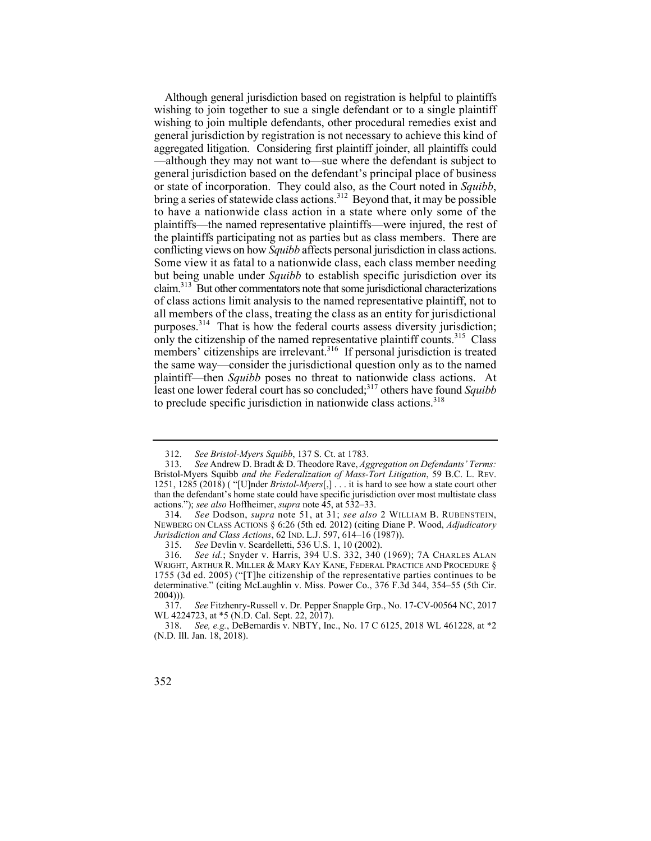the same way—consider the jurisdictional question only as to the named Although general jurisdiction based on registration is helpful to plaintiffs wishing to join together to sue a single defendant or to a single plaintiff wishing to join multiple defendants, other procedural remedies exist and general jurisdiction by registration is not necessary to achieve this kind of aggregated litigation. Considering first plaintiff joinder, all plaintiffs could —although they may not want to—sue where the defendant is subject to general jurisdiction based on the defendant's principal place of business or state of incorporation. They could also, as the Court noted in *Squibb*, bring a series of statewide class actions.<sup>312</sup> Beyond that, it may be possible to have a nationwide class action in a state where only some of the plaintiffs—the named representative plaintiffs—were injured, the rest of the plaintiffs participating not as parties but as class members. There are conflicting views on how *Squibb* affects personal jurisdiction in class actions. Some view it as fatal to a nationwide class, each class member needing but being unable under *Squibb* to establish specific jurisdiction over its claim.313 But other commentators note that some jurisdictional characterizations of class actions limit analysis to the named representative plaintiff, not to all members of the class, treating the class as an entity for jurisdictional purposes.314 That is how the federal courts assess diversity jurisdiction; only the citizenship of the named representative plaintiff counts.<sup>315</sup> Class members' citizenships are irrelevant.<sup>316</sup> If personal jurisdiction is treated plaintiff—then *Squibb* poses no threat to nationwide class actions. At least one lower federal court has so concluded;317 others have found *Squibb*  to preclude specific jurisdiction in nationwide class actions.<sup>318</sup>

<sup>312.</sup> *See Bristol-Myers Squibb*, 137 S. Ct. at 1783.

<sup>313.</sup> *See* Andrew D. Bradt & D. Theodore Rave, *Aggregation on Defendants' Terms:*  Bristol-Myers Squibb *and the Federalization of Mass-Tort Litigation*, 59 B.C. L. REV. 1251, 1285 (2018) ( "[U]nder *Bristol-Myers*[,] . . . it is hard to see how a state court other than the defendant's home state could have specific jurisdiction over most multistate class actions."); *see also* Hoffheimer, *supra* note 45, at 532–33.

<sup>314.</sup> *See* Dodson, *supra* note 51, at 31; *see also* 2 WILLIAM B. RUBENSTEIN, NEWBERG ON CLASS ACTIONS § 6:26 (5th ed. 2012) (citing Diane P. Wood, *Adjudicatory Jurisdiction and Class Actions*, 62 IND. L.J. 597, 614–16 (1987)).

<sup>315.</sup> *See* Devlin v. Scardelletti, 536 U.S. 1, 10 (2002).

<sup>316.</sup> *See id.*; Snyder v. Harris, 394 U.S. 332, 340 (1969); 7A CHARLES ALAN WRIGHT, ARTHUR R. MILLER & MARY KAY KANE, FEDERAL PRACTICE AND PROCEDURE § 1755 (3d ed. 2005) ("[T]he citizenship of the representative parties continues to be determinative." (citing McLaughlin v. Miss. Power Co., 376 F.3d 344, 354–55 (5th Cir. 2004))).

<sup>317.</sup> *See* Fitzhenry-Russell v. Dr. Pepper Snapple Grp., No. 17-CV-00564 NC, 2017 WL 4224723, at \*5 (N.D. Cal. Sept. 22, 2017).

<sup>318.</sup> *See, e.g.*, DeBernardis v. NBTY, Inc., No. 17 C 6125, 2018 WL 461228, at \*2 (N.D. Ill. Jan. 18, 2018).

<sup>352</sup>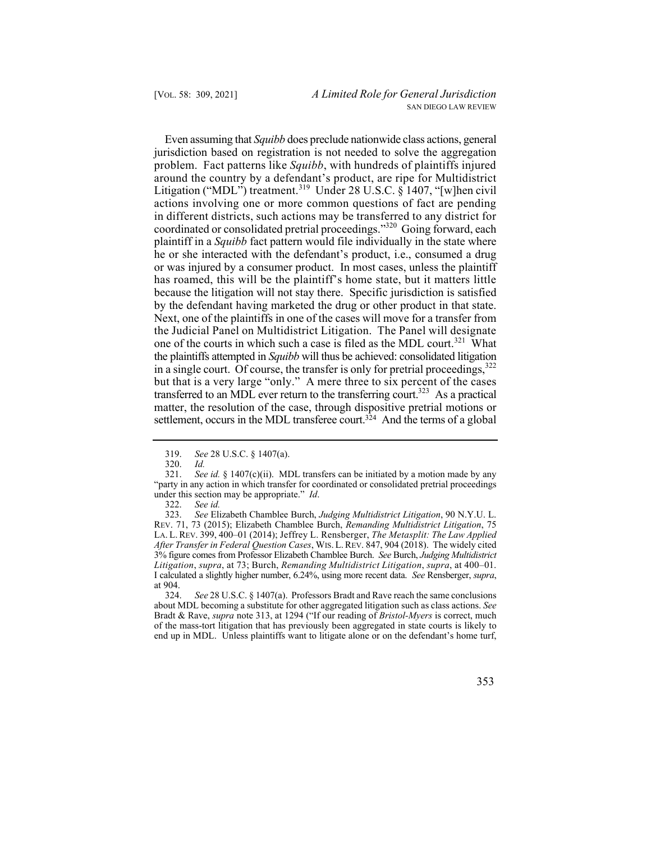by the defendant having marketed the drug or other product in that state. one of the courts in which such a case is filed as the MDL court.<sup>321</sup> What but that is a very large "only." A mere three to six percent of the cases settlement, occurs in the MDL transferee court.<sup>324</sup> And the terms of a global Even assuming that *Squibb* does preclude nationwide class actions, general jurisdiction based on registration is not needed to solve the aggregation problem. Fact patterns like *Squibb*, with hundreds of plaintiffs injured around the country by a defendant's product, are ripe for Multidistrict Litigation ("MDL") treatment.<sup>319</sup> Under 28 U.S.C. § 1407, "[w]hen civil actions involving one or more common questions of fact are pending in different districts, such actions may be transferred to any district for coordinated or consolidated pretrial proceedings."320 Going forward, each plaintiff in a *Squibb* fact pattern would file individually in the state where he or she interacted with the defendant's product, i.e., consumed a drug or was injured by a consumer product. In most cases, unless the plaintiff has roamed, this will be the plaintiff's home state, but it matters little because the litigation will not stay there. Specific jurisdiction is satisfied Next, one of the plaintiffs in one of the cases will move for a transfer from the Judicial Panel on Multidistrict Litigation. The Panel will designate the plaintiffs attempted in *Squibb* will thus be achieved: consolidated litigation in a single court. Of course, the transfer is only for pretrial proceedings,  $322$ transferred to an MDL ever return to the transferring court.<sup>323</sup> As a practical matter, the resolution of the case, through dispositive pretrial motions or

322. *See id.*

 LA. L. REV. 399, 400–01 (2014); Jeffrey L. Rensberger, *The Metasplit: The Law Applied After Transfer in Federal Question Cases*, WIS. L. REV. 847, 904 (2018). The widely cited 3% figure comes from Professor Elizabeth Chamblee Burch. *See* Burch, *Judging Multidistrict*  Litigation, supra, at 73; Burch, Remanding Multidistrict Litigation, supra, at 400–01. 323. *See* Elizabeth Chamblee Burch, *Judging Multidistrict Litigation*, 90 N.Y.U. L. REV. 71, 73 (2015); Elizabeth Chamblee Burch, *Remanding Multidistrict Litigation*, 75 *I* calculated a slightly higher number, 6.24%, using more recent data. *See* Rensberger, *supra*, at 904.

324. *See* 28 U.S.C. § 1407(a). Professors Bradt and Rave reach the same conclusions about MDL becoming a substitute for other aggregated litigation such as class actions. *See*  Bradt & Rave, *supra* note 313, at 1294 ("If our reading of *Bristol-Myers* is correct, much of the mass-tort litigation that has previously been aggregated in state courts is likely to end up in MDL. Unless plaintiffs want to litigate alone or on the defendant's home turf,

<sup>319.</sup> *See* 28 U.S.C. § 1407(a).

<sup>320.</sup> *Id.*

 <sup>321.</sup> *See id.* § 1407(c)(ii). MDL transfers can be initiated by a motion made by any "party in any action in which transfer for coordinated or consolidated pretrial proceedings under this section may be appropriate." *Id*.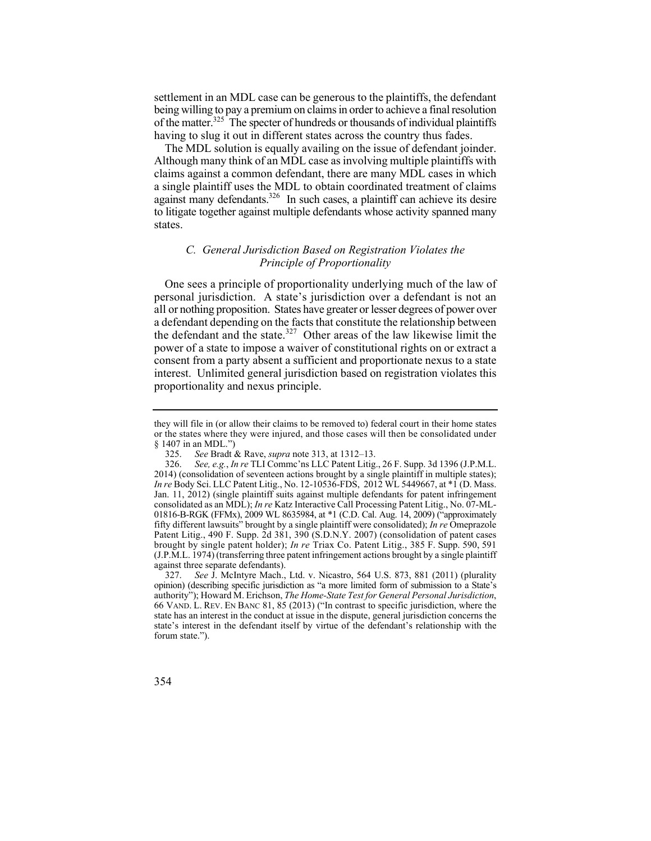settlement in an MDL case can be generous to the plaintiffs, the defendant being willing to pay a premium on claims in order to achieve a final resolution of the matter.<sup>325</sup> The specter of hundreds or thousands of individual plaintiffs having to slug it out in different states across the country thus fades.

The MDL solution is equally availing on the issue of defendant joinder. Although many think of an MDL case as involving multiple plaintiffs with claims against a common defendant, there are many MDL cases in which a single plaintiff uses the MDL to obtain coordinated treatment of claims against many defendants. $326$  In such cases, a plaintiff can achieve its desire to litigate together against multiple defendants whose activity spanned many states.

## *C. General Jurisdiction Based on Registration Violates the Principle of Proportionality*

 One sees a principle of proportionality underlying much of the law of personal jurisdiction. A state's jurisdiction over a defendant is not an all or nothing proposition. States have greater or lesser degrees of power over a defendant depending on the facts that constitute the relationship between the defendant and the state.<sup>327</sup> Other areas of the law likewise limit the power of a state to impose a waiver of constitutional rights on or extract a consent from a party absent a sufficient and proportionate nexus to a state interest. Unlimited general jurisdiction based on registration violates this proportionality and nexus principle.

 or the states where they were injured, and those cases will then be consolidated under they will file in (or allow their claims to be removed to) federal court in their home states § 1407 in an MDL.")

<sup>325.</sup> *See* Bradt & Rave, *supra* note 313, at 1312–13.

 Patent Litig., 490 F. Supp. 2d 381, 390 (S.D.N.Y. 2007) (consolidation of patent cases 326. *See, e.g.*, *In re* TLI Commc'ns LLC Patent Litig., 26 F. Supp. 3d 1396 (J.P.M.L. 2014) (consolidation of seventeen actions brought by a single plaintiff in multiple states); *In re* Body Sci. LLC Patent Litig., No. 12-10536-FDS, 2012 WL 5449667, at \*1 (D. Mass. Jan. 11, 2012) (single plaintiff suits against multiple defendants for patent infringement consolidated as an MDL); *In re* Katz Interactive Call Processing Patent Litig., No. 07-ML-01816-B-RGK (FFMx), 2009 WL 8635984, at \*1 (C.D. Cal. Aug. 14, 2009) ("approximately fifty different lawsuits" brought by a single plaintiff were consolidated); *In re* Omeprazole brought by single patent holder); *In re* Triax Co. Patent Litig., 385 F. Supp. 590, 591 (J.P.M.L. 1974) (transferring three patent infringement actions brought by a single plaintiff against three separate defendants).

 66 VAND. L. REV. EN BANC 81, 85 (2013) ("In contrast to specific jurisdiction, where the 327. *See* J. McIntyre Mach., Ltd. v. Nicastro, 564 U.S. 873, 881 (2011) (plurality opinion) (describing specific jurisdiction as "a more limited form of submission to a State's authority"); Howard M. Erichson, *The Home-State Test for General Personal Jurisdiction*, state has an interest in the conduct at issue in the dispute, general jurisdiction concerns the state's interest in the defendant itself by virtue of the defendant's relationship with the forum state.").

<sup>354</sup>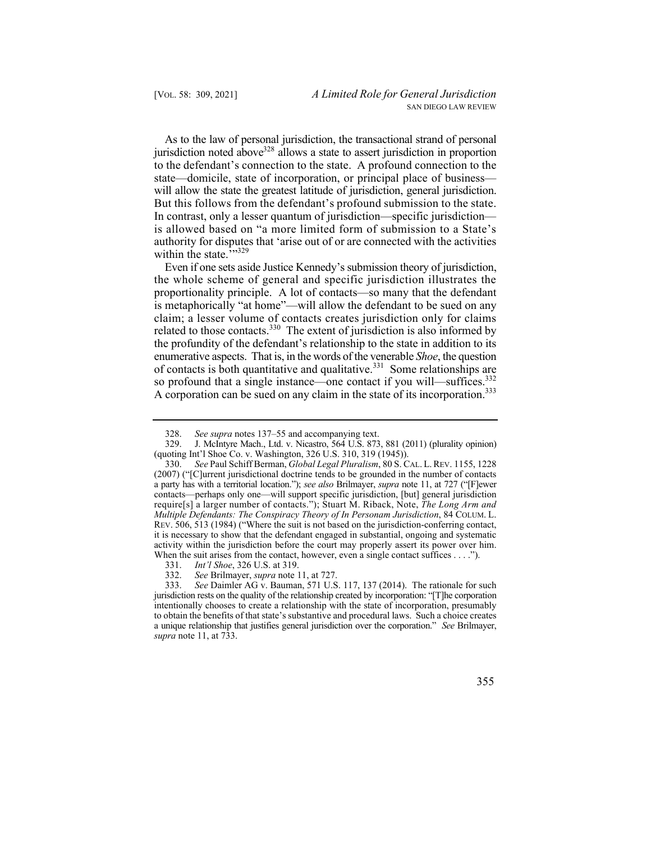to the defendant's connection to the state. A profound connection to the will allow the state the greatest latitude of jurisdiction, general jurisdiction. But this follows from the defendant's profound submission to the state. As to the law of personal jurisdiction, the transactional strand of personal jurisdiction noted above<sup>328</sup> allows a state to assert jurisdiction in proportion state—domicile, state of incorporation, or principal place of business— In contrast, only a lesser quantum of jurisdiction—specific jurisdiction is allowed based on "a more limited form of submission to a State's authority for disputes that 'arise out of or are connected with the activities within the state.""329

 claim; a lesser volume of contacts creates jurisdiction only for claims related to those contacts.<sup>330</sup> The extent of jurisdiction is also informed by so profound that a single instance—one contact if you will—suffices.<sup>332</sup> Even if one sets aside Justice Kennedy's submission theory of jurisdiction, the whole scheme of general and specific jurisdiction illustrates the proportionality principle. A lot of contacts—so many that the defendant is metaphorically "at home"—will allow the defendant to be sued on any the profundity of the defendant's relationship to the state in addition to its enumerative aspects. That is, in the words of the venerable *Shoe*, the question of contacts is both quantitative and qualitative.331 Some relationships are A corporation can be sued on any claim in the state of its incorporation.<sup>333</sup>

<sup>328.</sup> *See supra* notes 137–55 and accompanying text.

<sup>329.</sup> J. McIntyre Mach., Ltd. v. Nicastro, 564 U.S. 873, 881 (2011) (plurality opinion) (quoting Int'l Shoe Co. v. Washington, 326 U.S. 310, 319 (1945)).

 330. *See* Paul Schiff Berman, *Global Legal Pluralism*, 80 S. CAL. L. REV. 1155, 1228 *Multiple Defendants: The Conspiracy Theory of In Personam Jurisdiction*, 84 COLUM. L. activity within the jurisdiction before the court may properly assert its power over him. When the suit arises from the contact, however, even a single contact suffices . . . ."). (2007) ("[C]urrent jurisdictional doctrine tends to be grounded in the number of contacts a party has with a territorial location."); *see also* Brilmayer, *supra* note 11, at 727 ("[F]ewer contacts—perhaps only one—will support specific jurisdiction, [but] general jurisdiction require[s] a larger number of contacts."); Stuart M. Riback, Note, *The Long Arm and*  REV. 506, 513 (1984) ("Where the suit is not based on the jurisdiction-conferring contact, it is necessary to show that the defendant engaged in substantial, ongoing and systematic

<sup>331.</sup> *Int'l Shoe*, 326 U.S. at 319.

<sup>332.</sup> *See* Brilmayer, *supra* note 11, at 727.

 a unique relationship that justifies general jurisdiction over the corporation." *See* Brilmayer, See Daimler AG v. Bauman, 571 U.S. 117, 137 (2014). The rationale for such jurisdiction rests on the quality of the relationship created by incorporation: "[T]he corporation intentionally chooses to create a relationship with the state of incorporation, presumably to obtain the benefits of that state's substantive and procedural laws. Such a choice creates *supra* note 11, at 733.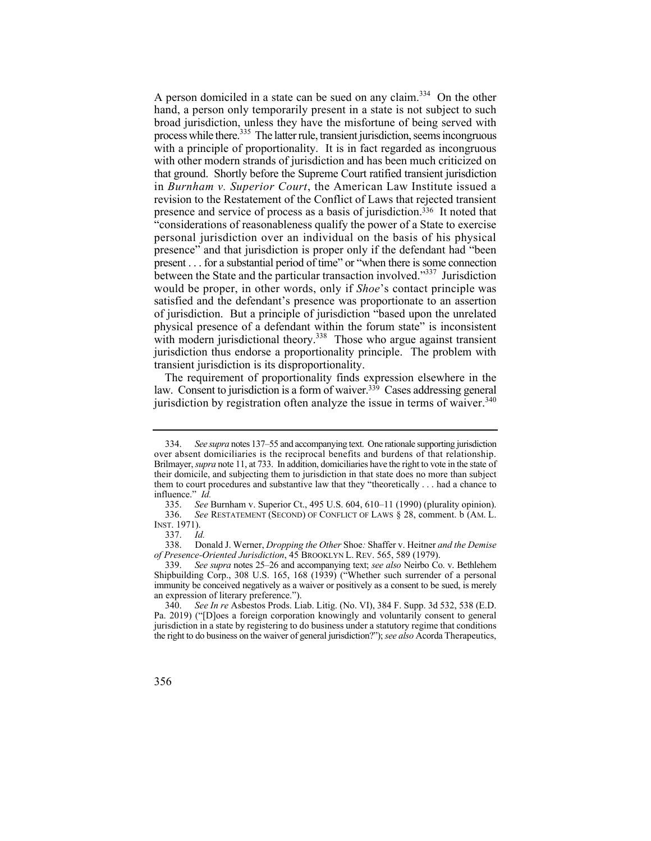A person domiciled in a state can be sued on any claim.<sup>334</sup> On the other hand, a person only temporarily present in a state is not subject to such in *Burnham v. Superior Court*, the American Law Institute issued a would be proper, in other words, only if *Shoe*'s contact principle was broad jurisdiction, unless they have the misfortune of being served with process while there.<sup>335</sup> The latter rule, transient jurisdiction, seems incongruous with a principle of proportionality. It is in fact regarded as incongruous with other modern strands of jurisdiction and has been much criticized on that ground. Shortly before the Supreme Court ratified transient jurisdiction revision to the Restatement of the Conflict of Laws that rejected transient presence and service of process as a basis of jurisdiction.<sup>336</sup> It noted that "considerations of reasonableness qualify the power of a State to exercise personal jurisdiction over an individual on the basis of his physical presence" and that jurisdiction is proper only if the defendant had "been present . . . for a substantial period of time" or "when there is some connection between the State and the particular transaction involved."337 Jurisdiction satisfied and the defendant's presence was proportionate to an assertion of jurisdiction. But a principle of jurisdiction "based upon the unrelated physical presence of a defendant within the forum state" is inconsistent with modern jurisdictional theory.<sup>338</sup> Those who argue against transient jurisdiction thus endorse a proportionality principle. The problem with transient jurisdiction is its disproportionality.

jurisdiction by registration often analyze the issue in terms of waiver.<sup>340</sup> The requirement of proportionality finds expression elsewhere in the law. Consent to jurisdiction is a form of waiver.<sup>339</sup> Cases addressing general

 over absent domiciliaries is the reciprocal benefits and burdens of that relationship. Brilmayer, *supra* note 11, at 733. In addition, domiciliaries have the right to vote in the state of 334. *See supra* notes 137–55 and accompanying text. One rationale supporting jurisdiction their domicile, and subjecting them to jurisdiction in that state does no more than subject them to court procedures and substantive law that they "theoretically . . . had a chance to influence." *Id.*

 336. *See* RESTATEMENT (SECOND) OF CONFLICT OF LAWS § 28, comment. b (AM. L. 335. *See* Burnham v. Superior Ct., 495 U.S. 604, 610–11 (1990) (plurality opinion). INST. 1971).

<sup>337.</sup> *Id.*

 338. Donald J. Werner, *Dropping the Other* Shoe*:* Shaffer v. Heitner *and the Demise of Presence-Oriented Jurisdiction*, 45 BROOKLYN L. REV. 565, 589 (1979).

 immunity be conceived negatively as a waiver or positively as a consent to be sued, is merely 339. *See supra* notes 25–26 and accompanying text; *see also* Neirbo Co. v. Bethlehem Shipbuilding Corp., 308 U.S. 165, 168 (1939) ("Whether such surrender of a personal an expression of literary preference.").

 the right to do business on the waiver of general jurisdiction?"); *see also* Acorda Therapeutics, 340. *See In re* Asbestos Prods. Liab. Litig. (No. VI), 384 F. Supp. 3d 532, 538 (E.D. Pa. 2019) ("[D]oes a foreign corporation knowingly and voluntarily consent to general jurisdiction in a state by registering to do business under a statutory regime that conditions

<sup>356</sup>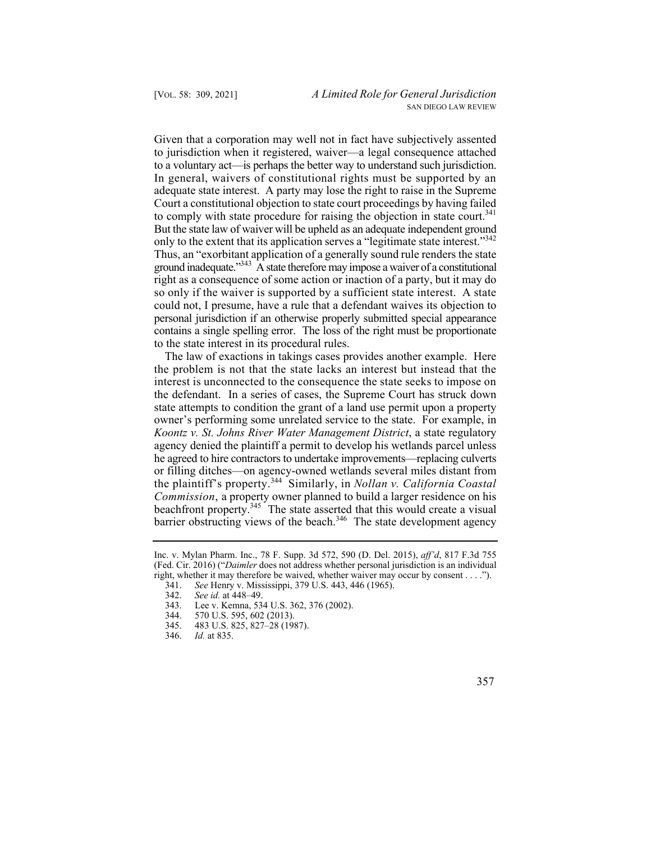But the state law of waiver will be upheld as an adequate independent ground only to the extent that its application serves a "legitimate state interest."<sup>342</sup> Given that a corporation may well not in fact have subjectively assented to jurisdiction when it registered, waiver—a legal consequence attached to a voluntary act—is perhaps the better way to understand such jurisdiction. In general, waivers of constitutional rights must be supported by an adequate state interest. A party may lose the right to raise in the Supreme Court a constitutional objection to state court proceedings by having failed to comply with state procedure for raising the objection in state court.<sup>341</sup> Thus, an "exorbitant application of a generally sound rule renders the state ground inadequate.<sup>343</sup> A state therefore may impose a waiver of a constitutional right as a consequence of some action or inaction of a party, but it may do so only if the waiver is supported by a sufficient state interest. A state could not, I presume, have a rule that a defendant waives its objection to personal jurisdiction if an otherwise properly submitted special appearance contains a single spelling error. The loss of the right must be proportionate to the state interest in its procedural rules.

 the plaintiff's property.344 Similarly, in *Nollan v. California Coastal*  barrier obstructing views of the beach.<sup>346</sup> The state development agency The law of exactions in takings cases provides another example. Here the problem is not that the state lacks an interest but instead that the interest is unconnected to the consequence the state seeks to impose on the defendant. In a series of cases, the Supreme Court has struck down state attempts to condition the grant of a land use permit upon a property owner's performing some unrelated service to the state. For example, in *Koontz v. St. Johns River Water Management District*, a state regulatory agency denied the plaintiff a permit to develop his wetlands parcel unless he agreed to hire contractors to undertake improvements—replacing culverts or filling ditches—on agency-owned wetlands several miles distant from *Commission*, a property owner planned to build a larger residence on his beachfront property.<sup>345</sup> The state asserted that this would create a visual

Inc. v. Mylan Pharm. Inc., 78 F. Supp. 3d 572, 590 (D. Del. 2015), *aff'd*, 817 F.3d 755 (Fed. Cir. 2016) ("*Daimler* does not address whether personal jurisdiction is an individual right, whether it may therefore be waived, whether waiver may occur by consent . . . .").<br>341. See Henry v. Mississippi, 379 U.S. 443, 446 (1965).

<sup>341.</sup> *See* Henry v. Mississippi, 379 U.S. 443, 446 (1965).

<sup>342.</sup> *See id.* at 448–49.

<sup>343.</sup> Lee v. Kemna, 534 U.S. 362, 376 (2002).<br>344. 570 U.S. 595, 602 (2013).

<sup>570</sup> U.S. 595, 602 (2013).

<sup>345. 483</sup> U.S. 825, 827–28 (1987).

<sup>346.</sup> *Id.* at 835.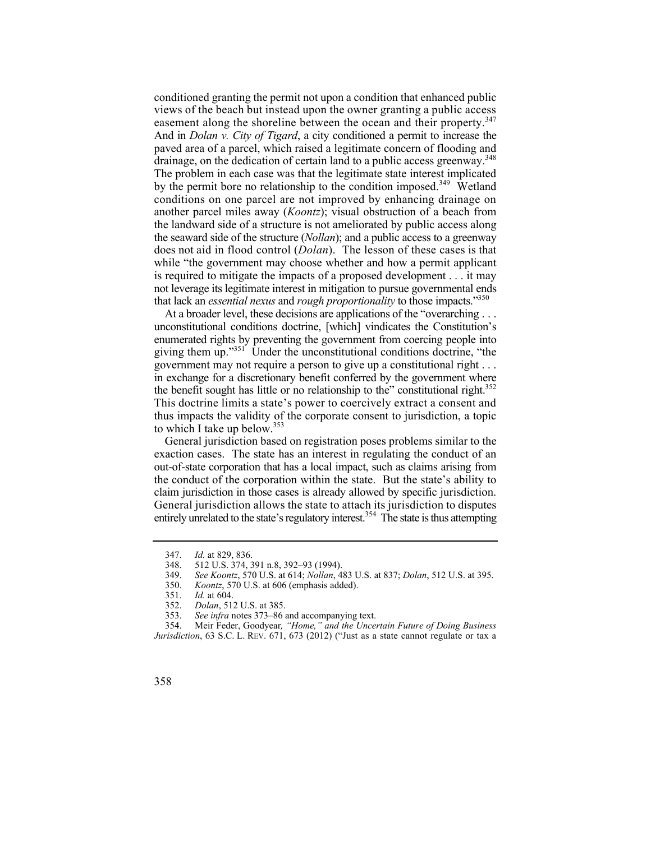easement along the shoreline between the ocean and their property.<sup>347</sup> drainage, on the dedication of certain land to a public access greenway.<sup>348</sup> does not aid in flood control (*Dolan*). The lesson of these cases is that not leverage its legitimate interest in mitigation to pursue governmental ends conditioned granting the permit not upon a condition that enhanced public views of the beach but instead upon the owner granting a public access And in *Dolan v. City of Tigard*, a city conditioned a permit to increase the paved area of a parcel, which raised a legitimate concern of flooding and The problem in each case was that the legitimate state interest implicated by the permit bore no relationship to the condition imposed.<sup>349</sup> Wetland conditions on one parcel are not improved by enhancing drainage on another parcel miles away (*Koontz*); visual obstruction of a beach from the landward side of a structure is not ameliorated by public access along the seaward side of the structure (*Nollan*); and a public access to a greenway while "the government may choose whether and how a permit applicant is required to mitigate the impacts of a proposed development . . . it may that lack an *essential nexus* and *rough proportionality* to those impacts."350

At a broader level, these decisions are applications of the "overarching . . . enumerated rights by preventing the government from coercing people into the benefit sought has little or no relationship to the" constitutional right.<sup>352</sup> unconstitutional conditions doctrine, [which] vindicates the Constitution's giving them up. $1351$  Under the unconstitutional conditions doctrine, "the government may not require a person to give up a constitutional right . . . in exchange for a discretionary benefit conferred by the government where This doctrine limits a state's power to coercively extract a consent and thus impacts the validity of the corporate consent to jurisdiction, a topic to which I take up below.<sup>353</sup>

 claim jurisdiction in those cases is already allowed by specific jurisdiction. General jurisdiction based on registration poses problems similar to the exaction cases. The state has an interest in regulating the conduct of an out-of-state corporation that has a local impact, such as claims arising from the conduct of the corporation within the state. But the state's ability to General jurisdiction allows the state to attach its jurisdiction to disputes entirely unrelated to the state's regulatory interest.<sup>354</sup> The state is thus attempting

 *Jurisdiction*, 63 S.C. L. REV. 671, 673 (2012) ("Just as a state cannot regulate or tax a 354. Meir Feder, Goodyear*, "Home," and the Uncertain Future of Doing Business* 



<sup>347.</sup> *Id.* at 829, 836.

<sup>348. 512</sup> U.S. 374, 391 n.8, 392–93 (1994).<br>349. See Koontz, 570 U.S. at 614; Nollan, 4.

<sup>349.</sup> *See Koontz*, 570 U.S. at 614; *Nollan*, 483 U.S. at 837; *Dolan*, 512 U.S. at 395.

<sup>350.</sup> *Koontz*, 570 U.S. at 606 (emphasis added).

<sup>351.</sup> *Id.* at 604.

<sup>352.</sup> *Dolan*, 512 U.S. at 385.

See infra notes 373–86 and accompanying text.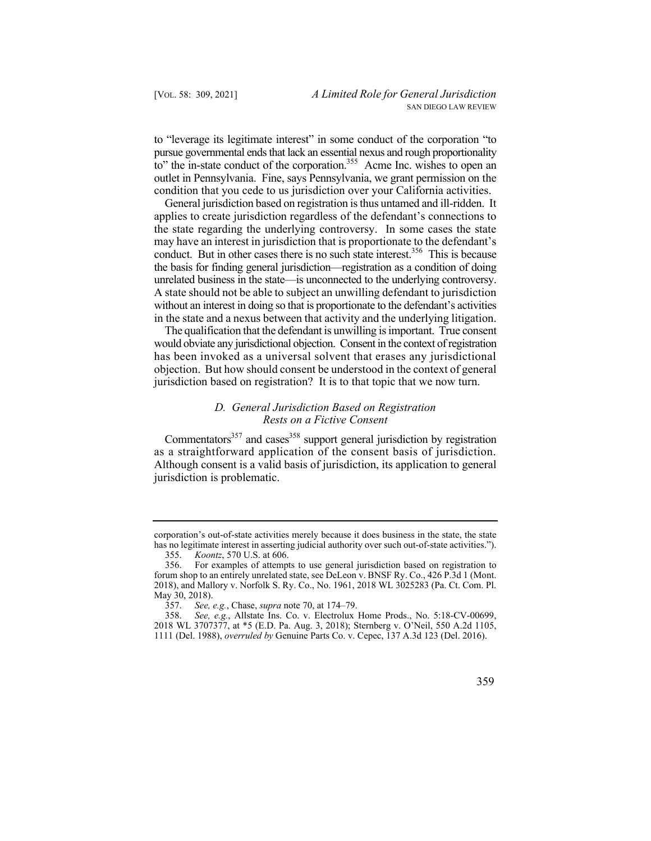to" the in-state conduct of the corporation.<sup>355</sup> Acme Inc. wishes to open an outlet in Pennsylvania. Fine, says Pennsylvania, we grant permission on the to "leverage its legitimate interest" in some conduct of the corporation "to pursue governmental ends that lack an essential nexus and rough proportionality condition that you cede to us jurisdiction over your California activities.

 General jurisdiction based on registration is thus untamed and ill-ridden. It conduct. But in other cases there is no such state interest.<sup>356</sup> This is because A state should not be able to subject an unwilling defendant to jurisdiction applies to create jurisdiction regardless of the defendant's connections to the state regarding the underlying controversy. In some cases the state may have an interest in jurisdiction that is proportionate to the defendant's the basis for finding general jurisdiction—registration as a condition of doing unrelated business in the state—is unconnected to the underlying controversy. without an interest in doing so that is proportionate to the defendant's activities in the state and a nexus between that activity and the underlying litigation.

 The qualification that the defendant is unwilling is important. True consent would obviate any jurisdictional objection. Consent in the context of registration has been invoked as a universal solvent that erases any jurisdictional objection. But how should consent be understood in the context of general jurisdiction based on registration? It is to that topic that we now turn.

## *D. General Jurisdiction Based on Registration Rests on a Fictive Consent*

Commentators<sup>357</sup> and cases<sup>358</sup> support general jurisdiction by registration as a straightforward application of the consent basis of jurisdiction. Although consent is a valid basis of jurisdiction, its application to general jurisdiction is problematic.

 has no legitimate interest in asserting judicial authority over such out-of-state activities."). corporation's out-of-state activities merely because it does business in the state, the state

<sup>355.</sup> *Koontz*, 570 U.S. at 606.

<sup>356.</sup> For examples of attempts to use general jurisdiction based on registration to forum shop to an entirely unrelated state, see DeLeon v. BNSF Ry. Co., 426 P.3d 1 (Mont. 2018), and Mallory v. Norfolk S. Ry. Co., No. 1961, 2018 WL 3025283 (Pa. Ct. Com. Pl. May 30, 2018).

<sup>357.</sup> *See, e.g.*, Chase, *supra* note 70, at 174–79.

<sup>358.</sup> *See, e.g.*, Allstate Ins. Co. v. Electrolux Home Prods., No. 5:18-CV-00699, 2018 WL 3707377, at \*5 (E.D. Pa. Aug. 3, 2018); Sternberg v. O'Neil, 550 A.2d 1105, 1111 (Del. 1988), *overruled by* Genuine Parts Co. v. Cepec, 137 A.3d 123 (Del. 2016).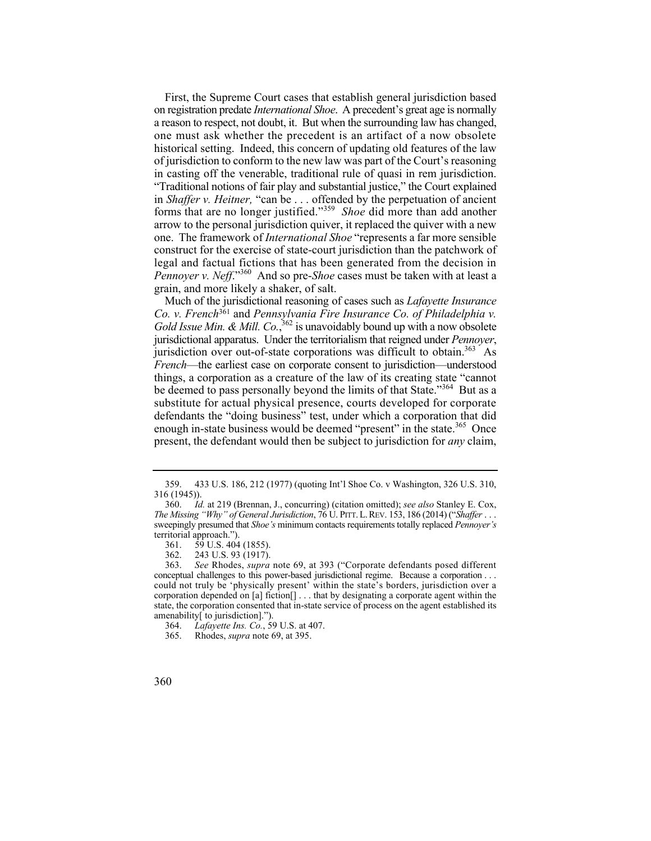forms that are no longer justified."<sup>359</sup>*Shoe* did more than add another First, the Supreme Court cases that establish general jurisdiction based on registration predate *International Shoe*. A precedent's great age is normally a reason to respect, not doubt, it. But when the surrounding law has changed, one must ask whether the precedent is an artifact of a now obsolete historical setting. Indeed, this concern of updating old features of the law of jurisdiction to conform to the new law was part of the Court's reasoning in casting off the venerable, traditional rule of quasi in rem jurisdiction. "Traditional notions of fair play and substantial justice," the Court explained in *Shaffer v. Heitner,* "can be . . . offended by the perpetuation of ancient arrow to the personal jurisdiction quiver, it replaced the quiver with a new one. The framework of *International Shoe* "represents a far more sensible construct for the exercise of state-court jurisdiction than the patchwork of legal and factual fictions that has been generated from the decision in *Pennoyer v. Neff*."360 And so pre-*Shoe* cases must be taken with at least a grain, and more likely a shaker, of salt.

j jurisdiction over out-of-state corporations was difficult to obtain.<sup>363</sup> As Much of the jurisdictional reasoning of cases such as *Lafayette Insurance Co. v. French*361 and *Pennsylvania Fire Insurance Co. of Philadelphia v.*  Gold Issue Min. & Mill. Co.,<sup>362</sup> is unavoidably bound up with a now obsolete jurisdictional apparatus. Under the territorialism that reigned under *Pennoyer*, *French*—the earliest case on corporate consent to jurisdiction—understood things, a corporation as a creature of the law of its creating state "cannot be deemed to pass personally beyond the limits of that State."<sup>364</sup> But as a substitute for actual physical presence, courts developed for corporate defendants the "doing business" test, under which a corporation that did enough in-state business would be deemed "present" in the state.<sup>365</sup> Once present, the defendant would then be subject to jurisdiction for *any* claim,

<sup>359. 433</sup> U.S. 186, 212 (1977) (quoting Int'l Shoe Co. v Washington, 326 U.S. 310, 316 (1945)).

 *The Missing "Why" of General Jurisdiction*, 76 U. PITT. L. REV. 153, 186 (2014) ("*Shaffer* . . . 360. *Id.* at 219 (Brennan, J., concurring) (citation omitted); *see also* Stanley E. Cox, sweepingly presumed that *Shoe's* minimum contacts requirements totally replaced *Pennoyer's*  territorial approach.").

<sup>361. 59</sup> U.S. 404 (1855).

<sup>362. 243</sup> U.S. 93 (1917).

 conceptual challenges to this power-based jurisdictional regime. Because a corporation . . . state, the corporation consented that in-state service of process on the agent established its 363. *See* Rhodes, *supra* note 69, at 393 ("Corporate defendants posed different could not truly be 'physically present' within the state's borders, jurisdiction over a corporation depended on [a] fiction[] . . . that by designating a corporate agent within the amenability[ to jurisdiction].").

<sup>364.</sup> *Lafayette Ins. Co.*, 59 U.S. at 407.

<sup>365.</sup> Rhodes, *supra* note 69, at 395.

<sup>360</sup>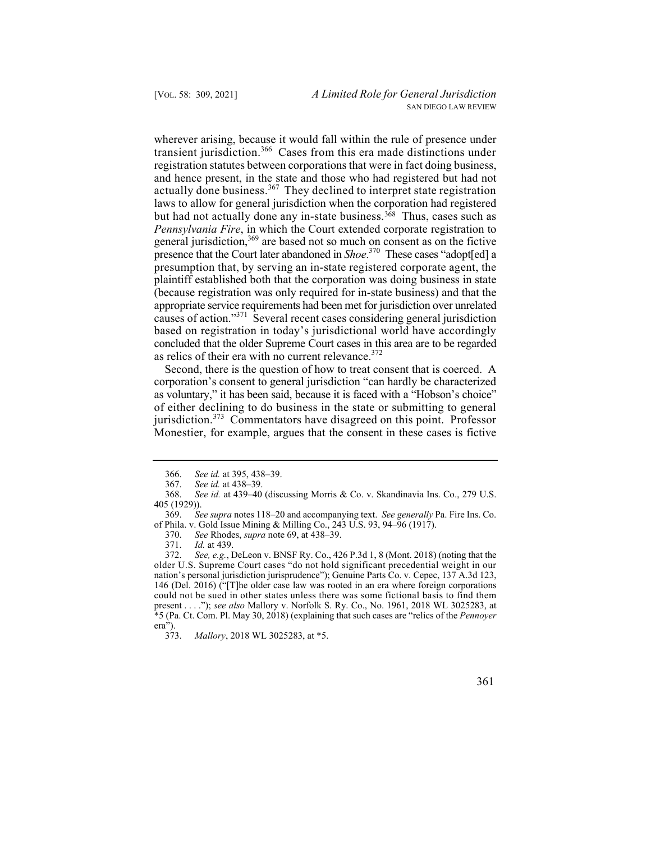wherever arising, because it would fall within the rule of presence under transient jurisdiction.<sup>366</sup> Cases from this era made distinctions under registration statutes between corporations that were in fact doing business, and hence present, in the state and those who had registered but had not actually done business.<sup>367</sup> They declined to interpret state registration laws to allow for general jurisdiction when the corporation had registered but had not actually done any in-state business.<sup>368</sup> Thus, cases such as *Pennsylvania Fire*, in which the Court extended corporate registration to general jurisdiction,<sup>369</sup> are based not so much on consent as on the fictive presence that the Court later abandoned in *Shoe*. 370 These cases "adopt[ed] a presumption that, by serving an in-state registered corporate agent, the plaintiff established both that the corporation was doing business in state (because registration was only required for in-state business) and that the appropriate service requirements had been met for jurisdiction over unrelated causes of action."371 Several recent cases considering general jurisdiction based on registration in today's jurisdictional world have accordingly concluded that the older Supreme Court cases in this area are to be regarded as relics of their era with no current relevance. $372$ 

Second, there is the question of how to treat consent that is coerced. A corporation's consent to general jurisdiction "can hardly be characterized as voluntary," it has been said, because it is faced with a "Hobson's choice" of either declining to do business in the state or submitting to general jurisdiction.<sup>373</sup> Commentators have disagreed on this point. Professor Monestier, for example, argues that the consent in these cases is fictive

<sup>366.</sup> *See id.* at 395, 438–39.

<sup>367.</sup> *See id.* at 438–39.

<sup>368.</sup> *See id.* at 439–40 (discussing Morris & Co. v. Skandinavia Ins. Co., 279 U.S. 405 (1929)).

<sup>369.</sup> *See supra* notes 118–20 and accompanying text. *See generally* Pa. Fire Ins. Co. of Phila. v. Gold Issue Mining & Milling Co., 243 U.S. 93, 94–96 (1917).

<sup>370.</sup> *See* Rhodes, *supra* note 69, at 438–39.

<sup>371.</sup> *Id.* at 439.

<sup>372.</sup> *See, e.g.*, DeLeon v. BNSF Ry. Co., 426 P.3d 1, 8 (Mont. 2018) (noting that the older U.S. Supreme Court cases "do not hold significant precedential weight in our nation's personal jurisdiction jurisprudence"); Genuine Parts Co. v. Cepec, 137 A.3d 123, 146 (Del. 2016) ("[T]he older case law was rooted in an era where foreign corporations could not be sued in other states unless there was some fictional basis to find them present . . . ."); *see also* Mallory v. Norfolk S. Ry. Co., No. 1961, 2018 WL 3025283, at \*5 (Pa. Ct. Com. Pl. May 30, 2018) (explaining that such cases are "relics of the *Pennoyer* era").

<sup>373.</sup> *Mallory*, 2018 WL 3025283, at \*5.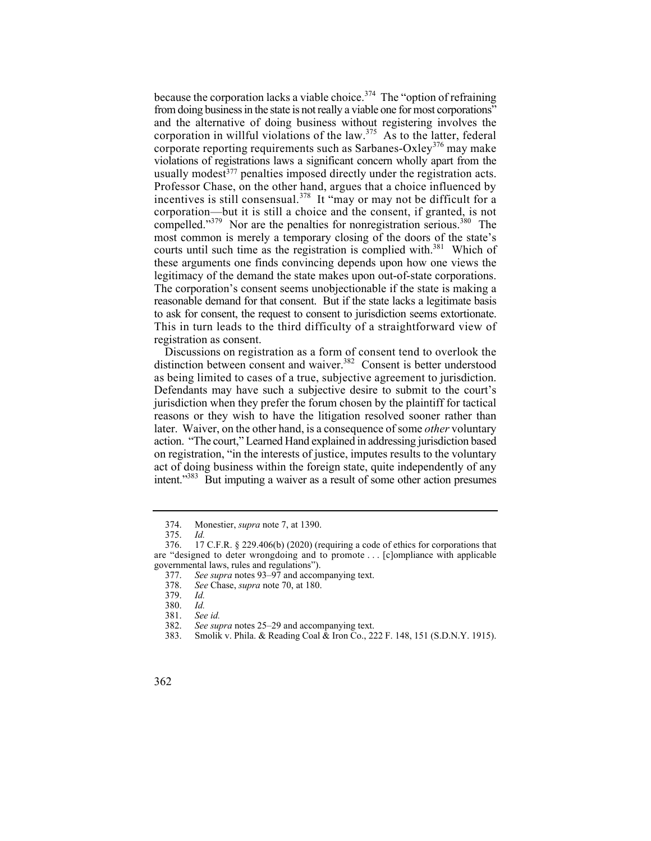usually modest<sup>377</sup> penalties imposed directly under the registration acts. compelled." $379$  Nor are the penalties for nonregistration serious. $380$  The courts until such time as the registration is complied with.<sup>381</sup> Which of because the corporation lacks a viable choice.<sup>374</sup> The "option of refraining from doing business in the state is not really a viable one for most corporations" and the alternative of doing business without registering involves the corporation in willful violations of the law.<sup>375</sup> As to the latter, federal corporate reporting requirements such as Sarbanes-Oxley<sup>376</sup> may make violations of registrations laws a significant concern wholly apart from the Professor Chase, on the other hand, argues that a choice influenced by incentives is still consensual.<sup>378</sup> It "may or may not be difficult for a corporation—but it is still a choice and the consent, if granted, is not most common is merely a temporary closing of the doors of the state's these arguments one finds convincing depends upon how one views the legitimacy of the demand the state makes upon out-of-state corporations. The corporation's consent seems unobjectionable if the state is making a reasonable demand for that consent. But if the state lacks a legitimate basis to ask for consent, the request to consent to jurisdiction seems extortionate. This in turn leads to the third difficulty of a straightforward view of registration as consent.

 as being limited to cases of a true, subjective agreement to jurisdiction. Discussions on registration as a form of consent tend to overlook the distinction between consent and waiver.382 Consent is better understood Defendants may have such a subjective desire to submit to the court's jurisdiction when they prefer the forum chosen by the plaintiff for tactical reasons or they wish to have the litigation resolved sooner rather than later. Waiver, on the other hand, is a consequence of some *other* voluntary action. "The court," Learned Hand explained in addressing jurisdiction based on registration, "in the interests of justice, imputes results to the voluntary act of doing business within the foreign state, quite independently of any intent."<sup>383</sup> But imputing a waiver as a result of some other action presumes

 374. Monestier, *supra* note 7, at 1390.

<sup>375.</sup> *Id.* 

 are "designed to deter wrongdoing and to promote . . . [c]ompliance with applicable 17 C.F.R.  $\S$  229.406(b) (2020) (requiring a code of ethics for corporations that governmental laws, rules and regulations").

<sup>377.</sup> *See supra* notes 93–97 and accompanying text.

See Chase, *supra* note 70, at 180.

<sup>379.</sup> *Id.*

 <sup>380.</sup> *Id.* 

See *id.* 

 <sup>382.</sup> *See supra* notes 25–29 and accompanying text.

<sup>383.</sup> Smolik v. Phila. & Reading Coal & Iron Co., 222 F. 148, 151 (S.D.N.Y. 1915).

<sup>362</sup>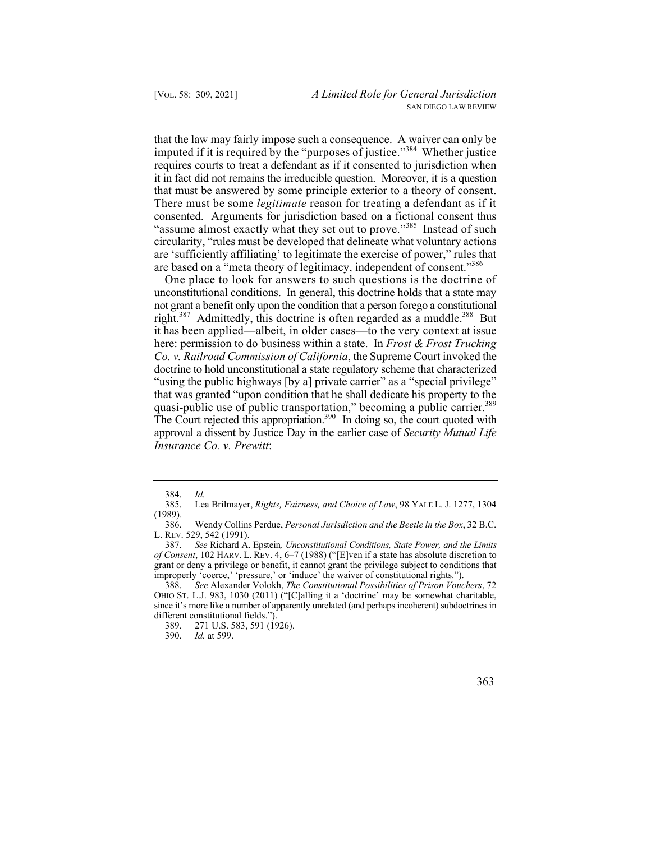imputed if it is required by the "purposes of justice."<sup>384</sup> Whether justice that the law may fairly impose such a consequence. A waiver can only be requires courts to treat a defendant as if it consented to jurisdiction when it in fact did not remains the irreducible question. Moreover, it is a question that must be answered by some principle exterior to a theory of consent. There must be some *legitimate* reason for treating a defendant as if it consented. Arguments for jurisdiction based on a fictional consent thus "assume almost exactly what they set out to prove."<sup>385</sup> Instead of such circularity, "rules must be developed that delineate what voluntary actions are 'sufficiently affiliating' to legitimate the exercise of power," rules that are based on a "meta theory of legitimacy, independent of consent."<sup>386</sup>

right.<sup>387</sup> Admittedly, this doctrine is often regarded as a muddle.<sup>388</sup> But it has been applied—albeit, in older cases—to the very context at issue doctrine to hold unconstitutional a state regulatory scheme that characterized quasi-public use of public transportation," becoming a public carrier.<sup>389</sup> The Court rejected this appropriation.<sup>390</sup> In doing so, the court quoted with One place to look for answers to such questions is the doctrine of unconstitutional conditions. In general, this doctrine holds that a state may not grant a benefit only upon the condition that a person forego a constitutional here: permission to do business within a state. In *Frost & Frost Trucking Co. v. Railroad Commission of California*, the Supreme Court invoked the "using the public highways [by a] private carrier" as a "special privilege" that was granted "upon condition that he shall dedicate his property to the approval a dissent by Justice Day in the earlier case of *Security Mutual Life Insurance Co. v. Prewitt*:

<sup>384.</sup> *Id.* 

<sup>385.</sup> Lea Brilmayer, *Rights, Fairness, and Choice of Law*, 98 YALE L. J. 1277, 1304  $(1989).$ <br>386.

<sup>386.</sup> Wendy Collins Perdue, *Personal Jurisdiction and the Beetle in the Box*, 32 B.C. L. REV. 529, 542 (1991).

 *of Consent*, 102 HARV. L. REV. 4, 6–7 (1988) ("[E]ven if a state has absolute discretion to 387. *See* Richard A. Epstein*, Unconstitutional Conditions, State Power, and the Limits*  grant or deny a privilege or benefit, it cannot grant the privilege subject to conditions that improperly 'coerce,' 'pressure,' or 'induce' the waiver of constitutional rights.").

<sup>388.</sup> *See* Alexander Volokh, *The Constitutional Possibilities of Prison Vouchers*, 72 OHIO ST. L.J. 983, 1030 (2011) ("[C]alling it a 'doctrine' may be somewhat charitable, since it's more like a number of apparently unrelated (and perhaps incoherent) subdoctrines in different constitutional fields.").

<sup>389. 271</sup> U.S. 583, 591 (1926).

<sup>390.</sup> *Id.* at 599.

 <sup>363</sup>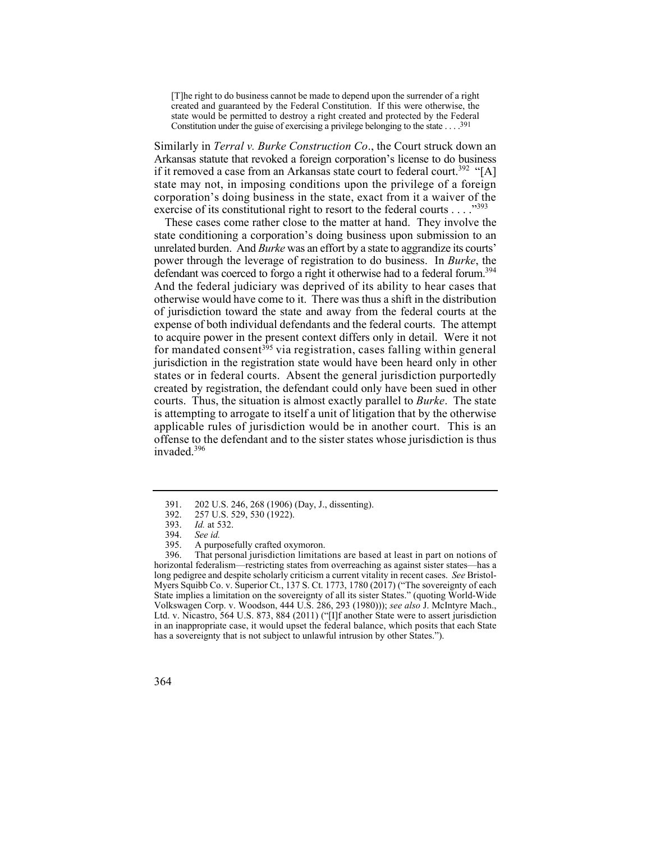Constitution under the guise of exercising a privilege belonging to the state  $\dots$  .<sup>391</sup> [T]he right to do business cannot be made to depend upon the surrender of a right created and guaranteed by the Federal Constitution. If this were otherwise, the state would be permitted to destroy a right created and protected by the Federal

Similarly in *Terral v. Burke Construction Co*., the Court struck down an Arkansas statute that revoked a foreign corporation's license to do business if it removed a case from an Arkansas state court to federal court.<sup>392</sup> "[A] state may not, in imposing conditions upon the privilege of a foreign corporation's doing business in the state, exact from it a waiver of the exercise of its constitutional right to resort to the federal courts  $\dots$ ."<sup>393</sup>

defendant was coerced to forgo a right it otherwise had to a federal forum.<sup>394</sup> for mandated consent<sup>395</sup> via registration, cases falling within general is attempting to arrogate to itself a unit of litigation that by the otherwise These cases come rather close to the matter at hand. They involve the state conditioning a corporation's doing business upon submission to an unrelated burden. And *Burke* was an effort by a state to aggrandize its courts' power through the leverage of registration to do business. In *Burke*, the And the federal judiciary was deprived of its ability to hear cases that otherwise would have come to it. There was thus a shift in the distribution of jurisdiction toward the state and away from the federal courts at the expense of both individual defendants and the federal courts. The attempt to acquire power in the present context differs only in detail. Were it not jurisdiction in the registration state would have been heard only in other states or in federal courts. Absent the general jurisdiction purportedly created by registration, the defendant could only have been sued in other courts. Thus, the situation is almost exactly parallel to *Burke*. The state applicable rules of jurisdiction would be in another court. This is an offense to the defendant and to the sister states whose jurisdiction is thus invaded.396

<sup>391.</sup>  202 U.S. 246, 268 (1906) (Day, J., dissenting).

<sup>392.</sup>  257 U.S. 529, 530 (1922).

<sup>393.&</sup>lt;br>394. *Id.* at 532.

See *id.* 

<sup>395.</sup>  A purposefully crafted oxymoron.

 in an inappropriate case, it would upset the federal balance, which posits that each State 396. That personal jurisdiction limitations are based at least in part on notions of horizontal federalism—restricting states from overreaching as against sister states—has a long pedigree and despite scholarly criticism a current vitality in recent cases. *See* Bristol-Myers Squibb Co. v. Superior Ct., 137 S. Ct. 1773, 1780 (2017) ("The sovereignty of each State implies a limitation on the sovereignty of all its sister States." (quoting World-Wide Volkswagen Corp. v. Woodson, 444 U.S. 286, 293 (1980))); *see also* J. McIntyre Mach., Ltd. v. Nicastro, 564 U.S. 873, 884 (2011) ("[I]f another State were to assert jurisdiction has a sovereignty that is not subject to unlawful intrusion by other States.").

<sup>364</sup>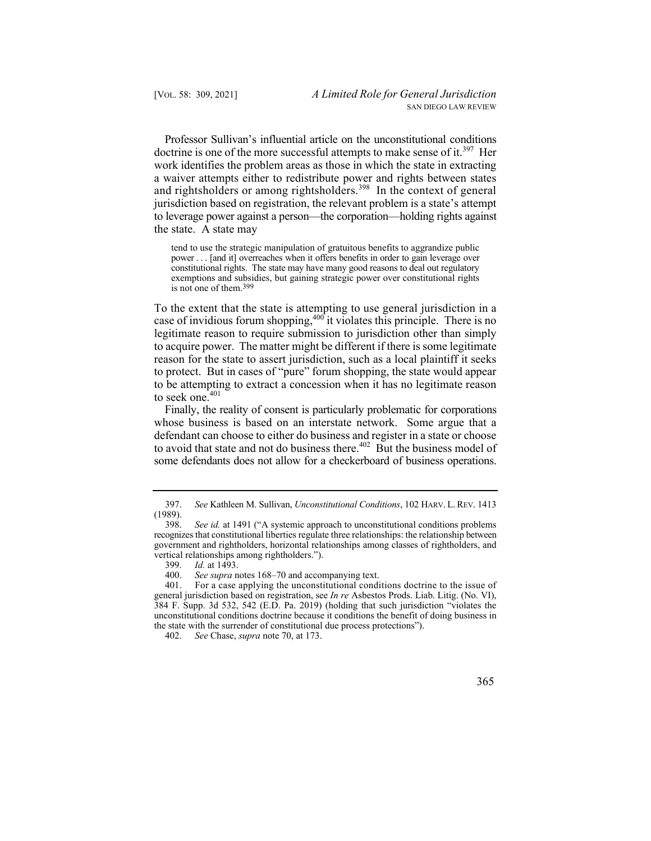jurisdiction based on registration, the relevant problem is a state's attempt Professor Sullivan's influential article on the unconstitutional conditions doctrine is one of the more successful attempts to make sense of it.<sup>397</sup> Her work identifies the problem areas as those in which the state in extracting a waiver attempts either to redistribute power and rights between states and rightsholders or among rightsholders.<sup>398</sup> In the context of general to leverage power against a person—the corporation—holding rights against the state. A state may

 power . . . [and it] overreaches when it offers benefits in order to gain leverage over tend to use the strategic manipulation of gratuitous benefits to aggrandize public constitutional rights. The state may have many good reasons to deal out regulatory exemptions and subsidies, but gaining strategic power over constitutional rights is not one of them.399

 To the extent that the state is attempting to use general jurisdiction in a case of invidious forum shopping,  $400$  it violates this principle. There is no legitimate reason to require submission to jurisdiction other than simply to acquire power. The matter might be different if there is some legitimate reason for the state to assert jurisdiction, such as a local plaintiff it seeks to protect. But in cases of "pure" forum shopping, the state would appear to be attempting to extract a concession when it has no legitimate reason to seek one. $401$ 

 some defendants does not allow for a checkerboard of business operations. Finally, the reality of consent is particularly problematic for corporations whose business is based on an interstate network. Some argue that a defendant can choose to either do business and register in a state or choose to avoid that state and not do business there.<sup>402</sup> But the business model of

 397. *See* Kathleen M. Sullivan, *Unconstitutional Conditions*, 102 HARV. L. REV. 1413  $\frac{(1989)}{398}$ .

See id. at 1491 ("A systemic approach to unconstitutional conditions problems recognizes that constitutional liberties regulate three relationships: the relationship between government and rightholders, horizontal relationships among classes of rightholders, and vertical relationships among rightholders.").

<sup>399.</sup> *Id.* at 1493.

<sup>400.</sup> *See supra* notes 168–70 and accompanying text.<br>401. For a case applying the unconstitutional condi

For a case applying the unconstitutional conditions doctrine to the issue of general jurisdiction based on registration, see *In re* Asbestos Prods. Liab. Litig. (No. VI), 384 F. Supp. 3d 532, 542 (E.D. Pa. 2019) (holding that such jurisdiction "violates the unconstitutional conditions doctrine because it conditions the benefit of doing business in the state with the surrender of constitutional due process protections").

<sup>402.</sup> *See* Chase, *supra* note 70, at 173.

 <sup>365</sup>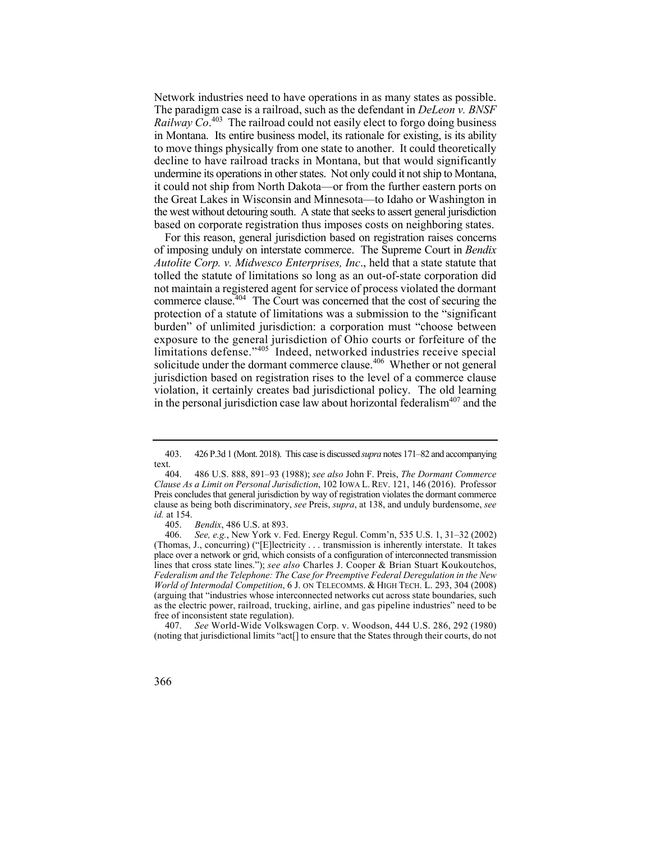Network industries need to have operations in as many states as possible. The paradigm case is a railroad, such as the defendant in *DeLeon v. BNSF Railway Co*. 403 The railroad could not easily elect to forgo doing business in Montana. Its entire business model, its rationale for existing, is its ability to move things physically from one state to another. It could theoretically decline to have railroad tracks in Montana, but that would significantly undermine its operations in other states. Not only could it not ship to Montana, it could not ship from North Dakota—or from the further eastern ports on the Great Lakes in Wisconsin and Minnesota—to Idaho or Washington in the west without detouring south. A state that seeks to assert general jurisdiction based on corporate registration thus imposes costs on neighboring states.

For this reason, general jurisdiction based on registration raises concerns of imposing unduly on interstate commerce. The Supreme Court in *Bendix Autolite Corp. v. Midwesco Enterprises, Inc*., held that a state statute that tolled the statute of limitations so long as an out-of-state corporation did not maintain a registered agent for service of process violated the dormant commerce clause.<sup> $404$ </sup> The Court was concerned that the cost of securing the protection of a statute of limitations was a submission to the "significant burden" of unlimited jurisdiction: a corporation must "choose between exposure to the general jurisdiction of Ohio courts or forfeiture of the limitations defense."<sup>405</sup> Indeed, networked industries receive special solicitude under the dormant commerce clause.406 Whether or not general jurisdiction based on registration rises to the level of a commerce clause violation, it certainly creates bad jurisdictional policy. The old learning in the personal jurisdiction case law about horizontal federalism $407$  and the

405. *Bendix*, 486 U.S. at 893.

<sup>403. 426</sup> P.3d 1 (Mont. 2018). This case is discussed *supra* notes 171–82 and accompanying text.

 Preis concludes that general jurisdiction by way of registration violates the dormant commerce 404. 486 U.S. 888, 891–93 (1988); *see also* John F. Preis, *The Dormant Commerce Clause As a Limit on Personal Jurisdiction*, 102 IOWA L. REV. 121, 146 (2016). Professor clause as being both discriminatory, *see* Preis, *supra*, at 138, and unduly burdensome, *see id.* at 154.

 place over a network or grid, which consists of a configuration of interconnected transmission *World of Intermodal Competition*, 6 J. ON TELECOMMS. & HIGH TECH. L. 293, 304 (2008) 406. *See, e.g.*, New York v. Fed. Energy Regul. Comm'n, 535 U.S. 1, 31–32 (2002) (Thomas, J., concurring) ("[E]lectricity . . . transmission is inherently interstate. It takes lines that cross state lines."); *see also* Charles J. Cooper & Brian Stuart Koukoutchos, *Federalism and the Telephone: The Case for Preemptive Federal Deregulation in the New* (arguing that "industries whose interconnected networks cut across state boundaries, such as the electric power, railroad, trucking, airline, and gas pipeline industries" need to be free of inconsistent state regulation).

<sup>407.</sup> *See* World-Wide Volkswagen Corp. v. Woodson, 444 U.S. 286, 292 (1980) (noting that jurisdictional limits "act[] to ensure that the States through their courts, do not

<sup>366</sup>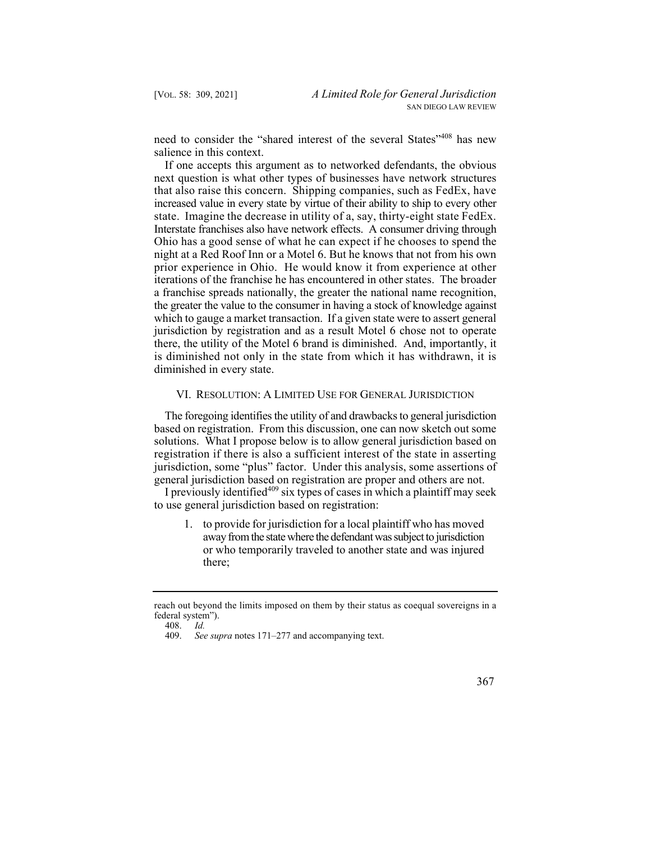need to consider the "shared interest of the several States"<sup>408</sup> has new salience in this context.

 Ohio has a good sense of what he can expect if he chooses to spend the If one accepts this argument as to networked defendants, the obvious next question is what other types of businesses have network structures that also raise this concern. Shipping companies, such as FedEx, have increased value in every state by virtue of their ability to ship to every other state. Imagine the decrease in utility of a, say, thirty-eight state FedEx. Interstate franchises also have network effects. A consumer driving through night at a Red Roof Inn or a Motel 6. But he knows that not from his own prior experience in Ohio. He would know it from experience at other iterations of the franchise he has encountered in other states. The broader a franchise spreads nationally, the greater the national name recognition, the greater the value to the consumer in having a stock of knowledge against which to gauge a market transaction. If a given state were to assert general jurisdiction by registration and as a result Motel 6 chose not to operate there, the utility of the Motel 6 brand is diminished. And, importantly, it is diminished not only in the state from which it has withdrawn, it is diminished in every state.

## VI. RESOLUTION: A LIMITED USE FOR GENERAL JURISDICTION

 jurisdiction, some "plus" factor. Under this analysis, some assertions of The foregoing identifies the utility of and drawbacks to general jurisdiction based on registration. From this discussion, one can now sketch out some solutions. What I propose below is to allow general jurisdiction based on registration if there is also a sufficient interest of the state in asserting general jurisdiction based on registration are proper and others are not.

I previously identified<sup>409</sup> six types of cases in which a plaintiff may seek to use general jurisdiction based on registration:

1. to provide for jurisdiction for a local plaintiff who has moved away from the state where the defendant was subject to jurisdiction or who temporarily traveled to another state and was injured there;

 <sup>409.</sup> *See supra* notes 171–277 and accompanying text.



 reach out beyond the limits imposed on them by their status as coequal sovereigns in a federal system").

<sup>408.</sup> *Id.*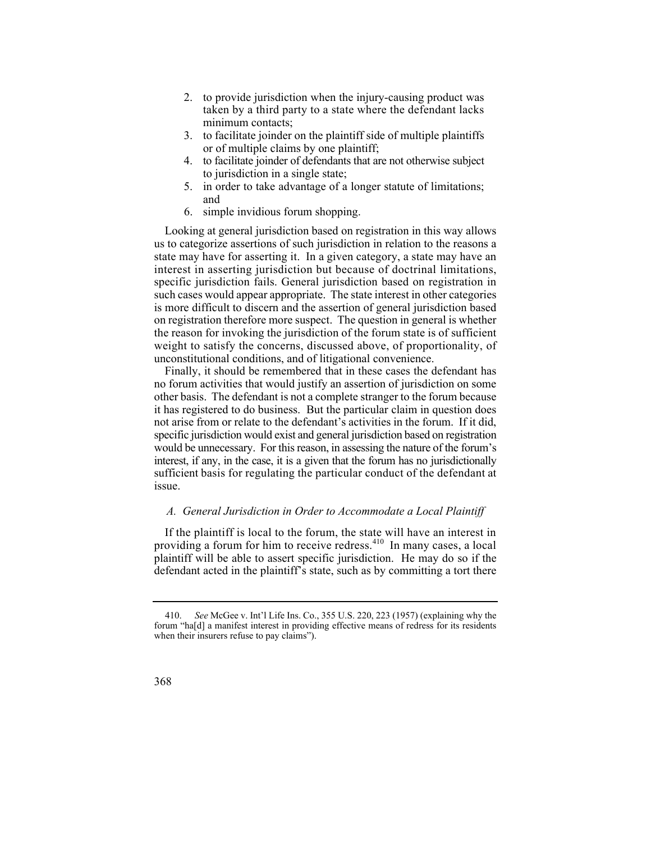- 2. to provide jurisdiction when the injury-causing product was taken by a third party to a state where the defendant lacks minimum contacts;
- 3. to facilitate joinder on the plaintiff side of multiple plaintiffs or of multiple claims by one plaintiff;
- 4. to facilitate joinder of defendants that are not otherwise subject to jurisdiction in a single state;
- 5. in order to take advantage of a longer statute of limitations; and
- 6. simple invidious forum shopping.

Looking at general jurisdiction based on registration in this way allows us to categorize assertions of such jurisdiction in relation to the reasons a state may have for asserting it. In a given category, a state may have an interest in asserting jurisdiction but because of doctrinal limitations, specific jurisdiction fails. General jurisdiction based on registration in such cases would appear appropriate. The state interest in other categories is more difficult to discern and the assertion of general jurisdiction based on registration therefore more suspect. The question in general is whether the reason for invoking the jurisdiction of the forum state is of sufficient weight to satisfy the concerns, discussed above, of proportionality, of unconstitutional conditions, and of litigational convenience.

Finally, it should be remembered that in these cases the defendant has no forum activities that would justify an assertion of jurisdiction on some other basis. The defendant is not a complete stranger to the forum because it has registered to do business. But the particular claim in question does not arise from or relate to the defendant's activities in the forum. If it did, specific jurisdiction would exist and general jurisdiction based on registration would be unnecessary. For this reason, in assessing the nature of the forum's interest, if any, in the case, it is a given that the forum has no jurisdictionally sufficient basis for regulating the particular conduct of the defendant at issue.

#### *A. General Jurisdiction in Order to Accommodate a Local Plaintiff*

If the plaintiff is local to the forum, the state will have an interest in providing a forum for him to receive redress.410 In many cases, a local plaintiff will be able to assert specific jurisdiction. He may do so if the defendant acted in the plaintiff's state, such as by committing a tort there

 forum "ha[d] a manifest interest in providing effective means of redress for its residents 410. *See* McGee v. Int'l Life Ins. Co., 355 U.S. 220, 223 (1957) (explaining why the when their insurers refuse to pay claims").

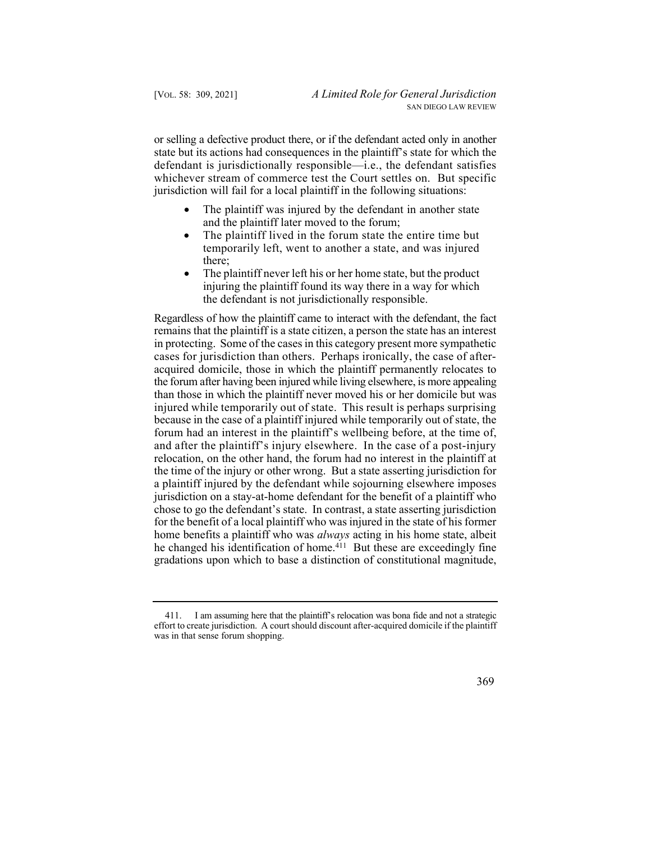or selling a defective product there, or if the defendant acted only in another state but its actions had consequences in the plaintiff's state for which the defendant is jurisdictionally responsible—i.e., the defendant satisfies whichever stream of commerce test the Court settles on. But specific jurisdiction will fail for a local plaintiff in the following situations:

- The plaintiff was injured by the defendant in another state and the plaintiff later moved to the forum;
- The plaintiff lived in the forum state the entire time but temporarily left, went to another a state, and was injured there;
- The plaint if never left his or her home state, but the product injuring the plaintiff found its way there in a way for which the defendant is not jurisdictionally responsible.

 injured while temporarily out of state. This result is perhaps surprising Regardless of how the plaintiff came to interact with the defendant, the fact remains that the plaintiff is a state citizen, a person the state has an interest in protecting. Some of the cases in this category present more sympathetic cases for jurisdiction than others. Perhaps ironically, the case of afteracquired domicile, those in which the plaintiff permanently relocates to the forum after having been injured while living elsewhere, is more appealing than those in which the plaintiff never moved his or her domicile but was because in the case of a plaintiff injured while temporarily out of state, the forum had an interest in the plaintiff's wellbeing before, at the time of, and after the plaintiff's injury elsewhere. In the case of a post-injury relocation, on the other hand, the forum had no interest in the plaintiff at the time of the injury or other wrong. But a state asserting jurisdiction for a plaintiff injured by the defendant while sojourning elsewhere imposes jurisdiction on a stay-at-home defendant for the benefit of a plaintiff who chose to go the defendant's state. In contrast, a state asserting jurisdiction for the benefit of a local plaintiff who was injured in the state of his former home benefits a plaintiff who was *always* acting in his home state, albeit he changed his identification of home.<sup>411</sup> But these are exceedingly fine gradations upon which to base a distinction of constitutional magnitude,

<sup>411.</sup> I am assuming here that the plaintiff's relocation was bona fide and not a strategic effort to create jurisdiction. A court should discount after-acquired domicile if the plaintiff was in that sense forum shopping.

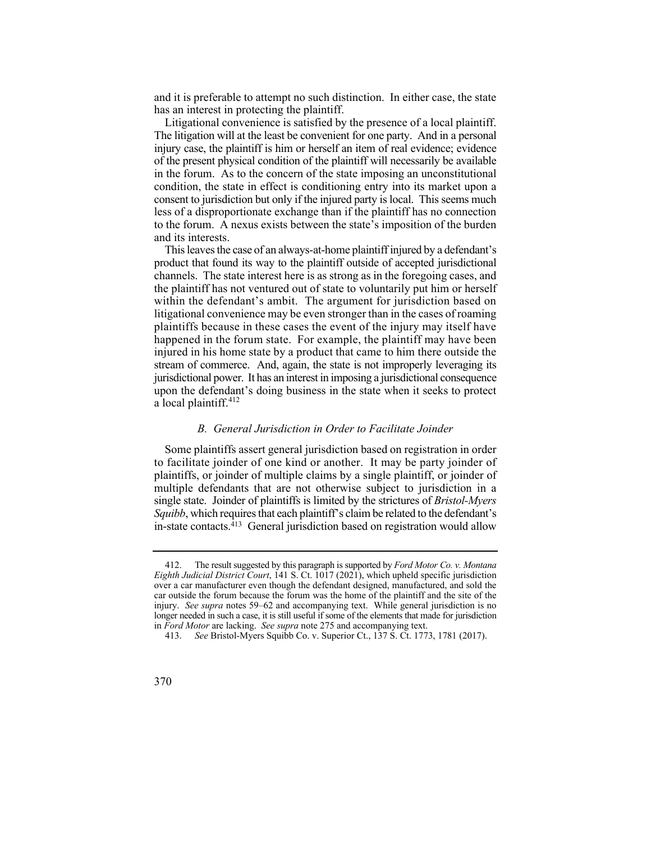and it is preferable to attempt no such distinction. In either case, the state has an interest in protecting the plaintiff.

 The litigation will at the least be convenient for one party. And in a personal Litigational convenience is satisfied by the presence of a local plaintiff. injury case, the plaintiff is him or herself an item of real evidence; evidence of the present physical condition of the plaintiff will necessarily be available in the forum. As to the concern of the state imposing an unconstitutional condition, the state in effect is conditioning entry into its market upon a consent to jurisdiction but only if the injured party is local. This seems much less of a disproportionate exchange than if the plaintiff has no connection to the forum. A nexus exists between the state's imposition of the burden and its interests.

 This leaves the case of an always-at-home plaintiff injured by a defendant's product that found its way to the plaintiff outside of accepted jurisdictional channels. The state interest here is as strong as in the foregoing cases, and the plaintiff has not ventured out of state to voluntarily put him or herself within the defendant's ambit. The argument for jurisdiction based on litigational convenience may be even stronger than in the cases of roaming plaintiffs because in these cases the event of the injury may itself have happened in the forum state. For example, the plaintiff may have been injured in his home state by a product that came to him there outside the stream of commerce. And, again, the state is not improperly leveraging its jurisdictional power. It has an interest in imposing a jurisdictional consequence upon the defendant's doing business in the state when it seeks to protect a local plaintiff.<sup>412</sup>

#### *B. General Jurisdiction in Order to Facilitate Joinder*

Some plaintiffs assert general jurisdiction based on registration in order to facilitate joinder of one kind or another. It may be party joinder of plaintiffs, or joinder of multiple claims by a single plaintiff, or joinder of multiple defendants that are not otherwise subject to jurisdiction in a single state. Joinder of plaintiffs is limited by the strictures of *Bristol-Myers Squibb*, which requires that each plaintiff's claim be related to the defendant's in-state contacts.<sup>413</sup> General jurisdiction based on registration would allow

 injury. *See supra* notes 59–62 and accompanying text. While general jurisdiction is no in *Ford Motor* are lacking. *See supra* note 275 and accompanying text. 412. The result suggested by this paragraph is supported by *Ford Motor Co. v. Montana Eighth Judicial District Court*, 141 S. Ct. 1017 (2021), which upheld specific jurisdiction over a car manufacturer even though the defendant designed, manufactured, and sold the car outside the forum because the forum was the home of the plaintiff and the site of the longer needed in such a case, it is still useful if some of the elements that made for jurisdiction

<sup>413.</sup> *See* Bristol-Myers Squibb Co. v. Superior Ct., 137 S. Ct. 1773, 1781 (2017).

<sup>370</sup>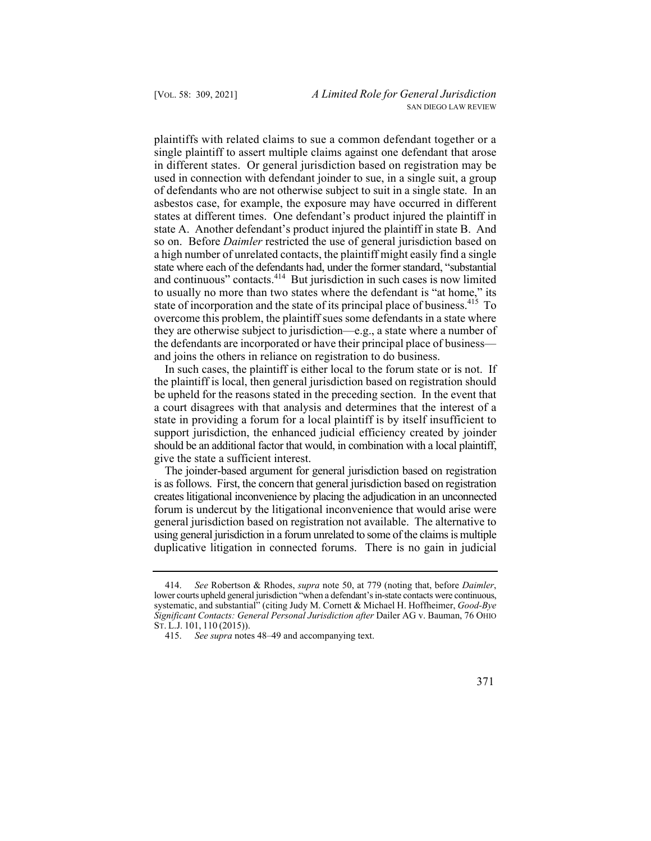and continuous" contacts.<sup>414</sup> But jurisdiction in such cases is now limited to usually no more than two states where the defendant is "at home," its plaintiffs with related claims to sue a common defendant together or a single plaintiff to assert multiple claims against one defendant that arose in different states. Or general jurisdiction based on registration may be used in connection with defendant joinder to sue, in a single suit, a group of defendants who are not otherwise subject to suit in a single state. In an asbestos case, for example, the exposure may have occurred in different states at different times. One defendant's product injured the plaintiff in state A. Another defendant's product injured the plaintiff in state B. And so on. Before *Daimler* restricted the use of general jurisdiction based on a high number of unrelated contacts, the plaintiff might easily find a single state where each of the defendants had, under the former standard, "substantial state of incorporation and the state of its principal place of business.  $415$  To overcome this problem, the plaintiff sues some defendants in a state where they are otherwise subject to jurisdiction—e.g., a state where a number of the defendants are incorporated or have their principal place of business and joins the others in reliance on registration to do business.

In such cases, the plaintiff is either local to the forum state or is not. If the plaintiff is local, then general jurisdiction based on registration should be upheld for the reasons stated in the preceding section. In the event that a court disagrees with that analysis and determines that the interest of a state in providing a forum for a local plaintiff is by itself insufficient to support jurisdiction, the enhanced judicial efficiency created by joinder should be an additional factor that would, in combination with a local plaintiff, give the state a sufficient interest.

 is as follows. First, the concern that general jurisdiction based on registration The joinder-based argument for general jurisdiction based on registration creates litigational inconvenience by placing the adjudication in an unconnected forum is undercut by the litigational inconvenience that would arise were general jurisdiction based on registration not available. The alternative to using general jurisdiction in a forum unrelated to some of the claims is multiple duplicative litigation in connected forums. There is no gain in judicial

 ST. L.J. 101, 110 (2015)). 414. *See* Robertson & Rhodes, *supra* note 50, at 779 (noting that, before *Daimler*, lower courts upheld general jurisdiction "when a defendant's in-state contacts were continuous, systematic, and substantial" (citing Judy M. Cornett & Michael H. Hoffheimer, *Good-Bye Significant Contacts: General Personal Jurisdiction after* Dailer AG v. Bauman, 76 OHIO

<sup>415.</sup> *See supra* notes 48–49 and accompanying text.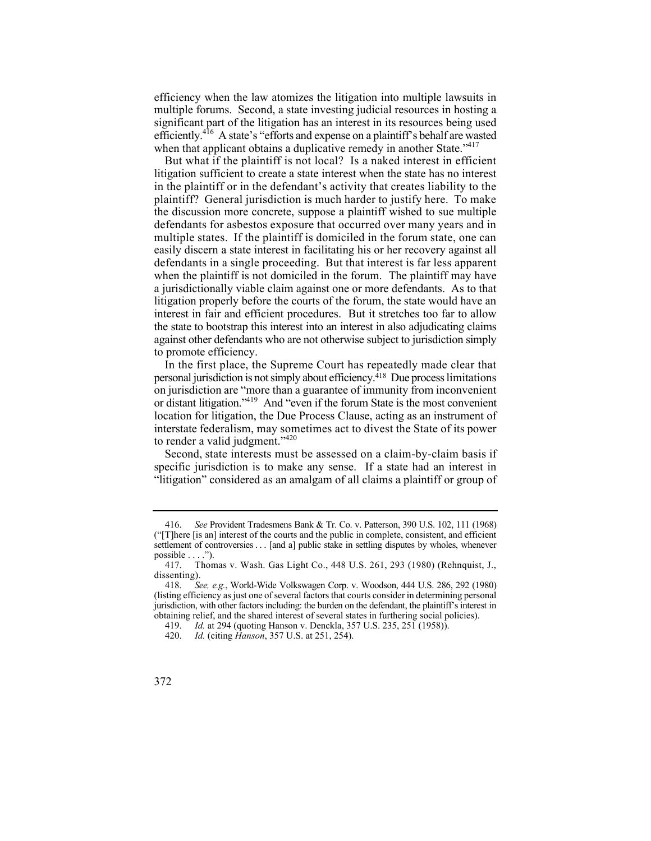efficiency when the law atomizes the litigation into multiple lawsuits in multiple forums. Second, a state investing judicial resources in hosting a significant part of the litigation has an interest in its resources being used efficiently.<sup>416</sup> A state's "efforts and expense on a plaintiff's behalf are wasted when that applicant obtains a duplicative remedy in another State."<sup>417</sup>

 But what if the plaintiff is not local? Is a naked interest in efficient the state to bootstrap this interest into an interest in also adjudicating claims against other defendants who are not otherwise subject to jurisdiction simply litigation sufficient to create a state interest when the state has no interest in the plaintiff or in the defendant's activity that creates liability to the plaintiff? General jurisdiction is much harder to justify here. To make the discussion more concrete, suppose a plaintiff wished to sue multiple defendants for asbestos exposure that occurred over many years and in multiple states. If the plaintiff is domiciled in the forum state, one can easily discern a state interest in facilitating his or her recovery against all defendants in a single proceeding. But that interest is far less apparent when the plaintiff is not domiciled in the forum. The plaintiff may have a jurisdictionally viable claim against one or more defendants. As to that litigation properly before the courts of the forum, the state would have an interest in fair and efficient procedures. But it stretches too far to allow to promote efficiency.

 In the first place, the Supreme Court has repeatedly made clear that interstate federalism, may sometimes act to divest the State of its power personal jurisdiction is not simply about efficiency.418 Due process limitations on jurisdiction are "more than a guarantee of immunity from inconvenient or distant litigation."419 And "even if the forum State is the most convenient location for litigation, the Due Process Clause, acting as an instrument of to render a valid judgment."<sup>420</sup>

 Second, state interests must be assessed on a claim-by-claim basis if specific jurisdiction is to make any sense. If a state had an interest in "litigation" considered as an amalgam of all claims a plaintiff or group of

 416. *See* Provident Tradesmens Bank & Tr. Co. v. Patterson, 390 U.S. 102, 111 (1968) settlement of controversies . . . [and a] public stake in settling disputes by wholes, whenever ("[T]here [is an] interest of the courts and the public in complete, consistent, and efficient possible  $\dots$ .").

<sup>417.</sup> Thomas v. Wash. Gas Light Co., 448 U.S. 261, 293 (1980) (Rehnquist, J., dissenting).<br>418.  $S_6$ 

 jurisdiction, with other factors including: the burden on the defendant, the plaintiff's interest in 418. *See, e.g.*, World-Wide Volkswagen Corp. v. Woodson, 444 U.S. 286, 292 (1980) (listing efficiency as just one of several factors that courts consider in determining personal obtaining relief, and the shared interest of several states in furthering social policies).

<sup>419.</sup> *Id.* at 294 (quoting Hanson v. Denckla, 357 U.S. 235, 251 (1958)).

<sup>420.</sup> *Id.* (citing *Hanson*, 357 U.S. at 251, 254).

<sup>372</sup>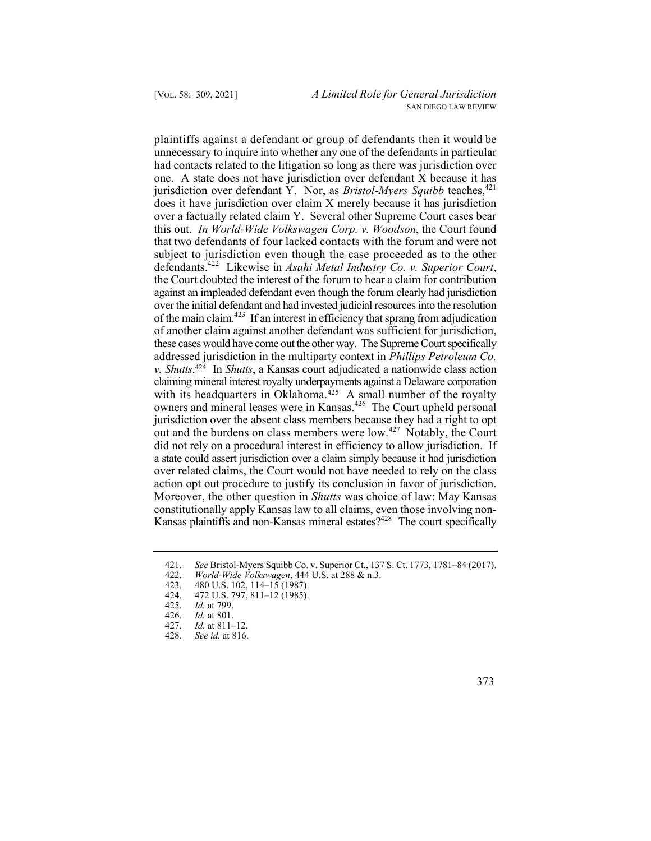plaintiffs against a defendant or group of defendants then it would be that two defendants of four lacked contacts with the forum and were not subject to jurisdiction even though the case proceeded as to the other out and the burdens on class members were low.<sup>427</sup> Notably, the Court Moreover, the other question in *Shutts* was choice of law: May Kansas unnecessary to inquire into whether any one of the defendants in particular had contacts related to the litigation so long as there was jurisdiction over one. A state does not have jurisdiction over defendant X because it has jurisdiction over defendant Y. Nor, as *Bristol-Myers Squibb* teaches,<sup>421</sup> does it have jurisdiction over claim X merely because it has jurisdiction over a factually related claim Y. Several other Supreme Court cases bear this out. *In World-Wide Volkswagen Corp. v. Woodson*, the Court found defendants.422 Likewise in *Asahi Metal Industry Co. v. Superior Court*, the Court doubted the interest of the forum to hear a claim for contribution against an impleaded defendant even though the forum clearly had jurisdiction over the initial defendant and had invested judicial resources into the resolution of the main claim.<sup>423</sup> If an interest in efficiency that sprang from adjudication of another claim against another defendant was sufficient for jurisdiction, these cases would have come out the other way. The Supreme Court specifically addressed jurisdiction in the multiparty context in *Phillips Petroleum Co. v. Shutts*. 424 In *Shutts*, a Kansas court adjudicated a nationwide class action claiming mineral interest royalty underpayments against a Delaware corporation with its headquarters in Oklahoma.<sup>425</sup> A small number of the royalty owners and mineral leases were in Kansas.<sup>426</sup> The Court upheld personal jurisdiction over the absent class members because they had a right to opt did not rely on a procedural interest in efficiency to allow jurisdiction. If a state could assert jurisdiction over a claim simply because it had jurisdiction over related claims, the Court would not have needed to rely on the class action opt out procedure to justify its conclusion in favor of jurisdiction. constitutionally apply Kansas law to all claims, even those involving non-Kansas plaintiffs and non-Kansas mineral estates?<sup>428</sup> The court specifically

<sup>421.</sup>  *See* Bristol-Myers Squibb Co. v. Superior Ct., 137 S. Ct. 1773, 1781–84 (2017).

<sup>422.</sup>  *World-Wide Volkswagen*, 444 U.S. at 288 & n.3.

<sup>423.</sup>  480 U.S. 102, 114–15 (1987).

<sup>424.</sup>  472 U.S. 797, 811–12 (1985).

<sup>425.&</sup>lt;br>426. *Id.* at 799.

*Id.* at 801.

<sup>427.</sup> *Id.* at 811–12.

<sup>428.</sup> *See id.* at 816.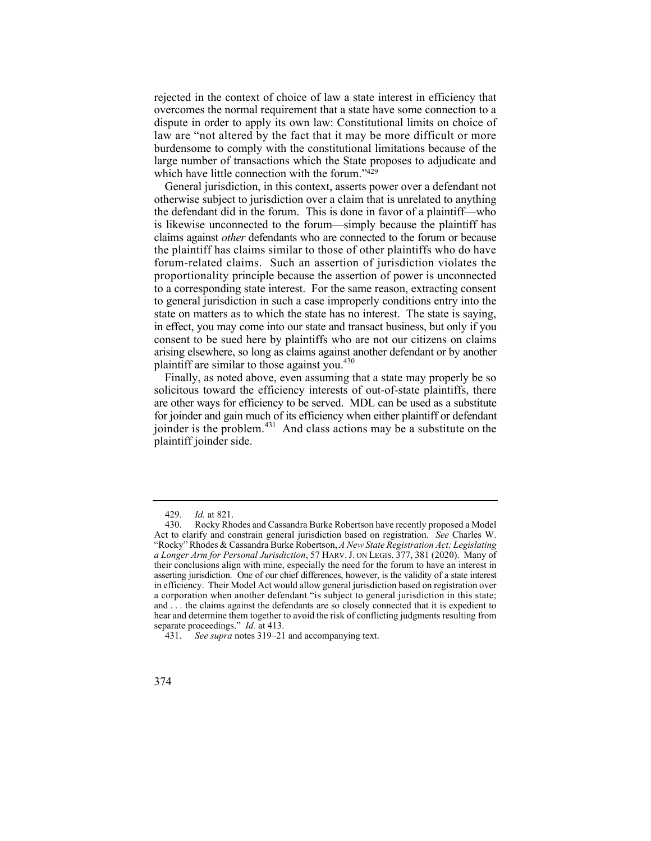rejected in the context of choice of law a state interest in efficiency that overcomes the normal requirement that a state have some connection to a dispute in order to apply its own law: Constitutional limits on choice of law are "not altered by the fact that it may be more difficult or more burdensome to comply with the constitutional limitations because of the large number of transactions which the State proposes to adjudicate and which have little connection with the forum."429

 claims against *other* defendants who are connected to the forum or because arising elsewhere, so long as claims against another defendant or by another General jurisdiction, in this context, asserts power over a defendant not otherwise subject to jurisdiction over a claim that is unrelated to anything the defendant did in the forum. This is done in favor of a plaintiff—who is likewise unconnected to the forum—simply because the plaintiff has the plaintiff has claims similar to those of other plaintiffs who do have forum-related claims. Such an assertion of jurisdiction violates the proportionality principle because the assertion of power is unconnected to a corresponding state interest. For the same reason, extracting consent to general jurisdiction in such a case improperly conditions entry into the state on matters as to which the state has no interest. The state is saying, in effect, you may come into our state and transact business, but only if you consent to be sued here by plaintiffs who are not our citizens on claims plaintiff are similar to those against you. $430$ 

joinder is the problem.<sup>431</sup> And class actions may be a substitute on the Finally, as noted above, even assuming that a state may properly be so solicitous toward the efficiency interests of out-of-state plaintiffs, there are other ways for efficiency to be served. MDL can be used as a substitute for joinder and gain much of its efficiency when either plaintiff or defendant plaintiff joinder side.

<sup>429.</sup> *Id.* at 821.

 Act to clarify and constrain general jurisdiction based on registration. *See* Charles W. Rocky Rhodes and Cassandra Burke Robertson have recently proposed a Model "Rocky" Rhodes & Cassandra Burke Robertson, *A New State Registration Act: Legislating a Longer Arm for Personal Jurisdiction*, 57 HARV. J. ON LEGIS. 377, 381 (2020). Many of their conclusions align with mine, especially the need for the forum to have an interest in asserting jurisdiction. One of our chief differences, however, is the validity of a state interest in efficiency. Their Model Act would allow general jurisdiction based on registration over a corporation when another defendant "is subject to general jurisdiction in this state; and . . . the claims against the defendants are so closely connected that it is expedient to hear and determine them together to avoid the risk of conflicting judgments resulting from separate proceedings." *Id.* at 413.

<sup>431.</sup> *See supra* notes 319–21 and accompanying text.

<sup>374</sup>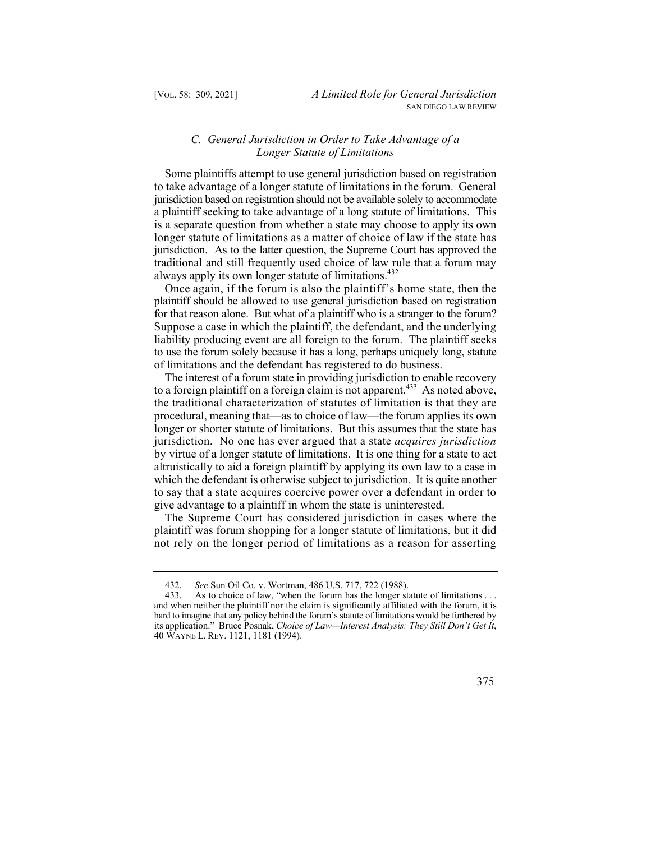## *C. General Jurisdiction in Order to Take Advantage of a Longer Statute of Limitations*

 is a separate question from whether a state may choose to apply its own Some plaintiffs attempt to use general jurisdiction based on registration to take advantage of a longer statute of limitations in the forum. General jurisdiction based on registration should not be available solely to accommodate a plaintiff seeking to take advantage of a long statute of limitations. This longer statute of limitations as a matter of choice of law if the state has jurisdiction. As to the latter question, the Supreme Court has approved the traditional and still frequently used choice of law rule that a forum may always apply its own longer statute of limitations.<sup>432</sup>

 Once again, if the forum is also the plaintiff's home state, then the for that reason alone. But what of a plaintiff who is a stranger to the forum? to use the forum solely because it has a long, perhaps uniquely long, statute plaintiff should be allowed to use general jurisdiction based on registration Suppose a case in which the plaintiff, the defendant, and the underlying liability producing event are all foreign to the forum. The plaintiff seeks of limitations and the defendant has registered to do business.

 jurisdiction. No one has ever argued that a state *acquires jurisdiction*  The interest of a forum state in providing jurisdiction to enable recovery to a foreign plaintiff on a foreign claim is not apparent.<sup>433</sup> As noted above, the traditional characterization of statutes of limitation is that they are procedural, meaning that—as to choice of law—the forum applies its own longer or shorter statute of limitations. But this assumes that the state has by virtue of a longer statute of limitations. It is one thing for a state to act altruistically to aid a foreign plaintiff by applying its own law to a case in which the defendant is otherwise subject to jurisdiction. It is quite another to say that a state acquires coercive power over a defendant in order to give advantage to a plaintiff in whom the state is uninterested.

The Supreme Court has considered jurisdiction in cases where the plaintiff was forum shopping for a longer statute of limitations, but it did not rely on the longer period of limitations as a reason for asserting

<sup>432.</sup> *See* Sun Oil Co. v. Wortman, 486 U.S. 717, 722 (1988).

<sup>433.</sup> As to choice of law, "when the forum has the longer statute of limitations . . . and when neither the plaintiff nor the claim is significantly affiliated with the forum, it is hard to imagine that any policy behind the forum's statute of limitations would be furthered by its application." Bruce Posnak, *Choice of Law—Interest Analysis: They Still Don't Get It*, 40 WAYNE L. REV. 1121, 1181 (1994).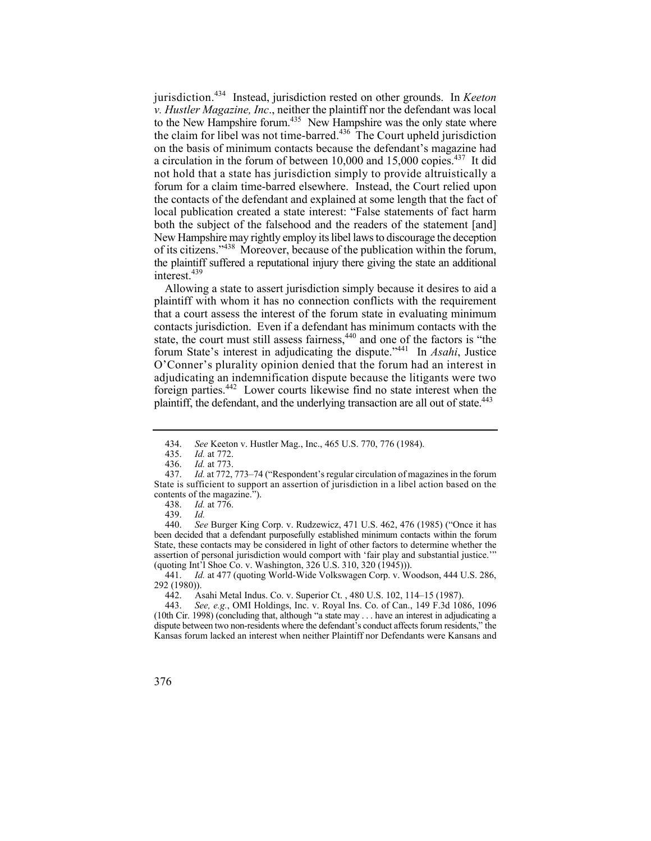New Hampshire may rightly employ its libel laws to discourage the deception jurisdiction.434 Instead, jurisdiction rested on other grounds. In *Keeton v. Hustler Magazine, Inc*., neither the plaintiff nor the defendant was local to the New Hampshire forum.<sup>435</sup> New Hampshire was the only state where the claim for libel was not time-barred.<sup>436</sup> The Court upheld jurisdiction on the basis of minimum contacts because the defendant's magazine had a circulation in the forum of between 10,000 and 15,000 copies.<sup>437</sup> It did not hold that a state has jurisdiction simply to provide altruistically a forum for a claim time-barred elsewhere. Instead, the Court relied upon the contacts of the defendant and explained at some length that the fact of local publication created a state interest: "False statements of fact harm both the subject of the falsehood and the readers of the statement [and] of its citizens."438 Moreover, because of the publication within the forum, the plaintiff suffered a reputational injury there giving the state an additional interest.<sup>439</sup>

 adjudicating an indemnification dispute because the litigants were two Allowing a state to assert jurisdiction simply because it desires to aid a plaintiff with whom it has no connection conflicts with the requirement that a court assess the interest of the forum state in evaluating minimum contacts jurisdiction. Even if a defendant has minimum contacts with the state, the court must still assess fairness,<sup>440</sup> and one of the factors is "the forum State's interest in adjudicating the dispute."441 In *Asahi*, Justice O'Conner's plurality opinion denied that the forum had an interest in foreign parties.442 Lower courts likewise find no state interest when the plaintiff, the defendant, and the underlying transaction are all out of state.<sup>443</sup>

See Burger King Corp. v. Rudzewicz, 471 U.S. 462, 476 (1985) ("Once it has been decided that a defendant purposefully established minimum contacts within the forum State, these contacts may be considered in light of other factors to determine whether the assertion of personal jurisdiction would comport with 'fair play and substantial justice.'" (quoting Int'l Shoe Co. v. Washington, 326 U.S. 310, 320 (1945))).

441. *Id.* at 477 (quoting World-Wide Volkswagen Corp. v. Woodson, 444 U.S. 286, 292 (1980)).

442. Asahi Metal Indus. Co. v. Superior Ct. , 480 U.S. 102, 114–15 (1987).

 (10th Cir. 1998) (concluding that, although "a state may . . . have an interest in adjudicating a 443. *See, e.g.*, OMI Holdings, Inc. v. Royal Ins. Co. of Can., 149 F.3d 1086, 1096 dispute between two non-residents where the defendant's conduct affects forum residents," the Kansas forum lacked an interest when neither Plaintiff nor Defendants were Kansans and

<sup>434.</sup>  *See* Keeton v. Hustler Mag., Inc., 465 U.S. 770, 776 (1984).

<sup>435.&</sup>lt;br>436. *Id.* at 772.

<sup>436.</sup> *Id.* at 773.

<sup>437.</sup> *Id.* at 772, 773–74 ("Respondent's regular circulation of magazines in the forum State is sufficient to support an assertion of jurisdiction in a libel action based on the contents of the magazine.").

<sup>438.</sup> *Id.* at 776.

<sup>439.</sup> *Id.*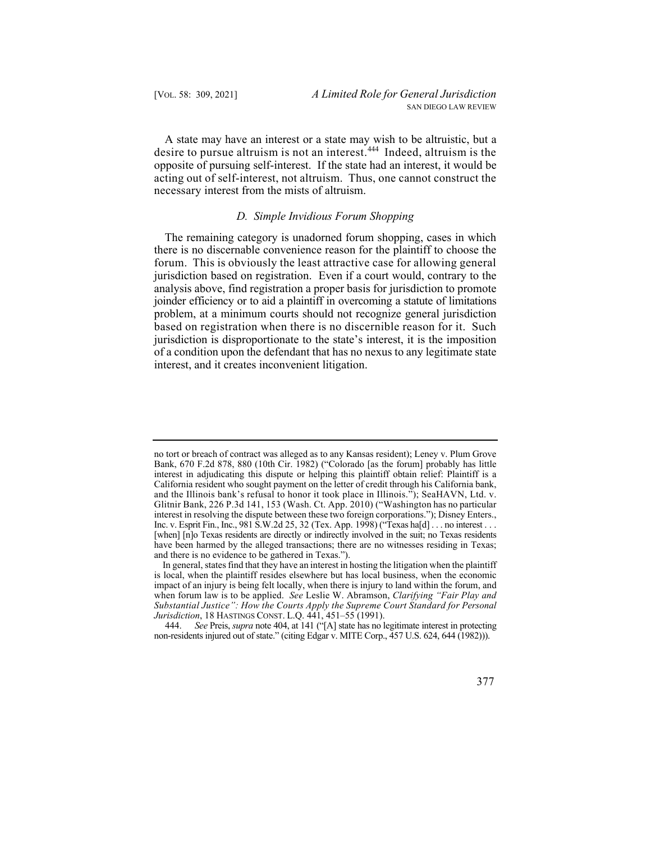desire to pursue altruism is not an interest.<sup>444</sup> Indeed, altruism is the A state may have an interest or a state may wish to be altruistic, but a opposite of pursuing self-interest. If the state had an interest, it would be acting out of self-interest, not altruism. Thus, one cannot construct the necessary interest from the mists of altruism.

## *D. Simple Invidious Forum Shopping*

The remaining category is unadorned forum shopping, cases in which there is no discernable convenience reason for the plaintiff to choose the forum. This is obviously the least attractive case for allowing general jurisdiction based on registration. Even if a court would, contrary to the analysis above, find registration a proper basis for jurisdiction to promote joinder efficiency or to aid a plaintiff in overcoming a statute of limitations problem, at a minimum courts should not recognize general jurisdiction based on registration when there is no discernible reason for it. Such jurisdiction is disproportionate to the state's interest, it is the imposition of a condition upon the defendant that has no nexus to any legitimate state interest, and it creates inconvenient litigation.

 non-residents injured out of state." (citing Edgar v. MITE Corp., 457 U.S. 624, 644 (1982))). 444. *See* Preis, *supra* note 404, at 141 ("[A] state has no legitimate interest in protecting



 and the Illinois bank's refusal to honor it took place in Illinois."); SeaHAVN, Ltd. v. Glitnir Bank, 226 P.3d 141, 153 (Wash. Ct. App. 2010) ("Washington has no particular Inc. v. Esprit Fin., Inc., 981 S.W.2d 25, 32 (Tex. App. 1998) ("Texas ha[d] . . . no interest . . . [when] [n]o Texas residents are directly or indirectly involved in the suit; no Texas residents no tort or breach of contract was alleged as to any Kansas resident); Leney v. Plum Grove Bank, 670 F.2d 878, 880 (10th Cir. 1982) ("Colorado [as the forum] probably has little interest in adjudicating this dispute or helping this plaintiff obtain relief: Plaintiff is a California resident who sought payment on the letter of credit through his California bank, interest in resolving the dispute between these two foreign corporations."); Disney Enters., have been harmed by the alleged transactions; there are no witnesses residing in Texas; and there is no evidence to be gathered in Texas.").

 when forum law is to be applied. *See* Leslie W. Abramson, *Clarifying "Fair Play and Substantial Justice": How the Courts Apply the Supreme Court Standard for Personal*  In general, states find that they have an interest in hosting the litigation when the plaintiff is local, when the plaintiff resides elsewhere but has local business, when the economic impact of an injury is being felt locally, when there is injury to land within the forum, and *Jurisdiction*, 18 HASTINGS CONST. L.Q. 441, 451–55 (1991).